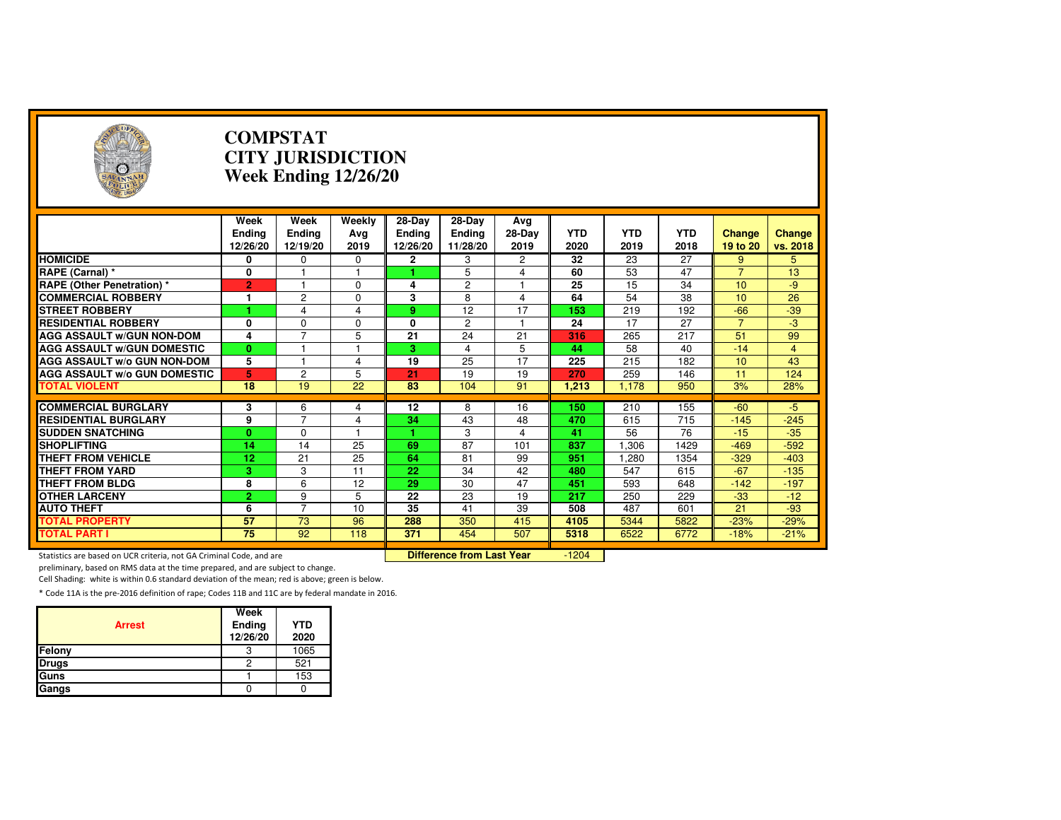| $(\cdot, \cdot)$                                                    |                                   | <b>COMPSTAT</b><br><b>CITY JURISDICTION</b><br><b>Week Ending 12/26/20</b> |                                  |                                     |                                     |                       |                    |                    |                    |                           |                    |
|---------------------------------------------------------------------|-----------------------------------|----------------------------------------------------------------------------|----------------------------------|-------------------------------------|-------------------------------------|-----------------------|--------------------|--------------------|--------------------|---------------------------|--------------------|
|                                                                     | Week<br><b>Ending</b><br>12/26/20 | Week<br>Ending<br>12/19/20                                                 | Weekly<br>Avg<br>2019            | 28-Day<br><b>Ending</b><br>12/26/20 | 28-Day<br><b>Ending</b><br>11/28/20 | Avg<br>28-Day<br>2019 | <b>YTD</b><br>2020 | <b>YTD</b><br>2019 | <b>YTD</b><br>2018 | <b>Change</b><br>19 to 20 | Change<br>vs. 2018 |
| <b>HOMICIDE</b>                                                     | 0                                 | 0                                                                          | 0                                | $\mathbf{2}$                        | 3                                   | 2                     | 32                 | 23                 | 27                 | 9                         | 5                  |
| RAPE (Carnal) *                                                     | 0                                 |                                                                            | 1                                |                                     | 5                                   | 4                     | 60                 | 53                 | 47                 | $\overline{7}$            | 13                 |
| <b>RAPE (Other Penetration) *</b>                                   | $\overline{2}$                    | 1                                                                          | $\Omega$                         | 4                                   | $\overline{c}$                      | 1                     | 25                 | 15                 | 34                 | 10                        | $-9$               |
| <b>COMMERCIAL ROBBERY</b>                                           | 1                                 | $\overline{c}$                                                             | $\Omega$                         | 3                                   | 8                                   | 4                     | 64                 | 54                 | 38                 | 10                        | 26                 |
| <b>STREET ROBBERY</b>                                               |                                   | 4                                                                          | 4                                | 9                                   | 12                                  | 17                    | 153                | 219                | 192                | $-66$                     | $-39$              |
| <b>RESIDENTIAL ROBBERY</b>                                          | 0                                 | $\mathbf 0$                                                                | 0                                | $\mathbf{0}$                        | $\overline{c}$                      | 1                     | 24                 | 17                 | 27                 | $\overline{7}$            | $-3$               |
| <b>AGG ASSAULT W/GUN NON-DOM</b>                                    | 4                                 | 7                                                                          | 5                                | 21                                  | $\overline{24}$                     | 21                    | 316                | 265                | 217                | 51                        | 99                 |
| <b>AGG ASSAULT W/GUN DOMESTIC</b>                                   | $\mathbf{0}$                      |                                                                            |                                  | 3.                                  | $\overline{4}$                      | 5                     | 44                 | 58                 | 40                 | $-14$                     | $\overline{4}$     |
| AGG ASSAULT w/o GUN NON-DOM                                         | 5                                 |                                                                            | 4                                | 19                                  | 25                                  | 17                    | 225                | 215                | 182                | 10                        | 43                 |
| <b>AGG ASSAULT W/o GUN DOMESTIC</b>                                 | 5                                 | $\overline{c}$                                                             | 5                                | 21                                  | 19                                  | 19                    | 270                | 259                | 146                | 11                        | 124                |
| <b>TOTAL VIOLENT</b>                                                | 18                                | 19                                                                         | 22                               | 83                                  | 104                                 | 91                    | 1,213              | 1,178              | 950                | 3%                        | 28%                |
| <b>COMMERCIAL BURGLARY</b>                                          |                                   |                                                                            |                                  | 12                                  |                                     |                       | 150                |                    | 155                | $-60$                     | $-5$               |
| <b>RESIDENTIAL BURGLARY</b>                                         | 3<br>9                            | 6<br>$\overline{7}$                                                        | 4<br>4                           | 34                                  | 8<br>43                             | 16<br>48              | 470                | 210<br>615         | 715                | $-145$                    | $-245$             |
| <b>SUDDEN SNATCHING</b>                                             | $\mathbf{0}$                      | $\Omega$                                                                   | 1                                |                                     | 3                                   | 4                     | 41                 | 56                 | 76                 | $-15$                     | $-35$              |
| <b>SHOPLIFTING</b>                                                  | 14                                | 14                                                                         | 25                               | 69                                  | 87                                  | 101                   | 837                | 1,306              | 1429               | $-469$                    | $-592$             |
| <b>THEFT FROM VEHICLE</b>                                           | 12                                | 21                                                                         | 25                               | 64                                  | 81                                  | 99                    | 951                | 1.280              | 1354               | $-329$                    | $-403$             |
| <b>THEFT FROM YARD</b>                                              | 3                                 | 3                                                                          | 11                               | 22                                  | 34                                  | 42                    | 480                | 547                | 615                | $-67$                     | $-135$             |
| <b>THEFT FROM BLDG</b>                                              | 8                                 | 6                                                                          | 12                               | 29                                  | 30                                  | 47                    | 451                | 593                | 648                | $-142$                    | $-197$             |
| <b>OTHER LARCENY</b>                                                | $\overline{2}$                    | 9                                                                          | 5                                | 22                                  | 23                                  | 19                    | 217                | 250                | 229                | $-33$                     | $-12$              |
| <b>AUTO THEFT</b>                                                   | 6                                 | 7                                                                          | 10                               | 35                                  | 41                                  | 39                    | 508                | 487                | 601                | 21                        | $-93$              |
| <b>TOTAL PROPERTY</b>                                               | 57                                | $\overline{73}$                                                            | 96                               | 288                                 | 350                                 | 415                   | 4105               | 5344               | 5822               | $-23%$                    | $-29%$             |
| <b>TOTAL PART I</b>                                                 | $\overline{75}$                   | $\overline{92}$                                                            | 118                              | 371                                 | 454                                 | 507                   | 5318               | 6522               | 6772               | $-18%$                    | $-21%$             |
| Statistics are based on UCR criteria, not GA Criminal Code, and are |                                   |                                                                            | <b>Difference from Last Year</b> |                                     | $-1204$                             |                       |                    |                    |                    |                           |                    |

preliminary, based on RMS data at the time prepared, and are subject to change.

Cell Shading: white is within 0.6 standard deviation of the mean; red is above; green is below.

| <b>Arrest</b> | Week<br>Ending<br>12/26/20 | <b>YTD</b><br>2020 |
|---------------|----------------------------|--------------------|
| Felony        |                            | 1065               |
| <b>Drugs</b>  | 2                          | 521                |
| Guns          |                            | 153                |
| Gangs         |                            |                    |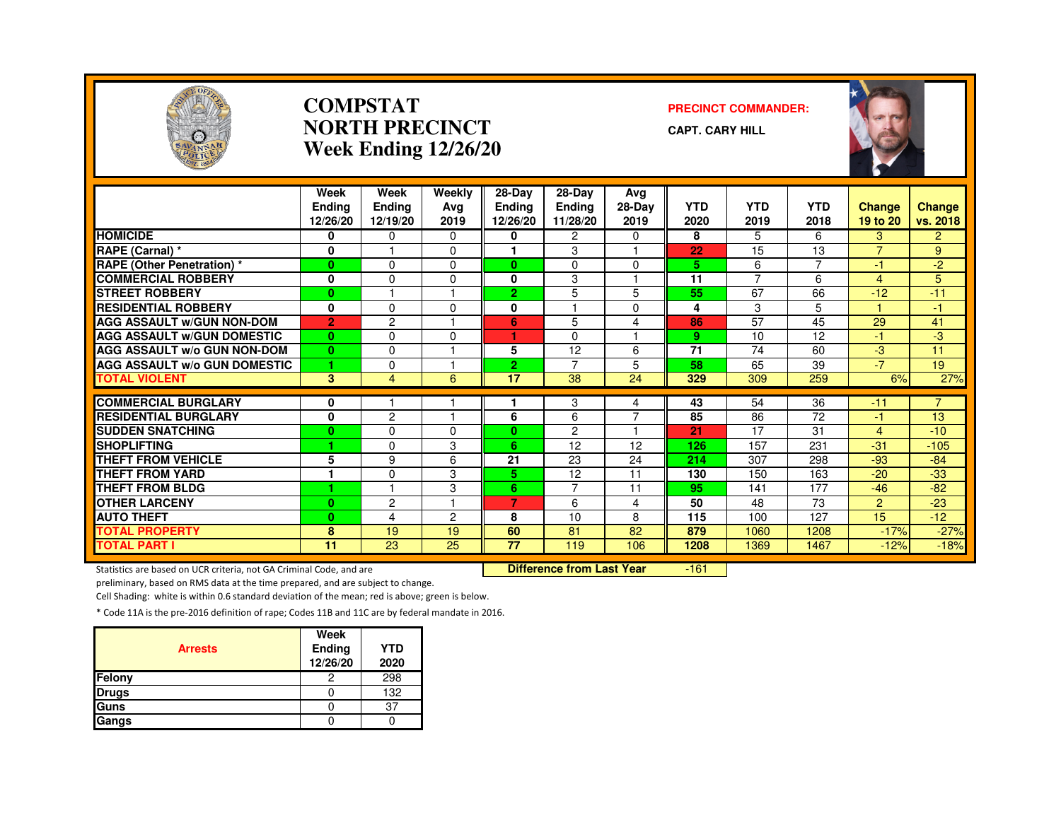

#### **COMPSTATNORTH PRECINCTWeek Ending 12/26/20**

#### **PRECINCT COMMANDER:**

**CAPT. CARY HILL**



|                                     | Week<br><b>Endina</b><br>12/26/20 | Week<br>Ending<br>12/19/20 | Weekly<br>Ava<br>2019 | $28-Dav$<br><b>Ending</b><br>12/26/20 | 28-Day<br>Ending<br>11/28/20 | Avg<br>28-Day<br>2019 | <b>YTD</b><br>2020 | <b>YTD</b><br>2019 | <b>YTD</b><br>2018 | Change<br>19 to 20 | <b>Change</b><br>vs. 2018 |
|-------------------------------------|-----------------------------------|----------------------------|-----------------------|---------------------------------------|------------------------------|-----------------------|--------------------|--------------------|--------------------|--------------------|---------------------------|
| <b>HOMICIDE</b>                     | 0                                 | 0                          | $\Omega$              | 0                                     | 2                            | 0                     | 8                  | 5                  | 6                  | з                  | $\overline{2}$            |
| RAPE (Carnal) *                     | 0                                 |                            | $\Omega$              |                                       | 3                            |                       | 22                 | 15                 | 13                 | $\overline{7}$     | 9                         |
| <b>RAPE (Other Penetration) *</b>   | $\bf{0}$                          | $\Omega$                   | $\Omega$              | $\mathbf{0}$                          | $\Omega$                     | $\Omega$              | 5                  | 6                  | $\overline{7}$     | $-1$               | $-2$                      |
| <b>COMMERCIAL ROBBERY</b>           | 0                                 | $\Omega$                   | $\Omega$              | $\bf{0}$                              | 3                            | -1                    | 11                 | $\overline{7}$     | 6                  | $\overline{4}$     | 5                         |
| <b>STREET ROBBERY</b>               | $\bf{0}$                          |                            |                       | 2.                                    | 5                            | 5                     | 55                 | 67                 | 66                 | $-12$              | $-11$                     |
| <b>RESIDENTIAL ROBBERY</b>          | $\mathbf{0}$                      | $\Omega$                   | $\Omega$              | 0                                     |                              | $\Omega$              | 4                  | 3                  | 5                  |                    | $-1$                      |
| <b>AGG ASSAULT W/GUN NON-DOM</b>    | $\overline{2}$                    | $\overline{c}$             |                       | 6                                     | 5                            | 4                     | 86                 | 57                 | 45                 | 29                 | 41                        |
| <b>AGG ASSAULT W/GUN DOMESTIC</b>   | $\bf{0}$                          | $\Omega$                   | $\Omega$              | ٠                                     | $\Omega$                     | 1                     | 9                  | 10                 | 12                 | -1                 | $-3$                      |
| <b>AGG ASSAULT W/o GUN NON-DOM</b>  | $\bf{0}$                          | $\Omega$                   |                       | 5                                     | 12                           | 6                     | 71                 | 74                 | 60                 | $-3$               | 11                        |
| <b>AGG ASSAULT W/o GUN DOMESTIC</b> | 1                                 | $\Omega$                   |                       | $\overline{2}$                        | $\overline{7}$               | 5                     | 58                 | 65                 | 39                 | $-7$               | 19                        |
| <b>TOTAL VIOLENT</b>                | 3                                 | 4                          | 6                     | 17                                    | 38                           | 24                    | 329                | 309                | 259                | 6%                 | 27%                       |
|                                     |                                   |                            |                       |                                       |                              |                       |                    |                    |                    |                    |                           |
| <b>COMMERCIAL BURGLARY</b>          | 0                                 |                            |                       |                                       | 3                            | 4                     | 43                 | 54                 | 36                 | $-11$              | $\overline{7}$            |
| <b>RESIDENTIAL BURGLARY</b>         | $\mathbf{0}$                      | $\overline{c}$             |                       | 6                                     | 6                            | $\overline{7}$        | 85                 | 86                 | 72                 | $-1$               | 13                        |
| <b>SUDDEN SNATCHING</b>             | $\bf{0}$                          | $\Omega$                   | $\Omega$              | $\mathbf{0}$                          | $\overline{2}$               | 1                     | 21                 | 17                 | 31                 | 4                  | $-10$                     |
| <b>SHOPLIFTING</b>                  | 1                                 | $\Omega$                   | 3                     | 6                                     | 12                           | 12                    | 126                | 157                | 231                | $-31$              | $-105$                    |
| <b>THEFT FROM VEHICLE</b>           | 5                                 | 9                          | 6                     | 21                                    | 23                           | 24                    | 214                | 307                | 298                | $-93$              | $-84$                     |
| <b>THEFT FROM YARD</b>              |                                   | $\Omega$                   | 3                     | 5                                     | 12                           | 11                    | 130                | 150                | 163                | $-20$              | $-33$                     |
| <b>THEFT FROM BLDG</b>              | 4                                 |                            | 3                     | 6.                                    | $\overline{7}$               | 11                    | 95                 | 141                | 177                | $-46$              | $-82$                     |
| <b>OTHER LARCENY</b>                | $\bf{0}$                          | 2                          |                       | 7                                     | 6                            | 4                     | 50                 | 48                 | 73                 | $\overline{2}$     | $-23$                     |
| <b>AUTO THEFT</b>                   | $\bf{0}$                          | 4                          | $\overline{c}$        | 8                                     | 10                           | 8                     | 115                | 100                | 127                | 15                 | $-12$                     |
| <b>TOTAL PROPERTY</b>               | 8                                 | 19                         | 19                    | 60                                    | 81                           | 82                    | 879                | 1060               | 1208               | $-17%$             | $-27%$                    |
| <b>TOTAL PART I</b>                 | $\overline{11}$                   | $\overline{23}$            | $\overline{25}$       | $\overline{77}$                       | 119                          | 106                   | 1208               | 1369               | 1467               | $-12%$             | $-18%$                    |

Statistics are based on UCR criteria, not GA Criminal Code, and are **Difference from Last Year** 

-161

preliminary, based on RMS data at the time prepared, and are subject to change.

Cell Shading: white is within 0.6 standard deviation of the mean; red is above; green is below.

| <b>Arrests</b> | Week<br><b>Ending</b><br>12/26/20 | <b>YTD</b><br>2020 |
|----------------|-----------------------------------|--------------------|
| Felony         | 2                                 | 298                |
| <b>Drugs</b>   |                                   | 132                |
| Guns           |                                   | 37                 |
| Gangs          |                                   |                    |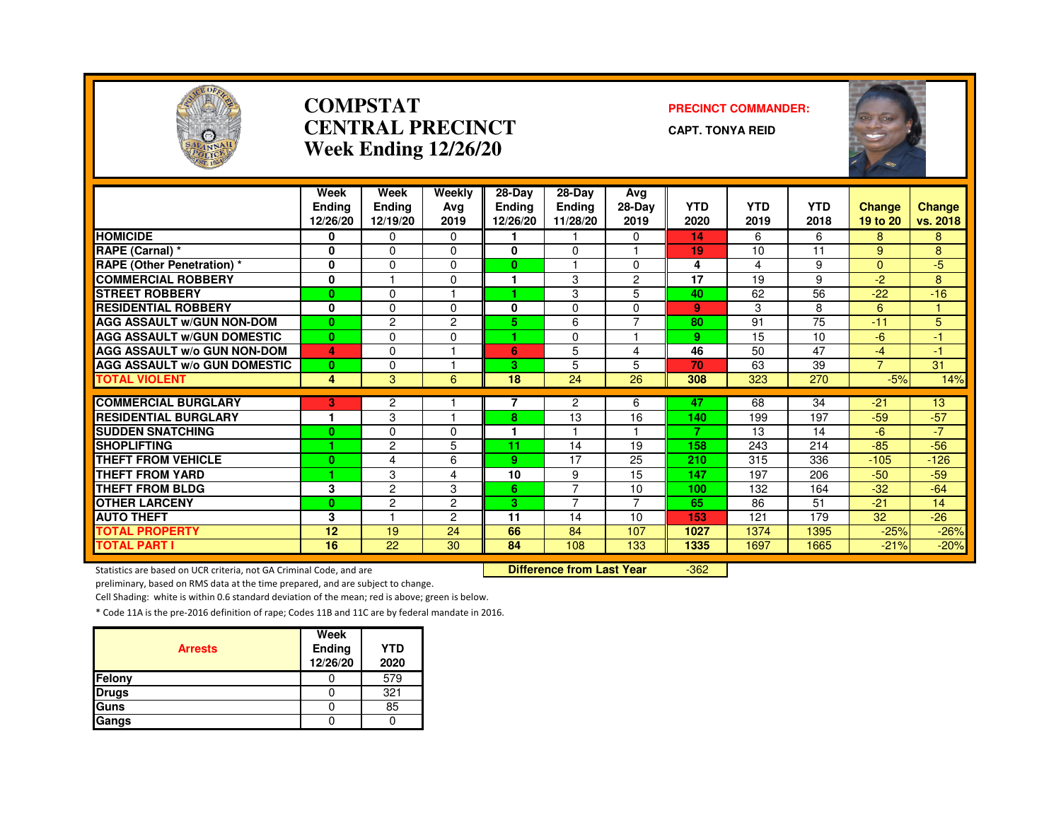

#### **COMPSTATCENTRAL PRECINCTWeek Ending 12/26/20**

#### **PRECINCT COMMANDER:**

**CAPT. TONYA REID**



|                                     | Week<br><b>Ending</b><br>12/26/20 | Week<br><b>Ending</b><br>12/19/20 | Weekly<br>Avg<br>2019 | 28-Day<br><b>Endina</b><br>12/26/20 | 28-Day<br><b>Ending</b><br>11/28/20 | Avg<br>28-Day<br>2019    | <b>YTD</b><br>2020 | <b>YTD</b><br>2019 | <b>YTD</b><br>2018 | <b>Change</b><br>19 to 20 | <b>Change</b><br>vs. 2018 |
|-------------------------------------|-----------------------------------|-----------------------------------|-----------------------|-------------------------------------|-------------------------------------|--------------------------|--------------------|--------------------|--------------------|---------------------------|---------------------------|
| <b>HOMICIDE</b>                     | 0                                 | $\mathbf{0}$                      | $\Omega$              |                                     |                                     | $\Omega$                 | 14                 | 6                  | 6                  | 8                         | 8                         |
| <b>RAPE (Carnal) *</b>              | 0                                 | $\Omega$                          | $\Omega$              | 0                                   | $\Omega$                            |                          | 19                 | 10                 | 11                 | 9                         | 8                         |
| <b>RAPE (Other Penetration) *</b>   | 0                                 | $\Omega$                          | $\Omega$              | $\mathbf{0}$                        |                                     | $\Omega$                 | 4                  | 4                  | 9                  | $\overline{0}$            | $-5$                      |
| <b>COMMERCIAL ROBBERY</b>           | 0                                 |                                   | $\Omega$              |                                     | 3                                   | $\overline{c}$           | 17                 | 19                 | 9                  | $-2$                      | 8                         |
| <b>STREET ROBBERY</b>               | $\bf{0}$                          | $\Omega$                          |                       |                                     | 3                                   | 5                        | 40                 | 62                 | 56                 | $-22$                     | $-16$                     |
| <b>RESIDENTIAL ROBBERY</b>          | 0                                 | $\Omega$                          | $\Omega$              | 0                                   | 0                                   | $\Omega$                 | 9                  | 3                  | 8                  | 6                         |                           |
| <b>AGG ASSAULT W/GUN NON-DOM</b>    | $\bf{0}$                          | $\overline{c}$                    | $\overline{2}$        | 5.                                  | 6                                   | $\overline{7}$           | 80                 | 91                 | $\overline{75}$    | $-11$                     | 5                         |
| <b>AGG ASSAULT W/GUN DOMESTIC</b>   | $\bf{0}$                          | $\Omega$                          | $\Omega$              | ٠                                   | $\Omega$                            | $\overline{\phantom{a}}$ | 9                  | 15                 | 10                 | $-6$                      | 47                        |
| <b>AGG ASSAULT W/o GUN NON-DOM</b>  | 4                                 | $\Omega$                          |                       | 6                                   | 5                                   | 4                        | 46                 | 50                 | 47                 | $-4$                      | 47                        |
| <b>AGG ASSAULT w/o GUN DOMESTIC</b> | $\bf{0}$                          | $\Omega$                          |                       | 3                                   | 5                                   | 5                        | 70                 | 63                 | 39                 | $\overline{7}$            | 31                        |
| <b>TOTAL VIOLENT</b>                | 4                                 | 3                                 | 6                     | 18                                  | 24                                  | 26                       | 308                | 323                | 270                | $-5%$                     | 14%                       |
| <b>COMMERCIAL BURGLARY</b>          |                                   |                                   |                       | 7                                   | $\overline{c}$                      |                          |                    |                    |                    |                           |                           |
| <b>RESIDENTIAL BURGLARY</b>         | 3<br>1                            | $\overline{c}$<br>3               |                       | 8                                   | 13                                  | 6<br>16                  | 47<br>140          | 68<br>199          | 34<br>197          | $-21$<br>$-59$            | 13<br>$-57$               |
| <b>SUDDEN SNATCHING</b>             | $\bf{0}$                          | $\Omega$                          | $\Omega$              | ٠                                   |                                     |                          | 7                  | 13                 | 14                 | $-6$                      | $-7$                      |
| <b>SHOPLIFTING</b>                  |                                   | 2                                 | 5                     | 11                                  | 14                                  | 19                       | 158                | 243                | 214                | $-85$                     | $-56$                     |
| <b>THEFT FROM VEHICLE</b>           | $\bf{0}$                          | 4                                 | 6                     | 9                                   | 17                                  | 25                       | 210                | 315                | 336                | $-105$                    | $-126$                    |
| <b>THEFT FROM YARD</b>              |                                   | 3                                 | 4                     | 10                                  | 9                                   | 15                       | 147                | 197                | 206                | $-50$                     | $-59$                     |
| <b>THEFT FROM BLDG</b>              | 3                                 | 2                                 | 3                     | 6                                   | $\overline{7}$                      | 10                       | 100                | 132                | 164                | $-32$                     | $-64$                     |
| <b>OTHER LARCENY</b>                | $\bf{0}$                          | $\overline{c}$                    | $\overline{c}$        | З.                                  | $\overline{7}$                      | 7                        | 65                 | 86                 | 51                 | $-21$                     | 14                        |
| <b>AUTO THEFT</b>                   | 3                                 |                                   | $\overline{2}$        | 11                                  | 14                                  | 10                       | 153                | 121                | 179                | 32                        | $-26$                     |
| <b>TOTAL PROPERTY</b>               | 12                                | 19                                | 24                    | 66                                  | 84                                  | 107                      | 1027               | 1374               | 1395               | $-25%$                    | $-26%$                    |
| <b>TOTAL PART I</b>                 | 16                                | 22                                | 30                    | 84                                  | 108                                 | 133                      | 1335               | 1697               | 1665               | $-21%$                    | $-20%$                    |
|                                     |                                   |                                   |                       |                                     |                                     |                          |                    |                    |                    |                           |                           |

Statistics are based on UCR criteria, not GA Criminal Code, and are **Difference from Last Year** 

-362

preliminary, based on RMS data at the time prepared, and are subject to change.

Cell Shading: white is within 0.6 standard deviation of the mean; red is above; green is below.

| <b>Arrests</b> | Week<br>Ending<br>12/26/20 | <b>YTD</b><br>2020 |
|----------------|----------------------------|--------------------|
| Felony         |                            | 579                |
| <b>Drugs</b>   |                            | 321                |
| Guns           |                            | 85                 |
| Gangs          |                            |                    |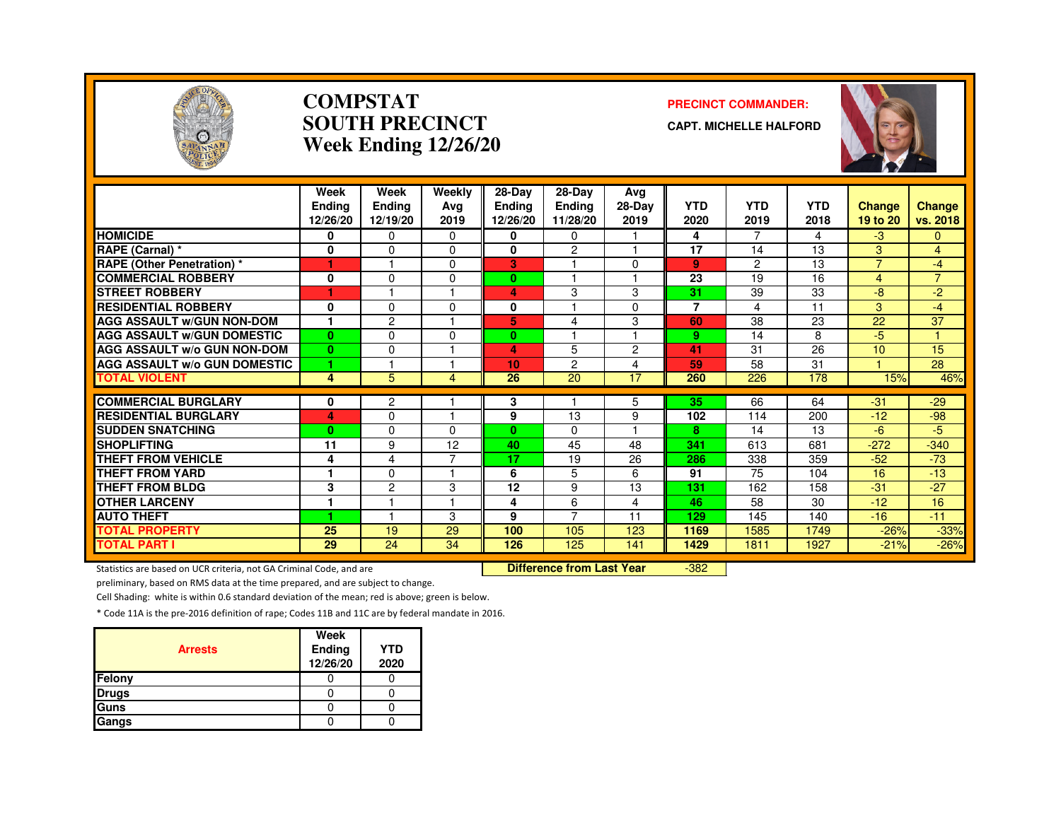

#### **COMPSTATSOUTH PRECINCTWeek Ending 12/26/20**

#### **PRECINCT COMMANDER:**

**CAPT. MICHELLE HALFORD**



|                                     | Week<br>Endina<br>12/26/20 | Week<br>Ending<br>12/19/20 | Weekly<br>Avg<br>2019 | 28-Day<br><b>Ending</b><br>12/26/20 | 28-Day<br><b>Ending</b><br>11/28/20 | Avg<br>28-Day<br>2019   | <b>YTD</b><br>2020 | <b>YTD</b><br>2019 | <b>YTD</b><br>2018 | <b>Change</b><br>19 to 20 | Change<br>vs. 2018 |
|-------------------------------------|----------------------------|----------------------------|-----------------------|-------------------------------------|-------------------------------------|-------------------------|--------------------|--------------------|--------------------|---------------------------|--------------------|
| <b>HOMICIDE</b>                     | 0                          | $\Omega$                   | $\Omega$              | 0                                   | $\Omega$                            |                         | 4                  | $\overline{7}$     | 4                  | $-3$                      | $\Omega$           |
| RAPE (Carnal) *                     | $\mathbf 0$                | $\Omega$                   | $\Omega$              | 0                                   | $\overline{c}$                      |                         | 17                 | 14                 | 13                 | 3                         | $\overline{4}$     |
| <b>RAPE (Other Penetration) *</b>   | 1                          |                            | $\Omega$              | 3                                   |                                     | $\Omega$                | 9                  | $\overline{2}$     | 13                 | $\overline{7}$            | $-4$               |
| <b>COMMERCIAL ROBBERY</b>           | 0                          | $\Omega$                   | $\Omega$              | $\bf{0}$                            |                                     |                         | 23                 | 19                 | 16                 | $\overline{4}$            | $\overline{7}$     |
| <b>STREET ROBBERY</b>               |                            |                            |                       | 4                                   | 3                                   | 3                       | 31                 | 39                 | 33                 | -8                        | -2                 |
| <b>RESIDENTIAL ROBBERY</b>          | 0                          | $\Omega$                   | $\Omega$              | 0                                   |                                     | $\Omega$                | $\overline{7}$     | 4                  | 11                 | 3                         | $-4$               |
| <b>AGG ASSAULT W/GUN NON-DOM</b>    |                            | $\overline{c}$             |                       | 5                                   | 4                                   | 3                       | 60                 | 38                 | 23                 | $\overline{22}$           | 37                 |
| <b>AGG ASSAULT W/GUN DOMESTIC</b>   | $\mathbf{0}$               | $\Omega$                   | $\Omega$              | $\bf{0}$                            |                                     | $\overline{\mathbf{1}}$ | 9                  | 14                 | 8                  | -5                        | $\mathbf{1}$       |
| <b>AGG ASSAULT W/o GUN NON-DOM</b>  | $\bf{0}$                   | $\Omega$                   |                       | 4                                   | 5                                   | $\overline{2}$          | 41                 | 31                 | 26                 | 10                        | 15                 |
| <b>AGG ASSAULT w/o GUN DOMESTIC</b> | 1                          |                            |                       | 10                                  | 2                                   | 4                       | 59                 | 58                 | 31                 |                           | 28                 |
| <b>TOTAL VIOLENT</b>                | 4                          | 5                          | 4                     | 26                                  | 20                                  | 17                      | 260                | 226                | 178                | 15%                       | 46%                |
| <b>COMMERCIAL BURGLARY</b>          |                            |                            |                       |                                     |                                     |                         |                    |                    | 64                 |                           |                    |
| <b>RESIDENTIAL BURGLARY</b>         | 0<br>4                     | 2<br>$\Omega$              |                       | 3<br>9                              | 13                                  | 5<br>9                  | 35<br>102          | 66<br>114          | 200                | $-31$<br>$-12$            | $-29$<br>$-98$     |
| <b>SUDDEN SNATCHING</b>             | $\bf{0}$                   | $\Omega$                   | $\Omega$              | $\mathbf{0}$                        | $\Omega$                            |                         | 8                  | 14                 | 13                 | -6                        | -5                 |
| <b>SHOPLIFTING</b>                  | 11                         | 9                          | 12                    | 40                                  | 45                                  | 48                      | 341                | 613                | 681                | $-272$                    | $-340$             |
| <b>THEFT FROM VEHICLE</b>           |                            |                            | ⇁                     | 17                                  | 19                                  |                         | 286                |                    |                    | $-52$                     | $-73$              |
| <b>THEFT FROM YARD</b>              | 4                          | 4                          |                       | 6                                   | 5                                   | 26                      | 91                 | 338<br>75          | 359<br>104         | 16                        | $-13$              |
|                                     |                            | 0                          |                       |                                     |                                     | 6                       |                    |                    |                    |                           |                    |
| <b>THEFT FROM BLDG</b>              | 3                          | 2                          | 3                     | 12                                  | 9                                   | 13                      | 131                | 162                | 158                | $-31$                     | $-27$              |
| <b>OTHER LARCENY</b>                | ٠                          |                            |                       | 4                                   | 6<br>$\overline{7}$                 | 4                       | 46                 | 58                 | 30                 | $-12$                     | 16                 |
| <b>AUTO THEFT</b>                   |                            |                            | 3                     | 9                                   |                                     | 11                      | 129                | 145                | 140                | $-16$                     | $-11$              |
| <b>TOTAL PROPERTY</b>               | 25                         | 19                         | 29                    | 100                                 | 105                                 | 123                     | 1169               | 1585               | 1749               | $-26%$                    | $-33%$             |
| <b>TOTAL PART I</b>                 | 29                         | 24                         | 34                    | 126                                 | 125                                 | 141                     | 1429               | 1811               | 1927               | $-21%$                    | $-26%$             |

Statistics are based on UCR criteria, not GA Criminal Code, and are **Difference from Last Year** 

-382

preliminary, based on RMS data at the time prepared, and are subject to change.

Cell Shading: white is within 0.6 standard deviation of the mean; red is above; green is below.

| <b>Arrests</b> | Week<br>Ending<br>12/26/20 | <b>YTD</b><br>2020 |
|----------------|----------------------------|--------------------|
| Felony         |                            |                    |
| <b>Drugs</b>   |                            |                    |
| Guns           |                            |                    |
| Gangs          |                            |                    |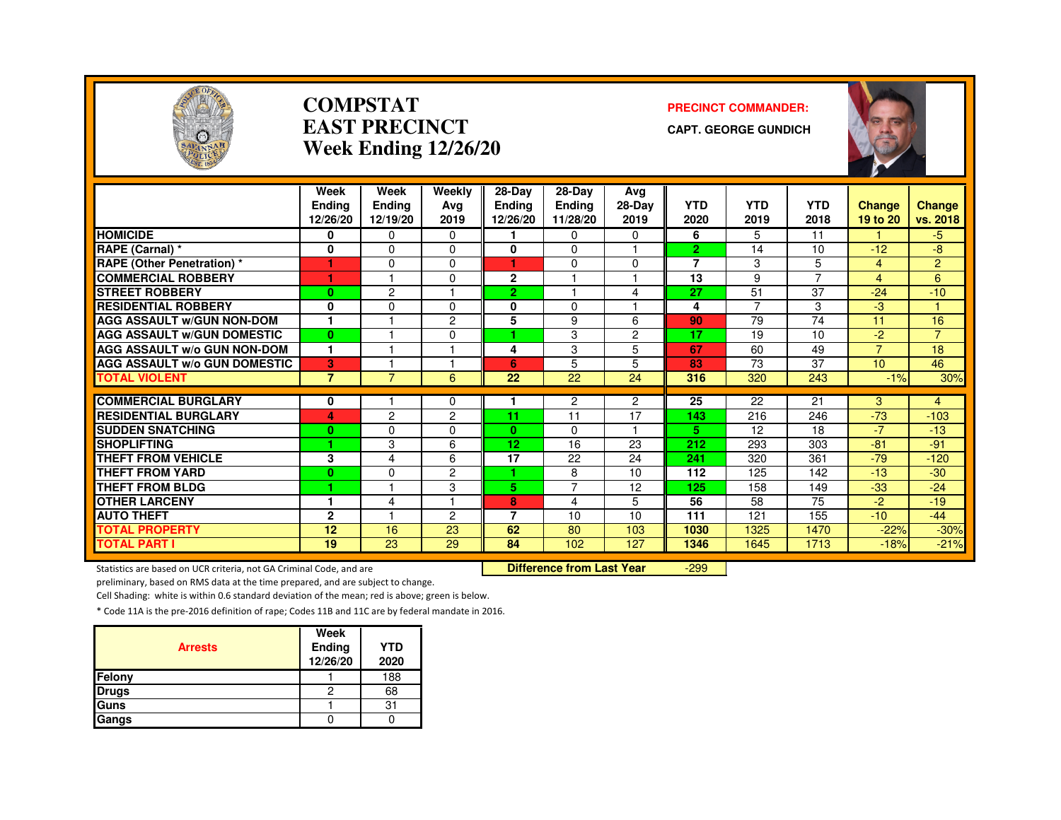

#### **COMPSTATEAST PRECINCTWeek Ending 12/26/20**

#### **PRECINCT COMMANDER:**

**CAPT. GEORGE GUNDICH**



|                                     | Week           | Week           | Weekly         | 28-Day          | 28-Dav         | Avg            |                |                |                |                |                |
|-------------------------------------|----------------|----------------|----------------|-----------------|----------------|----------------|----------------|----------------|----------------|----------------|----------------|
|                                     | <b>Endina</b>  | <b>Ending</b>  | Ava            | Ending          | <b>Ending</b>  | 28-Day         | <b>YTD</b>     | <b>YTD</b>     | <b>YTD</b>     | <b>Change</b>  | <b>Change</b>  |
|                                     | 12/26/20       | 12/19/20       | 2019           | 12/26/20        | 11/28/20       | 2019           | 2020           | 2019           | 2018           | 19 to 20       | vs. 2018       |
| <b>HOMICIDE</b>                     | 0              | 0              | 0              |                 | 0              | 0              | 6              | 5              | 11             |                | -5.            |
| <b>RAPE (Carnal) *</b>              | 0              | 0              | $\Omega$       | 0               | 0              |                | $\overline{2}$ | 14             | 10             | $-12$          | -8             |
| <b>RAPE (Other Penetration) *</b>   | 1              | $\Omega$       | $\Omega$       | и               | $\Omega$       | $\Omega$       | $\overline{7}$ | 3              | 5              | 4              | $\overline{2}$ |
| <b>COMMERCIAL ROBBERY</b>           | 1              |                | $\Omega$       | $\mathbf{2}$    |                |                | 13             | 9              | $\overline{7}$ | 4              | 6              |
| <b>STREET ROBBERY</b>               | $\bf{0}$       | $\overline{c}$ |                | $\overline{2}$  |                | 4              | 27             | 51             | 37             | $-24$          | $-10$          |
| <b>RESIDENTIAL ROBBERY</b>          | 0              | 0              | $\Omega$       | $\mathbf{0}$    | $\Omega$       |                | 4              | $\overline{7}$ | 3              | -3             |                |
| <b>AGG ASSAULT W/GUN NON-DOM</b>    | 1              | н              | $\overline{c}$ | 5               | 9              | 6              | 90             | 79             | 74             | 11             | 16             |
| <b>AGG ASSAULT W/GUN DOMESTIC</b>   | $\mathbf{0}$   | н              | $\Omega$       | ٠               | 3              | $\overline{2}$ | 17             | 19             | 10             | $-2$           | $\overline{7}$ |
| <b>AGG ASSAULT W/o GUN NON-DOM</b>  | 1              | н              |                | 4               | 3              | 5              | 67             | 60             | 49             | $\overline{7}$ | 18             |
| <b>AGG ASSAULT W/o GUN DOMESTIC</b> | 3              |                |                | 6               | 5              | 5              | 83             | 73             | 37             | 10             | 46             |
| <b>TOTAL VIOLENT</b>                | $\overline{7}$ | $\overline{7}$ | 6              | 22              | 22             | 24             | 316            | 320            | 243            | $-1%$          | 30%            |
| <b>COMMERCIAL BURGLARY</b>          | 0              |                | $\Omega$       |                 | 2              | $\overline{c}$ | 25             | 22             | 21             | 3              | 4              |
| <b>RESIDENTIAL BURGLARY</b>         | 4              | 2              | 2              | 11              | 11             | 17             | 143            | 216            | 246            | $-73$          | $-103$         |
| <b>SUDDEN SNATCHING</b>             | $\bf{0}$       | $\Omega$       | $\Omega$       | $\bf{0}$        | $\Omega$       |                | 5.             | 12             | 18             | $-7$           | $-13$          |
| <b>SHOPLIFTING</b>                  | и              | 3              | 6              | 12 <sub>2</sub> | 16             | 23             | 212            | 293            | 303            | $-81$          | $-91$          |
| <b>THEFT FROM VEHICLE</b>           | 3              | 4              | 6              | 17              | 22             | 24             | 241            | 320            | 361            | $-79$          | $-120$         |
| <b>THEFT FROM YARD</b>              | $\mathbf{0}$   | 0              | 2              |                 | 8              | 10             | 112            | 125            | 142            | $-13$          | $-30$          |
| THEFT FROM BLDG                     | ٠              | н              | 3              | 5.              | $\overline{7}$ | 12             | 125            | 158            | 149            | $-33$          | $-24$          |
| <b>OTHER LARCENY</b>                | 1              | 4              |                | 8               | 4              | 5              | 56             | 58             | 75             | $-2$           | $-19$          |
| <b>AUTO THEFT</b>                   | $\mathbf{2}$   |                | $\overline{c}$ | 7               | 10             | 10             | 111            | 121            | 155            | $-10$          | $-44$          |
| <b>TOTAL PROPERTY</b>               | 12             | 16             | 23             | 62              | 80             | 103            | 1030           | 1325           | 1470           | $-22%$         | $-30%$         |
| <b>TOTAL PART I</b>                 | 19             | 23             | 29             | 84              | 102            | 127            | 1346           | 1645           | 1713           | $-18%$         | $-21%$         |
|                                     |                |                |                |                 |                |                |                |                |                |                |                |

Statistics are based on UCR criteria, not GA Criminal Code, and are **Difference from Last Year** 

-299

preliminary, based on RMS data at the time prepared, and are subject to change.

Cell Shading: white is within 0.6 standard deviation of the mean; red is above; green is below.

| <b>Arrests</b> | Week<br>Ending<br>12/26/20 | <b>YTD</b><br>2020 |
|----------------|----------------------------|--------------------|
| Felony         |                            | 188                |
| <b>Drugs</b>   | ς                          | 68                 |
| Guns           |                            | 31                 |
| Gangs          |                            |                    |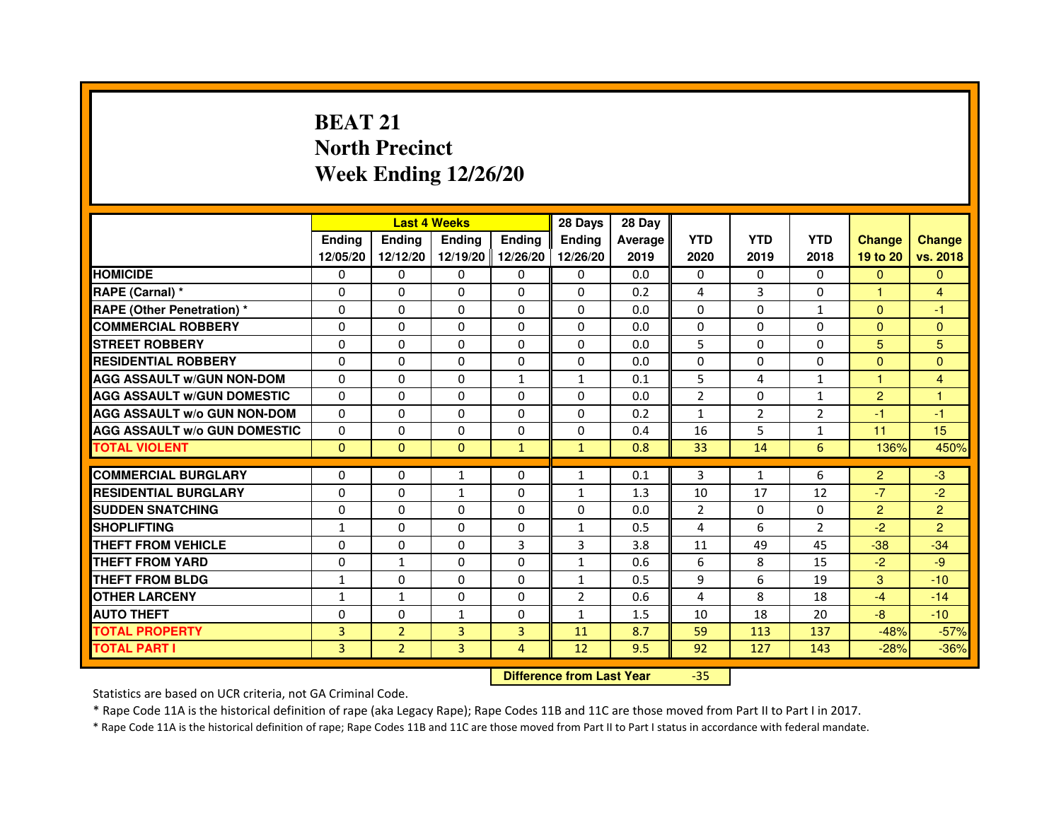# **BEAT 21 North PrecinctWeek Ending 12/26/20**

|                                     |               | <b>Last 4 Weeks</b> |                |                   | 28 Days        | 28 Day  |                |                |                |                |                |
|-------------------------------------|---------------|---------------------|----------------|-------------------|----------------|---------|----------------|----------------|----------------|----------------|----------------|
|                                     | <b>Endina</b> | <b>Endina</b>       | <b>Endina</b>  | <b>Ending</b>     | <b>Endina</b>  | Average | <b>YTD</b>     | <b>YTD</b>     | <b>YTD</b>     | <b>Change</b>  | <b>Change</b>  |
|                                     | 12/05/20      | 12/12/20            |                | 12/19/20 12/26/20 | 12/26/20       | 2019    | 2020           | 2019           | 2018           | 19 to 20       | vs. 2018       |
| <b>HOMICIDE</b>                     | 0             | 0                   | 0              | 0                 | 0              | 0.0     | $\mathbf{0}$   | $\Omega$       | $\Omega$       | $\mathbf{0}$   | $\mathbf{0}$   |
| RAPE (Carnal) *                     | $\Omega$      | $\Omega$            | $\Omega$       | $\Omega$          | $\Omega$       | 0.2     | 4              | 3              | $\Omega$       | $\mathbf{1}$   | $\overline{4}$ |
| <b>RAPE (Other Penetration) *</b>   | 0             | 0                   | $\Omega$       | $\Omega$          | $\Omega$       | 0.0     | $\Omega$       | $\Omega$       | $\mathbf{1}$   | $\Omega$       | $-1$           |
| <b>COMMERCIAL ROBBERY</b>           | 0             | 0                   | $\Omega$       | $\Omega$          | $\Omega$       | 0.0     | $\Omega$       | $\Omega$       | $\Omega$       | $\Omega$       | $\Omega$       |
| <b>STREET ROBBERY</b>               | 0             | $\Omega$            | 0              | $\Omega$          | 0              | 0.0     | 5              | $\Omega$       | $\Omega$       | 5              | 5              |
| <b>RESIDENTIAL ROBBERY</b>          | 0             | $\Omega$            | 0              | 0                 | 0              | 0.0     | 0              | 0              | $\Omega$       | $\Omega$       | $\Omega$       |
| <b>AGG ASSAULT W/GUN NON-DOM</b>    | $\Omega$      | $\mathbf 0$         | $\Omega$       | $\mathbf{1}$      | $\mathbf{1}$   | 0.1     | 5              | 4              | $\mathbf{1}$   | $\mathbf{1}$   | $\overline{4}$ |
| <b>AGG ASSAULT W/GUN DOMESTIC</b>   | $\Omega$      | $\Omega$            | 0              | 0                 | $\Omega$       | 0.0     | $\overline{2}$ | 0              | $\mathbf{1}$   | $\overline{2}$ | 1              |
| <b>AGG ASSAULT W/o GUN NON-DOM</b>  | $\Omega$      | 0                   | $\Omega$       | 0                 | $\Omega$       | 0.2     | 1              | $\overline{2}$ | $\overline{2}$ | $-1$           | $-1$           |
| <b>AGG ASSAULT W/o GUN DOMESTIC</b> | $\Omega$      | 0                   | 0              | $\mathbf{0}$      | $\Omega$       | 0.4     | 16             | 5              | 1              | 11             | 15             |
| <b>TOTAL VIOLENT</b>                | $\Omega$      | $\Omega$            | $\Omega$       | $\mathbf{1}$      | $\mathbf{1}$   | 0.8     | 33             | 14             | 6              | 136%           | 450%           |
|                                     |               |                     |                |                   |                |         |                |                |                |                |                |
| <b>COMMERCIAL BURGLARY</b>          | 0             | 0                   | 1              | 0                 | $\mathbf{1}$   | 0.1     | 3              | $\mathbf{1}$   | 6              | $\overline{2}$ | $-3$           |
| <b>RESIDENTIAL BURGLARY</b>         | 0             | 0                   | 1              | $\Omega$          | 1              | 1.3     | 10             | 17             | 12             | $-7$           | $-2$           |
| <b>SUDDEN SNATCHING</b>             | 0             | 0                   | $\Omega$       | $\Omega$          | $\Omega$       | 0.0     | $\overline{2}$ | $\Omega$       | $\Omega$       | $\overline{2}$ | $\overline{2}$ |
| <b>SHOPLIFTING</b>                  | $\mathbf{1}$  | 0                   | $\Omega$       | $\Omega$          | $\mathbf{1}$   | 0.5     | 4              | 6              | $\overline{2}$ | $-2$           | $\overline{2}$ |
| <b>THEFT FROM VEHICLE</b>           | 0             | $\Omega$            | $\Omega$       | 3                 | 3              | 3.8     | 11             | 49             | 45             | $-38$          | $-34$          |
| <b>THEFT FROM YARD</b>              | 0             | $\mathbf{1}$        | $\Omega$       | $\Omega$          | $\mathbf{1}$   | 0.6     | 6              | 8              | 15             | $-2$           | -9             |
| <b>THEFT FROM BLDG</b>              | 1             | 0                   | 0              | 0                 | 1              | 0.5     | 9              | 6              | 19             | 3              | $-10$          |
| <b>OTHER LARCENY</b>                | 1             | $\mathbf{1}$        | 0              | 0                 | $\overline{2}$ | 0.6     | $\overline{4}$ | 8              | 18             | $-4$           | $-14$          |
| <b>AUTO THEFT</b>                   | $\mathbf 0$   | 0                   | 1              | $\Omega$          | $\mathbf{1}$   | 1.5     | 10             | 18             | 20             | $-8$           | $-10$          |
| <b>TOTAL PROPERTY</b>               | 3             | $\overline{2}$      | 3              | 3                 | 11             | 8.7     | 59             | 113            | 137            | $-48%$         | $-57%$         |
| <b>TOTAL PART I</b>                 | 3             | $\overline{2}$      | $\overline{3}$ | $\overline{4}$    | 12             | 9.5     | 92             | 127            | 143            | $-28%$         | $-36%$         |

 **Difference from Last Year**

-35

Statistics are based on UCR criteria, not GA Criminal Code.

\* Rape Code 11A is the historical definition of rape (aka Legacy Rape); Rape Codes 11B and 11C are those moved from Part II to Part I in 2017.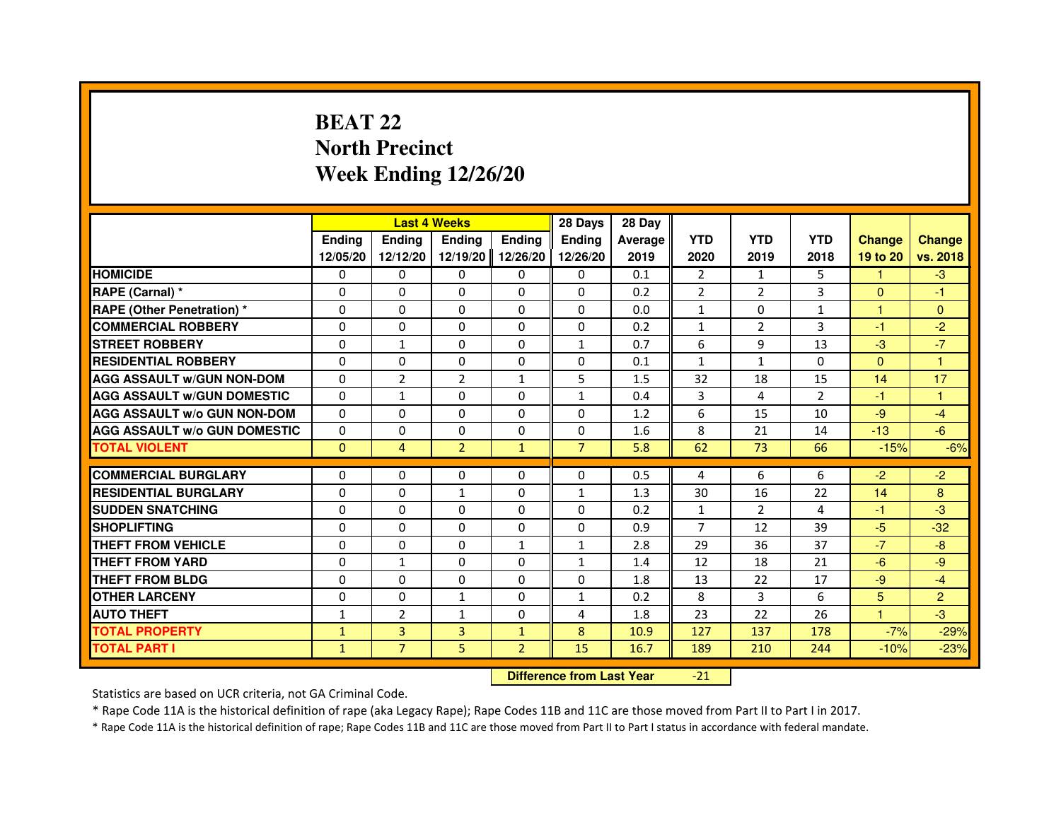# **BEAT 22 North PrecinctWeek Ending 12/26/20**

|                                     |               | <b>Last 4 Weeks</b>              |                |                | 28 Days        | 28 Day  |                |                |                |                |                |
|-------------------------------------|---------------|----------------------------------|----------------|----------------|----------------|---------|----------------|----------------|----------------|----------------|----------------|
|                                     | <b>Ending</b> | <b>Ending</b>                    | <b>Ending</b>  | <b>Ending</b>  | <b>Ending</b>  | Average | <b>YTD</b>     | <b>YTD</b>     | <b>YTD</b>     | <b>Change</b>  | <b>Change</b>  |
|                                     | 12/05/20      | 12/12/20                         | 12/19/20       | 12/26/20       | 12/26/20       | 2019    | 2020           | 2019           | 2018           | 19 to 20       | vs. 2018       |
| <b>HOMICIDE</b>                     | $\Omega$      | $\Omega$                         | $\Omega$       | $\Omega$       | 0              | 0.1     | $\overline{2}$ | $\mathbf{1}$   | 5              | 1.             | $-3$           |
| RAPE (Carnal) *                     | 0             | 0                                | 0              | 0              | 0              | 0.2     | $\overline{2}$ | $\overline{2}$ | 3              | $\mathbf{0}$   | $-1$           |
| <b>RAPE (Other Penetration) *</b>   | $\Omega$      | $\Omega$                         | $\Omega$       | $\Omega$       | $\Omega$       | 0.0     | $\mathbf{1}$   | $\Omega$       | 1              | $\mathbf{1}$   | $\mathbf{0}$   |
| <b>COMMERCIAL ROBBERY</b>           | $\Omega$      | $\Omega$                         | $\Omega$       | $\Omega$       | $\Omega$       | 0.2     | $\mathbf{1}$   | 2              | 3              | $-1$           | $-2$           |
| <b>STREET ROBBERY</b>               | $\Omega$      | $\mathbf{1}$                     | 0              | $\Omega$       | $\mathbf{1}$   | 0.7     | 6              | 9              | 13             | $-3$           | $-7$           |
| <b>RESIDENTIAL ROBBERY</b>          | $\Omega$      | $\Omega$                         | 0              | $\Omega$       | $\Omega$       | 0.1     | $\mathbf{1}$   | $\mathbf{1}$   | $\Omega$       | $\Omega$       | 1              |
| <b>AGG ASSAULT W/GUN NON-DOM</b>    | $\Omega$      | $\overline{2}$                   | $\overline{2}$ | $\mathbf{1}$   | 5              | 1.5     | 32             | 18             | 15             | 14             | 17             |
| <b>AGG ASSAULT w/GUN DOMESTIC</b>   | $\Omega$      | $\mathbf{1}$                     | $\Omega$       | $\Omega$       | $\mathbf{1}$   | 0.4     | 3              | 4              | $\overline{2}$ | $-1$           | $\mathbf{1}$   |
| <b>AGG ASSAULT W/o GUN NON-DOM</b>  | $\Omega$      | 0                                | 0              | 0              | 0              | 1.2     | 6              | 15             | 10             | $-9$           | $-4$           |
| <b>AGG ASSAULT W/o GUN DOMESTIC</b> | $\Omega$      | 0                                | 0              | $\Omega$       | $\Omega$       | 1.6     | 8              | 21             | 14             | $-13$          | $-6$           |
| <b>TOTAL VIOLENT</b>                | $\mathbf{0}$  | $\overline{4}$                   | $\overline{2}$ | $\mathbf{1}$   | $\overline{7}$ | 5.8     | 62             | 73             | 66             | $-15%$         | $-6%$          |
| <b>COMMERCIAL BURGLARY</b>          | 0             | 0                                | 0              | 0              | 0              | 0.5     | 4              | 6              | 6              | $-2$           | $-2$           |
| <b>RESIDENTIAL BURGLARY</b>         | $\Omega$      | $\Omega$                         | $\mathbf{1}$   | $\Omega$       | $\mathbf{1}$   | 1.3     | 30             | 16             | 22             | 14             | 8              |
| <b>SUDDEN SNATCHING</b>             | $\Omega$      | $\Omega$                         | $\Omega$       | $\Omega$       | $\Omega$       | 0.2     | $\mathbf{1}$   | $\overline{2}$ | 4              | $-1$           | $-3$           |
| <b>SHOPLIFTING</b>                  | 0             | 0                                | 0              | 0              | 0              | 0.9     | 7              | 12             | 39             | $-5$           | $-32$          |
| THEFT FROM VEHICLE                  | $\Omega$      | $\Omega$                         | 0              | $\mathbf{1}$   | $\mathbf{1}$   | 2.8     | 29             | 36             | 37             | $-7$           | $-8$           |
| THEFT FROM YARD                     | $\Omega$      | $\mathbf{1}$                     | $\Omega$       | 0              | $\mathbf{1}$   | 1.4     | 12             | 18             | 21             | $-6$           | $-9$           |
| <b>THEFT FROM BLDG</b>              | $\Omega$      | $\Omega$                         | $\Omega$       | $\Omega$       | $\Omega$       | 1.8     | 13             | 22             | 17             | $-9$           | $-4$           |
| <b>OTHER LARCENY</b>                | $\Omega$      | $\Omega$                         | $\mathbf{1}$   | $\Omega$       | $\mathbf{1}$   | 0.2     | 8              | 3              | 6              | 5 <sup>5</sup> | $\overline{2}$ |
| <b>AUTO THEFT</b>                   | $\mathbf{1}$  | $\overline{2}$                   | $\mathbf{1}$   | $\Omega$       | 4              | 1.8     | 23             | 22             | 26             | $\mathbf{1}$   | $-3$           |
| <b>TOTAL PROPERTY</b>               | $\mathbf{1}$  | 3                                | 3              | $\mathbf{1}$   | 8              | 10.9    | 127            | 137            | 178            | $-7%$          | $-29%$         |
| <b>TOTAL PART I</b>                 | $\mathbf{1}$  | $\overline{7}$                   | 5              | $\overline{2}$ | 15             | 16.7    | 189            | 210            | 244            | $-10%$         | $-23%$         |
|                                     |               | <b>Difference from Last Year</b> |                | $-21$          |                |         |                |                |                |                |                |

 **Difference from Last Year**

Statistics are based on UCR criteria, not GA Criminal Code.

\* Rape Code 11A is the historical definition of rape (aka Legacy Rape); Rape Codes 11B and 11C are those moved from Part II to Part I in 2017.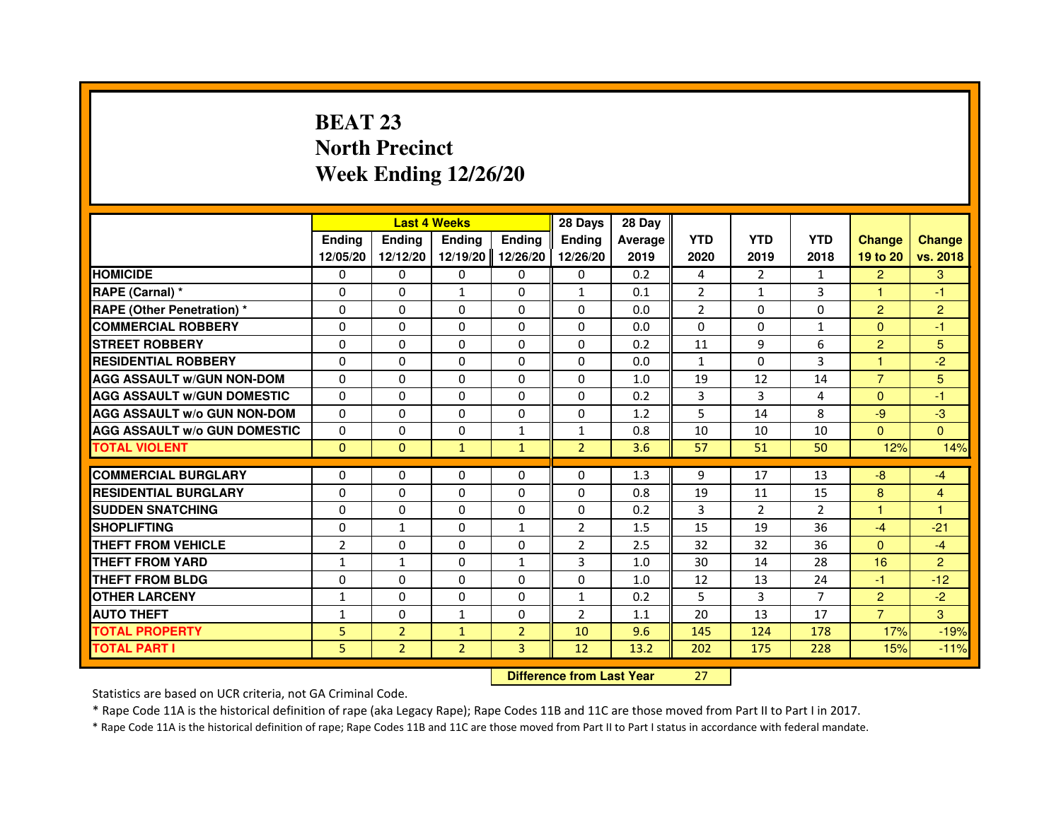# **BEAT 23 North PrecinctWeek Ending 12/26/20**

|                                     |                |                                  | <b>Last 4 Weeks</b> |                | 28 Days        | 28 Day  |                |                |                |                |                |
|-------------------------------------|----------------|----------------------------------|---------------------|----------------|----------------|---------|----------------|----------------|----------------|----------------|----------------|
|                                     | <b>Ending</b>  | Ending                           | <b>Ending</b>       | <b>Ending</b>  | <b>Ending</b>  | Average | <b>YTD</b>     | <b>YTD</b>     | <b>YTD</b>     | <b>Change</b>  | <b>Change</b>  |
|                                     | 12/05/20       | 12/12/20                         | 12/19/20            | 12/26/20       | 12/26/20       | 2019    | 2020           | 2019           | 2018           | 19 to 20       | vs. 2018       |
| <b>HOMICIDE</b>                     | 0              | $\Omega$                         | $\Omega$            | 0              | 0              | 0.2     | 4              | $\overline{2}$ | $\mathbf{1}$   | $\overline{2}$ | 3              |
| RAPE (Carnal) *                     | 0              | 0                                | $\mathbf{1}$        | 0              | $\mathbf{1}$   | 0.1     | $\overline{2}$ | $\mathbf{1}$   | 3              | 1              | -1             |
| RAPE (Other Penetration) *          | $\Omega$       | 0                                | $\Omega$            | $\Omega$       | $\Omega$       | 0.0     | $\overline{2}$ | $\Omega$       | $\Omega$       | $\overline{2}$ | $\overline{2}$ |
| <b>COMMERCIAL ROBBERY</b>           | $\Omega$       | $\Omega$                         | $\Omega$            | $\Omega$       | $\Omega$       | 0.0     | $\Omega$       | $\Omega$       | $\mathbf{1}$   | $\Omega$       | $-1$           |
| <b>STREET ROBBERY</b>               | $\Omega$       | $\Omega$                         | $\Omega$            | $\Omega$       | $\Omega$       | 0.2     | 11             | 9              | 6              | $\overline{2}$ | 5              |
| <b>RESIDENTIAL ROBBERY</b>          | 0              | 0                                | 0                   | 0              | 0              | 0.0     | $\mathbf{1}$   | $\Omega$       | 3              | 1              | $-2$           |
| <b>AGG ASSAULT W/GUN NON-DOM</b>    | $\Omega$       | $\Omega$                         | $\Omega$            | $\Omega$       | $\Omega$       | 1.0     | 19             | 12             | 14             | $\overline{7}$ | 5              |
| <b>AGG ASSAULT W/GUN DOMESTIC</b>   | $\Omega$       | $\Omega$                         | $\Omega$            | $\Omega$       | $\Omega$       | 0.2     | 3              | 3              | 4              | $\Omega$       | $-1$           |
| <b>AGG ASSAULT W/o GUN NON-DOM</b>  | $\Omega$       | $\Omega$                         | $\Omega$            | $\Omega$       | $\Omega$       | 1.2     | 5              | 14             | 8              | $-9$           | $-3$           |
| <b>AGG ASSAULT w/o GUN DOMESTIC</b> | $\Omega$       | $\Omega$                         | 0                   | $\mathbf{1}$   | $\mathbf{1}$   | 0.8     | 10             | 10             | 10             | $\Omega$       | $\Omega$       |
| <b>TOTAL VIOLENT</b>                | $\mathbf{0}$   | $\mathbf{0}$                     | $\mathbf{1}$        | $\mathbf{1}$   | $\overline{2}$ | 3.6     | 57             | 51             | 50             | 12%            | 14%            |
| <b>COMMERCIAL BURGLARY</b>          | 0              | 0                                | 0                   | 0              | 0              | 1.3     | 9              | 17             | 13             | $-8$           | $-4$           |
| <b>RESIDENTIAL BURGLARY</b>         | 0              | $\Omega$                         | $\Omega$            | $\Omega$       | $\Omega$       | 0.8     | 19             | 11             | 15             | 8              | 4              |
| <b>SUDDEN SNATCHING</b>             | $\Omega$       | $\Omega$                         | $\Omega$            | $\Omega$       | $\Omega$       | 0.2     | 3              | $\overline{2}$ | $\overline{2}$ | $\mathbf{1}$   | $\mathbf{1}$   |
| <b>SHOPLIFTING</b>                  | 0              | $\mathbf{1}$                     | 0                   | 1              | $\overline{2}$ | 1.5     | 15             | 19             | 36             | $-4$           | $-21$          |
| THEFT FROM VEHICLE                  | $\overline{2}$ | 0                                | 0                   | 0              | $\overline{2}$ | 2.5     | 32             | 32             | 36             | $\Omega$       | $-4$           |
| <b>THEFT FROM YARD</b>              | 1              | $\mathbf{1}$                     | $\Omega$            | $\mathbf{1}$   | 3              | 1.0     | 30             | 14             | 28             | 16             | $\overline{2}$ |
| <b>THEFT FROM BLDG</b>              | $\Omega$       | $\Omega$                         | $\Omega$            | $\Omega$       | $\Omega$       | 1.0     | 12             | 13             | 24             | $-1$           | $-12$          |
| <b>OTHER LARCENY</b>                | 1              | 0                                | 0                   | 0              | $\mathbf{1}$   | 0.2     | 5              | 3              | $\overline{7}$ | $\overline{2}$ | $-2$           |
| <b>AUTO THEFT</b>                   | $\mathbf{1}$   | $\Omega$                         | $\mathbf{1}$        | $\Omega$       | $\overline{2}$ | 1.1     | 20             | 13             | 17             | $\overline{7}$ | 3              |
| <b>TOTAL PROPERTY</b>               | 5              | $\overline{2}$                   | $\mathbf{1}$        | $\overline{2}$ | 10             | 9.6     | 145            | 124            | 178            | 17%            | $-19%$         |
| <b>TOTAL PART I</b>                 | 5              | $\overline{2}$                   | $\overline{2}$      | 3              | 12             | 13.2    | 202            | 175            | 228            | 15%            | $-11%$         |
|                                     |                | <b>Difference from Last Year</b> |                     | 27             |                |         |                |                |                |                |                |

 **Difference from Last Year**

Statistics are based on UCR criteria, not GA Criminal Code.

\* Rape Code 11A is the historical definition of rape (aka Legacy Rape); Rape Codes 11B and 11C are those moved from Part II to Part I in 2017.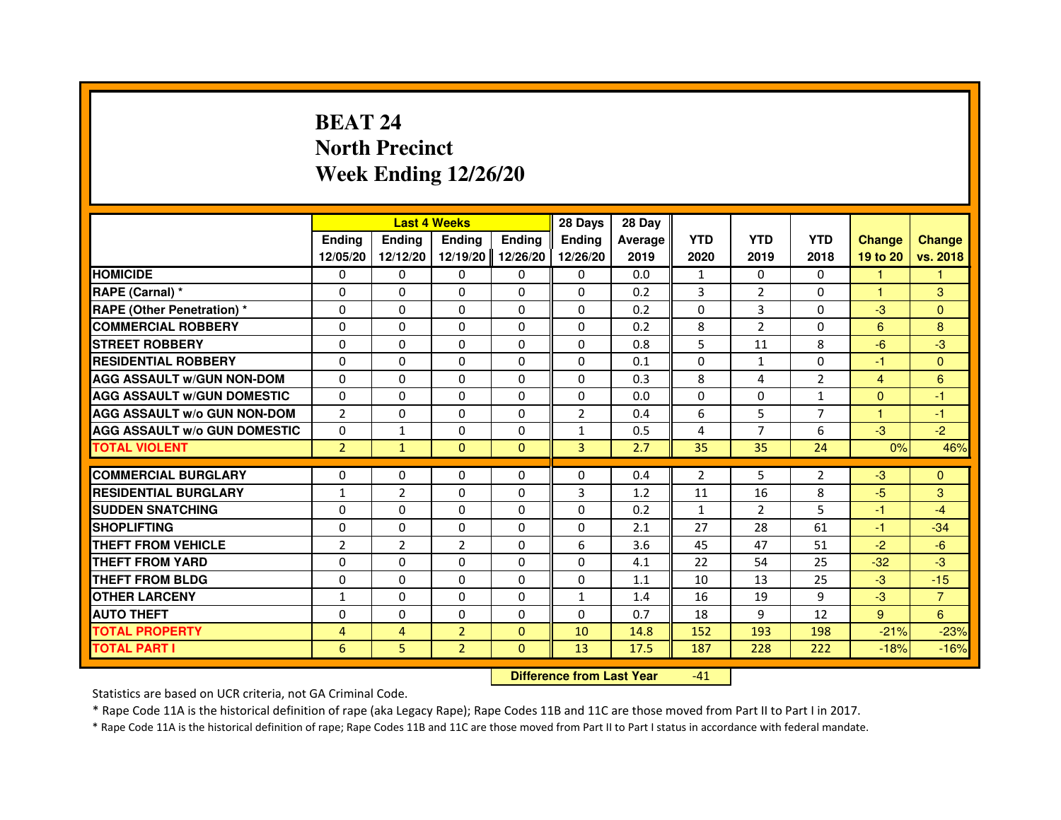# **BEAT 24 North PrecinctWeek Ending 12/26/20**

|                                     |                |                | <b>Last 4 Weeks</b>              |               | 28 Days        | 28 Day  |                |                |                |                |                |
|-------------------------------------|----------------|----------------|----------------------------------|---------------|----------------|---------|----------------|----------------|----------------|----------------|----------------|
|                                     | <b>Ending</b>  | <b>Ending</b>  | <b>Ending</b>                    | <b>Ending</b> | <b>Ending</b>  | Average | <b>YTD</b>     | <b>YTD</b>     | <b>YTD</b>     | <b>Change</b>  | <b>Change</b>  |
|                                     | 12/05/20       | 12/12/20       | 12/19/20                         | 12/26/20      | 12/26/20       | 2019    | 2020           | 2019           | 2018           | 19 to 20       | vs. 2018       |
| <b>HOMICIDE</b>                     | $\Omega$       | $\Omega$       | $\Omega$                         | $\Omega$      | 0              | 0.0     | $\mathbf{1}$   | $\Omega$       | $\Omega$       | 1              | 1.             |
| RAPE (Carnal) *                     | 0              | 0              | 0                                | 0             | 0              | 0.2     | 3              | $\overline{2}$ | 0              | 1              | 3              |
| <b>RAPE (Other Penetration) *</b>   | $\Omega$       | $\Omega$       | $\Omega$                         | $\Omega$      | $\Omega$       | 0.2     | $\Omega$       | 3              | $\Omega$       | $-3$           | $\Omega$       |
| <b>COMMERCIAL ROBBERY</b>           | $\Omega$       | $\Omega$       | $\Omega$                         | $\Omega$      | $\Omega$       | 0.2     | 8              | 2              | $\Omega$       | 6              | 8              |
| <b>STREET ROBBERY</b>               | $\Omega$       | $\Omega$       | $\Omega$                         | $\Omega$      | $\Omega$       | 0.8     | 5              | 11             | 8              | $-6$           | $-3$           |
| <b>RESIDENTIAL ROBBERY</b>          | $\Omega$       | $\Omega$       | $\Omega$                         | $\Omega$      | $\Omega$       | 0.1     | $\Omega$       | $\mathbf{1}$   | 0              | $-1$           | $\Omega$       |
| <b>AGG ASSAULT W/GUN NON-DOM</b>    | $\Omega$       | $\Omega$       | $\Omega$                         | $\Omega$      | $\Omega$       | 0.3     | 8              | 4              | $\overline{2}$ | $\overline{4}$ | 6              |
| <b>AGG ASSAULT W/GUN DOMESTIC</b>   | $\Omega$       | $\Omega$       | $\Omega$                         | $\Omega$      | $\Omega$       | 0.0     | $\Omega$       | $\Omega$       | $\mathbf{1}$   | $\Omega$       | $-1$           |
| <b>AGG ASSAULT W/o GUN NON-DOM</b>  | $\overline{2}$ | 0              | 0                                | 0             | $\overline{2}$ | 0.4     | 6              | 5              | $\overline{7}$ | 1              | $-1$           |
| <b>AGG ASSAULT W/o GUN DOMESTIC</b> | $\Omega$       | 1              | 0                                | $\Omega$      | $\mathbf{1}$   | 0.5     | 4              | $\overline{7}$ | 6              | $-3$           | $-2$           |
| <b>TOTAL VIOLENT</b>                | $\overline{2}$ | $\mathbf{1}$   | $\mathbf{0}$                     | $\mathbf{0}$  | 3              | 2.7     | 35             | 35             | 24             | 0%             | 46%            |
| <b>COMMERCIAL BURGLARY</b>          | 0              | 0              | 0                                | 0             | 0              | 0.4     | $\overline{2}$ | 5              | 2              | $-3$           | $\Omega$       |
| <b>RESIDENTIAL BURGLARY</b>         | $\mathbf{1}$   | $\overline{2}$ | $\Omega$                         | $\Omega$      | 3              | 1.2     | 11             | 16             | 8              | $-5$           | 3              |
| <b>SUDDEN SNATCHING</b>             | $\Omega$       | $\Omega$       | $\Omega$                         | $\Omega$      | $\Omega$       | 0.2     | $\mathbf{1}$   | $\overline{2}$ | 5              | $-1$           | $-4$           |
| <b>SHOPLIFTING</b>                  | 0              | 0              | 0                                | 0             | 0              | 2.1     | 27             | 28             | 61             | $-1$           | $-34$          |
| THEFT FROM VEHICLE                  | $\overline{2}$ | $\overline{2}$ | $\overline{2}$                   | $\Omega$      | 6              | 3.6     | 45             | 47             | 51             | $-2$           | $-6$           |
| THEFT FROM YARD                     | 0              | 0              | $\Omega$                         | 0             | 0              | 4.1     | 22             | 54             | 25             | $-32$          | $-3$           |
| <b>THEFT FROM BLDG</b>              | $\Omega$       | $\Omega$       | $\Omega$                         | $\Omega$      | $\Omega$       | 1.1     | 10             | 13             | 25             | $-3$           | $-15$          |
| <b>OTHER LARCENY</b>                | $\mathbf{1}$   | $\Omega$       | $\Omega$                         | $\Omega$      | $\mathbf{1}$   | 1.4     | 16             | 19             | 9              | $-3$           | $\overline{7}$ |
| <b>AUTO THEFT</b>                   | $\Omega$       | $\Omega$       | $\Omega$                         | $\Omega$      | $\Omega$       | 0.7     | 18             | 9              | 12             | 9              | 6              |
| <b>TOTAL PROPERTY</b>               | $\overline{4}$ | $\overline{4}$ | $\overline{2}$                   | $\Omega$      | 10             | 14.8    | 152            | 193            | 198            | $-21%$         | $-23%$         |
| <b>TOTAL PART I</b>                 | 6              | 5              | $\overline{2}$                   | $\mathbf{0}$  | 13             | 17.5    | 187            | 228            | 222            | $-18%$         | $-16%$         |
|                                     |                |                | <b>Difference from Last Year</b> |               | $-41$          |         |                |                |                |                |                |

 **Difference from Last Year**

Statistics are based on UCR criteria, not GA Criminal Code.

\* Rape Code 11A is the historical definition of rape (aka Legacy Rape); Rape Codes 11B and 11C are those moved from Part II to Part I in 2017.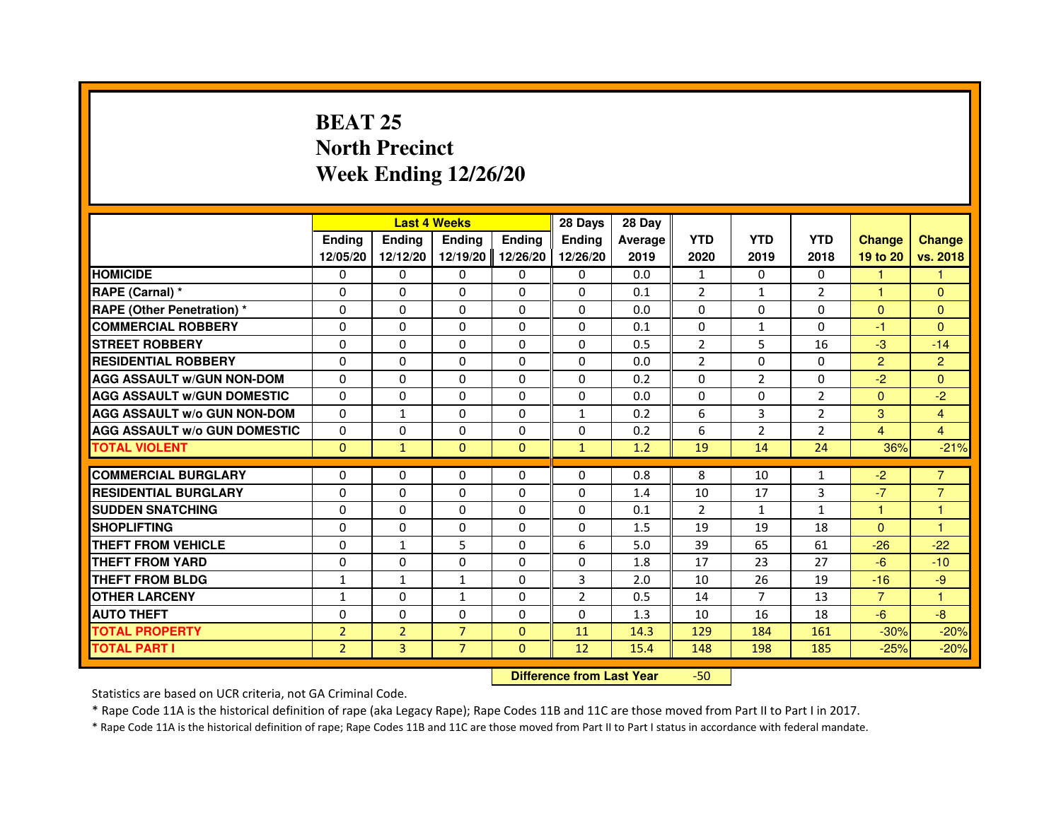# **BEAT 25 North PrecinctWeek Ending 12/26/20**

|                                     |                |                                  | <b>Last 4 Weeks</b> |               | 28 Days        | 28 Day  |                |                |                |                |                |
|-------------------------------------|----------------|----------------------------------|---------------------|---------------|----------------|---------|----------------|----------------|----------------|----------------|----------------|
|                                     | <b>Ending</b>  | <b>Ending</b>                    | <b>Ending</b>       | <b>Ending</b> | <b>Ending</b>  | Average | <b>YTD</b>     | <b>YTD</b>     | <b>YTD</b>     | <b>Change</b>  | <b>Change</b>  |
|                                     | 12/05/20       | 12/12/20                         | 12/19/20            | 12/26/20      | 12/26/20       | 2019    | 2020           | 2019           | 2018           | 19 to 20       | vs. 2018       |
| <b>HOMICIDE</b>                     | 0              | $\Omega$                         | $\mathbf{0}$        | 0             | 0              | 0.0     | $\mathbf{1}$   | $\Omega$       | $\Omega$       | 1.             | 1.             |
| RAPE (Carnal) *                     | 0              | $\Omega$                         | 0                   | $\Omega$      | 0              | 0.1     | $\overline{2}$ | $\mathbf{1}$   | $\overline{2}$ | 1              | $\Omega$       |
| <b>RAPE (Other Penetration) *</b>   | $\Omega$       | $\Omega$                         | $\Omega$            | $\Omega$      | $\Omega$       | 0.0     | $\Omega$       | $\Omega$       | $\Omega$       | $\mathbf{0}$   | $\mathbf{0}$   |
| <b>COMMERCIAL ROBBERY</b>           | 0              | $\Omega$                         | $\Omega$            | $\Omega$      | $\Omega$       | 0.1     | $\mathbf{0}$   | $\mathbf{1}$   | $\mathbf 0$    | $-1$           | $\Omega$       |
| <b>STREET ROBBERY</b>               | $\Omega$       | $\Omega$                         | 0                   | $\Omega$      | $\Omega$       | 0.5     | $\overline{2}$ | 5              | 16             | $-3$           | $-14$          |
| <b>RESIDENTIAL ROBBERY</b>          | $\Omega$       | $\Omega$                         | 0                   | $\Omega$      | $\Omega$       | 0.0     | $\overline{2}$ | $\Omega$       | 0              | $\overline{2}$ | $\overline{2}$ |
| <b>AGG ASSAULT w/GUN NON-DOM</b>    | $\Omega$       | $\Omega$                         | 0                   | $\Omega$      | $\Omega$       | 0.2     | $\Omega$       | $\overline{2}$ | $\Omega$       | $-2$           | $\mathbf{0}$   |
| <b>AGG ASSAULT w/GUN DOMESTIC</b>   | $\Omega$       | $\Omega$                         | $\Omega$            | $\Omega$      | $\Omega$       | 0.0     | $\Omega$       | $\Omega$       | $\overline{2}$ | $\Omega$       | $-2$           |
| <b>AGG ASSAULT w/o GUN NON-DOM</b>  | $\Omega$       | $\mathbf{1}$                     | 0                   | 0             | $\mathbf{1}$   | 0.2     | 6              | 3              | $\overline{2}$ | 3              | 4              |
| <b>AGG ASSAULT W/o GUN DOMESTIC</b> | $\Omega$       | 0                                | 0                   | $\Omega$      | $\Omega$       | 0.2     | 6              | $\overline{2}$ | $\overline{2}$ | $\overline{4}$ | 4              |
| <b>TOTAL VIOLENT</b>                | $\mathbf{0}$   | $\mathbf{1}$                     | $\mathbf{0}$        | $\mathbf{0}$  | $\mathbf{1}$   | 1.2     | 19             | 14             | 24             | 36%            | $-21%$         |
| <b>COMMERCIAL BURGLARY</b>          | 0              | 0                                | 0                   | 0             | 0              | 0.8     | 8              | 10             | 1              | $-2$           | $\overline{7}$ |
| <b>RESIDENTIAL BURGLARY</b>         | $\Omega$       | $\Omega$                         | $\Omega$            | $\Omega$      | $\Omega$       | 1.4     | 10             | 17             | 3              | $-7$           | $\overline{7}$ |
| <b>SUDDEN SNATCHING</b>             | $\Omega$       | $\Omega$                         | $\Omega$            | $\Omega$      | $\Omega$       | 0.1     | $\mathcal{P}$  | $\mathbf{1}$   | $\mathbf{1}$   | 1              | $\mathbf{1}$   |
| <b>SHOPLIFTING</b>                  | 0              | 0                                | 0                   | 0             | 0              | 1.5     | 19             | 19             | 18             | $\Omega$       | $\overline{1}$ |
| <b>THEFT FROM VEHICLE</b>           | $\Omega$       | $\mathbf{1}$                     | 5                   | $\Omega$      | 6              | 5.0     | 39             | 65             | 61             | $-26$          | $-22$          |
| <b>THEFT FROM YARD</b>              | 0              | 0                                | $\Omega$            | 0             | 0              | 1.8     | 17             | 23             | 27             | $-6$           | $-10$          |
| <b>THEFT FROM BLDG</b>              | $\mathbf{1}$   | $\mathbf{1}$                     | $\mathbf{1}$        | $\Omega$      | 3              | 2.0     | 10             | 26             | 19             | $-16$          | $-9$           |
| <b>OTHER LARCENY</b>                | 1              | $\Omega$                         | $\mathbf{1}$        | $\Omega$      | $\overline{2}$ | 0.5     | 14             | 7              | 13             | $\overline{7}$ | 1              |
| <b>AUTO THEFT</b>                   | $\Omega$       | $\Omega$                         | $\Omega$            | $\Omega$      | $\Omega$       | 1.3     | 10             | 16             | 18             | $-6$           | $-8-$          |
| <b>TOTAL PROPERTY</b>               | $\overline{2}$ | $\overline{2}$                   | $\overline{7}$      | $\Omega$      | 11             | 14.3    | 129            | 184            | 161            | $-30%$         | $-20%$         |
| <b>TOTAL PART I</b>                 | $\overline{2}$ | 3                                | $\overline{7}$      | $\mathbf{0}$  | 12             | 15.4    | 148            | 198            | 185            | $-25%$         | $-20%$         |
|                                     |                | <b>Difference from Last Year</b> |                     | $-50$         |                |         |                |                |                |                |                |

 **Difference from Last Year**

Statistics are based on UCR criteria, not GA Criminal Code.

\* Rape Code 11A is the historical definition of rape (aka Legacy Rape); Rape Codes 11B and 11C are those moved from Part II to Part I in 2017.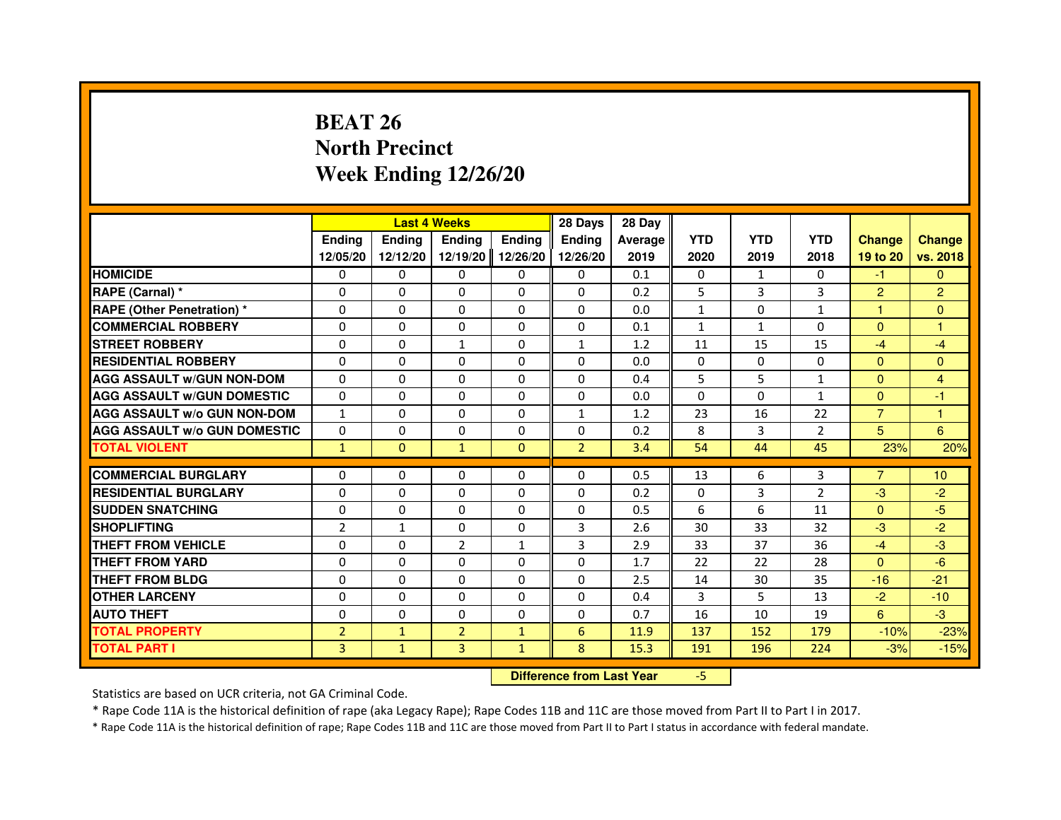# **BEAT 26 North PrecinctWeek Ending 12/26/20**

|                                     |                |               | <b>Last 4 Weeks</b>              |               | 28 Days        | 28 Day  |              |              |                |                |                |
|-------------------------------------|----------------|---------------|----------------------------------|---------------|----------------|---------|--------------|--------------|----------------|----------------|----------------|
|                                     | <b>Ending</b>  | <b>Ending</b> | <b>Ending</b>                    | <b>Ending</b> | <b>Ending</b>  | Average | <b>YTD</b>   | <b>YTD</b>   | <b>YTD</b>     | <b>Change</b>  | <b>Change</b>  |
|                                     | 12/05/20       | 12/12/20      | 12/19/20                         | 12/26/20      | 12/26/20       | 2019    | 2020         | 2019         | 2018           | 19 to 20       | vs. 2018       |
| <b>HOMICIDE</b>                     | $\Omega$       | $\Omega$      | $\Omega$                         | $\Omega$      | 0              | 0.1     | 0            | $\mathbf{1}$ | $\Omega$       | $-1$           | $\Omega$       |
| RAPE (Carnal) *                     | 0              | 0             | 0                                | 0             | 0              | 0.2     | 5            | 3            | 3              | $\overline{2}$ | $\overline{2}$ |
| <b>RAPE (Other Penetration) *</b>   | $\Omega$       | $\Omega$      | $\Omega$                         | $\Omega$      | $\Omega$       | 0.0     | $\mathbf{1}$ | $\Omega$     | $\mathbf{1}$   | $\mathbf{1}$   | $\mathbf{0}$   |
| <b>COMMERCIAL ROBBERY</b>           | $\Omega$       | $\Omega$      | $\Omega$                         | $\Omega$      | $\Omega$       | 0.1     | $\mathbf{1}$ | $\mathbf{1}$ | $\Omega$       | $\Omega$       | $\mathbf{1}$   |
| <b>STREET ROBBERY</b>               | $\Omega$       | $\Omega$      | $\mathbf{1}$                     | $\Omega$      | $\mathbf{1}$   | 1.2     | 11           | 15           | 15             | $-4$           | $-4$           |
| <b>RESIDENTIAL ROBBERY</b>          | $\Omega$       | $\Omega$      | $\Omega$                         | $\Omega$      | $\Omega$       | 0.0     | $\Omega$     | $\Omega$     | $\Omega$       | $\Omega$       | $\Omega$       |
| <b>AGG ASSAULT W/GUN NON-DOM</b>    | $\Omega$       | $\Omega$      | $\Omega$                         | $\Omega$      | $\Omega$       | 0.4     | 5            | 5            | $\mathbf{1}$   | $\Omega$       | 4              |
| <b>AGG ASSAULT W/GUN DOMESTIC</b>   | $\Omega$       | $\Omega$      | $\Omega$                         | $\Omega$      | $\Omega$       | 0.0     | $\Omega$     | $\Omega$     | 1              | $\Omega$       | $-1$           |
| <b>AGG ASSAULT W/o GUN NON-DOM</b>  | $\mathbf{1}$   | 0             | 0                                | 0             | $\mathbf{1}$   | 1.2     | 23           | 16           | 22             | $\overline{7}$ | 1              |
| <b>AGG ASSAULT W/o GUN DOMESTIC</b> | $\Omega$       | 0             | 0                                | $\Omega$      | $\Omega$       | 0.2     | 8            | 3            | 2              | 5              | 6              |
| <b>TOTAL VIOLENT</b>                | $\mathbf{1}$   | $\mathbf 0$   | $\mathbf{1}$                     | $\mathbf{0}$  | $\overline{2}$ | 3.4     | 54           | 44           | 45             | 23%            | 20%            |
| <b>COMMERCIAL BURGLARY</b>          | 0              | 0             | 0                                | 0             | 0              | 0.5     | 13           | 6            | 3              | $\overline{7}$ | 10             |
| <b>RESIDENTIAL BURGLARY</b>         | $\Omega$       | $\Omega$      | $\Omega$                         | $\Omega$      | $\Omega$       | 0.2     | $\Omega$     | 3            | $\overline{2}$ | $-3$           | $-2$           |
| <b>SUDDEN SNATCHING</b>             | $\Omega$       | $\Omega$      | $\Omega$                         | $\Omega$      | $\Omega$       | 0.5     | 6            | 6            | 11             | $\Omega$       | $-5$           |
| <b>SHOPLIFTING</b>                  | 2              | 1             | 0                                | 0             | 3              | 2.6     | 30           | 33           | 32             | $-3$           | $-2$           |
| THEFT FROM VEHICLE                  | $\Omega$       | $\Omega$      | $\overline{2}$                   | $\mathbf{1}$  | 3              | 2.9     | 33           | 37           | 36             | $-4$           | $-3$           |
| THEFT FROM YARD                     | $\Omega$       | 0             | $\Omega$                         | 0             | 0              | 1.7     | 22           | 22           | 28             | $\mathbf{0}$   | $-6$           |
| <b>THEFT FROM BLDG</b>              | $\Omega$       | $\Omega$      | $\Omega$                         | $\Omega$      | $\Omega$       | 2.5     | 14           | 30           | 35             | $-16$          | $-21$          |
| <b>OTHER LARCENY</b>                | $\Omega$       | $\Omega$      | $\Omega$                         | $\Omega$      | $\Omega$       | 0.4     | 3            | 5            | 13             | $-2$           | $-10$          |
| <b>AUTO THEFT</b>                   | $\Omega$       | $\Omega$      | $\Omega$                         | $\Omega$      | $\Omega$       | 0.7     | 16           | 10           | 19             | 6              | $-3$           |
| <b>TOTAL PROPERTY</b>               | $\overline{2}$ | $\mathbf{1}$  | $\overline{2}$                   | $\mathbf{1}$  | $6\phantom{1}$ | 11.9    | 137          | 152          | 179            | $-10%$         | $-23%$         |
| <b>TOTAL PART I</b>                 | 3              | $\mathbf{1}$  | 3                                | $\mathbf{1}$  | 8              | 15.3    | 191          | 196          | 224            | $-3%$          | $-15%$         |
|                                     |                |               | <b>Difference from Last Year</b> |               | $-5$           |         |              |              |                |                |                |

 **Difference from Last Year**

Statistics are based on UCR criteria, not GA Criminal Code.

\* Rape Code 11A is the historical definition of rape (aka Legacy Rape); Rape Codes 11B and 11C are those moved from Part II to Part I in 2017.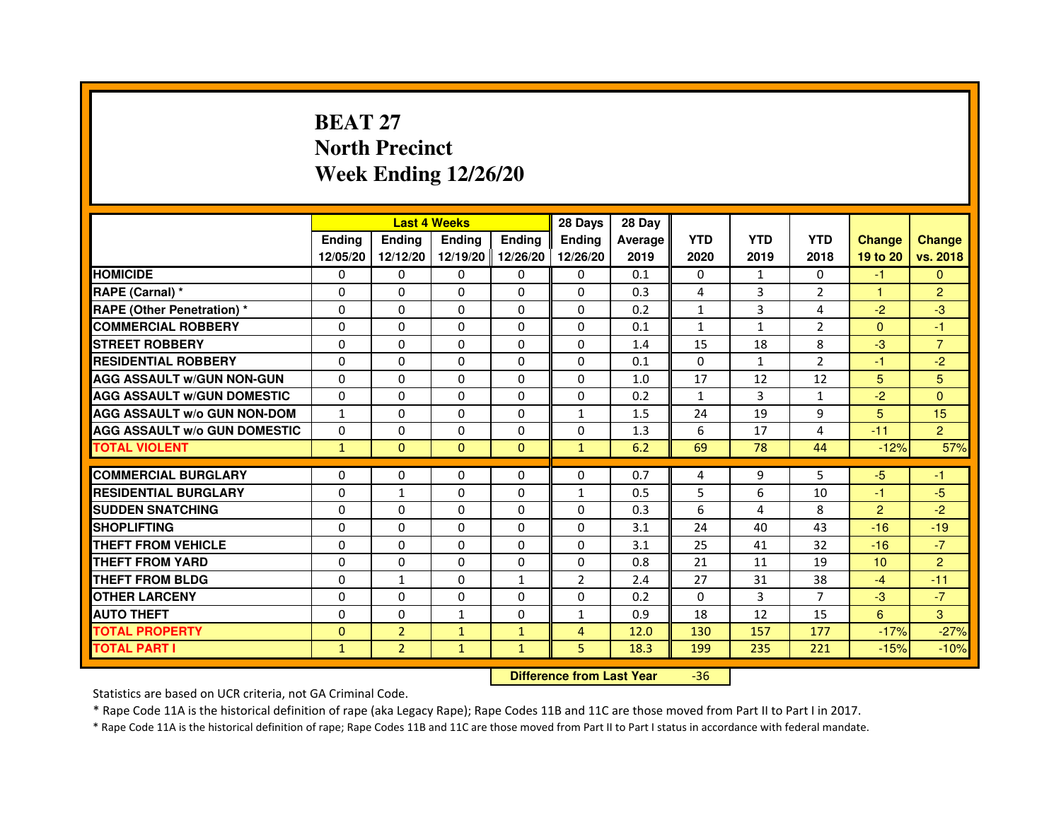# **BEAT 27 North PrecinctWeek Ending 12/26/20**

|                                     |               | <b>Last 4 Weeks</b> |               |                   | 28 Days        | 28 Day  |              |                |                |                 |                |
|-------------------------------------|---------------|---------------------|---------------|-------------------|----------------|---------|--------------|----------------|----------------|-----------------|----------------|
|                                     | <b>Endina</b> | <b>Endina</b>       | <b>Endina</b> | <b>Ending</b>     | <b>Endina</b>  | Average | <b>YTD</b>   | <b>YTD</b>     | <b>YTD</b>     | <b>Change</b>   | <b>Change</b>  |
|                                     | 12/05/20      | 12/12/20            |               | 12/19/20 12/26/20 | 12/26/20       | 2019    | 2020         | 2019           | 2018           | 19 to 20        | vs. 2018       |
| <b>HOMICIDE</b>                     | 0             | 0                   | $\mathbf{0}$  | 0                 | 0              | 0.1     | $\mathbf{0}$ | 1              | $\mathbf{0}$   | $-1$            | $\mathbf{0}$   |
| RAPE (Carnal) *                     | $\Omega$      | $\Omega$            | $\Omega$      | $\Omega$          | $\Omega$       | 0.3     | 4            | 3              | $\overline{2}$ | $\mathbf{1}$    | $\overline{2}$ |
| <b>RAPE (Other Penetration) *</b>   | 0             | $\Omega$            | 0             | $\Omega$          | $\Omega$       | 0.2     | $\mathbf{1}$ | 3              | 4              | $-2$            | $-3$           |
| <b>COMMERCIAL ROBBERY</b>           | 0             | 0                   | 0             | 0                 | $\Omega$       | 0.1     | $\mathbf{1}$ | $\mathbf{1}$   | 2              | $\mathbf{0}$    | $-1$           |
| <b>STREET ROBBERY</b>               | 0             | 0                   | 0             | 0                 | 0              | 1.4     | 15           | 18             | 8              | $-3$            | $\overline{7}$ |
| <b>RESIDENTIAL ROBBERY</b>          | 0             | $\Omega$            | $\Omega$      | $\Omega$          | $\Omega$       | 0.1     | $\Omega$     | $\mathbf{1}$   | $\overline{2}$ | $-1$            | $-2$           |
| <b>AGG ASSAULT W/GUN NON-GUN</b>    | $\Omega$      | $\mathbf 0$         | $\Omega$      | $\Omega$          | $\Omega$       | 1.0     | 17           | 12             | 12             | 5               | 5              |
| <b>AGG ASSAULT W/GUN DOMESTIC</b>   | 0             | 0                   | 0             | 0                 | 0              | 0.2     | $\mathbf{1}$ | 3              | $\mathbf{1}$   | $-2$            | $\Omega$       |
| <b>AGG ASSAULT W/o GUN NON-DOM</b>  | $\mathbf{1}$  | 0                   | 0             | $\Omega$          | $\mathbf{1}$   | 1.5     | 24           | 19             | 9              | 5               | 15             |
| <b>AGG ASSAULT W/o GUN DOMESTIC</b> | $\Omega$      | $\Omega$            | 0             | $\Omega$          | 0              | 1.3     | 6            | 17             | 4              | $-11$           | $\overline{2}$ |
| <b>TOTAL VIOLENT</b>                | $\mathbf{1}$  | $\mathbf{0}$        | $\Omega$      | $\Omega$          | $\mathbf{1}$   | 6.2     | 69           | 78             | 44             | $-12%$          | 57%            |
|                                     |               |                     |               |                   |                |         |              |                |                |                 |                |
| <b>COMMERCIAL BURGLARY</b>          | 0             | 0                   | 0             | 0                 | $\Omega$       | 0.7     | 4            | 9              | 5              | $-5$            | -1             |
| <b>RESIDENTIAL BURGLARY</b>         | 0             | $\mathbf{1}$        | 0             | $\Omega$          | $\mathbf{1}$   | 0.5     | 5            | 6              | 10             | $-1$            | $-5$           |
| <b>SUDDEN SNATCHING</b>             | 0             | 0                   | 0             | $\Omega$          | $\Omega$       | 0.3     | 6            | $\overline{a}$ | 8              | $\overline{2}$  | $-2$           |
| <b>SHOPLIFTING</b>                  | 0             | $\Omega$            | $\Omega$      | $\Omega$          | $\Omega$       | 3.1     | 24           | 40             | 43             | $-16$           | $-19$          |
| <b>THEFT FROM VEHICLE</b>           | 0             | $\Omega$            | $\Omega$      | $\Omega$          | $\Omega$       | 3.1     | 25           | 41             | 32             | $-16$           | $-7$           |
| <b>THEFT FROM YARD</b>              | $\Omega$      | $\Omega$            | $\Omega$      | $\Omega$          | $\Omega$       | 0.8     | 21           | 11             | 19             | 10 <sup>1</sup> | $\overline{2}$ |
| <b>THEFT FROM BLDG</b>              | 0             | 1                   | 0             | 1                 | $\overline{2}$ | 2.4     | 27           | 31             | 38             | $-4$            | $-11$          |
| <b>OTHER LARCENY</b>                | 0             | 0                   | $\Omega$      | $\Omega$          | $\Omega$       | 0.2     | $\Omega$     | 3              | 7              | $-3$            | $-7$           |
| <b>AUTO THEFT</b>                   | $\mathbf 0$   | 0                   | $\mathbf{1}$  | $\Omega$          | $\mathbf{1}$   | 0.9     | 18           | 12             | 15             | 6               | 3              |
| <b>TOTAL PROPERTY</b>               | $\Omega$      | $\overline{2}$      | $\mathbf{1}$  | $\mathbf{1}$      | 4              | 12.0    | 130          | 157            | 177            | $-17%$          | $-27%$         |
| <b>TOTAL PART I</b>                 | $\mathbf{1}$  | $\overline{2}$      | $\mathbf{1}$  | $\mathbf{1}$      | 5              | 18.3    | 199          | 235            | 221            | $-15%$          | $-10%$         |

 **Difference from Last Year**-36

Statistics are based on UCR criteria, not GA Criminal Code.

\* Rape Code 11A is the historical definition of rape (aka Legacy Rape); Rape Codes 11B and 11C are those moved from Part II to Part I in 2017.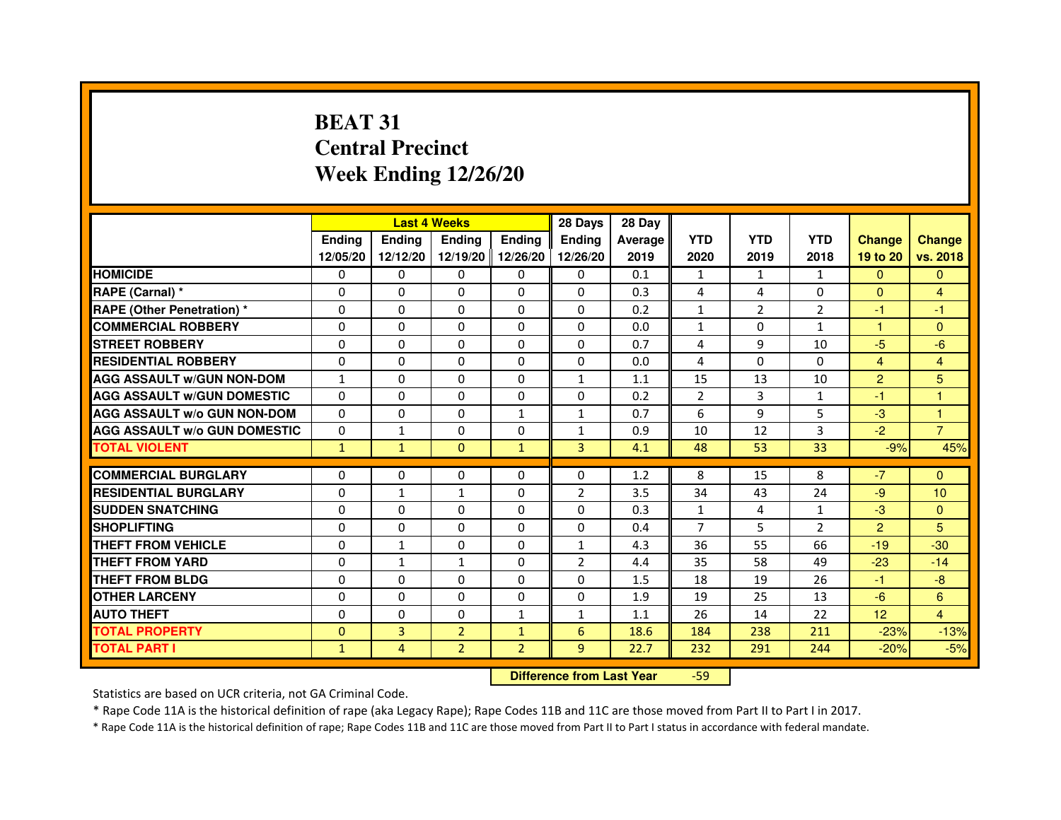# **BEAT 31 Central PrecinctWeek Ending 12/26/20**

|                                     |               | <b>Last 4 Weeks</b> |                   |                | 28 Days        | 28 Day  |                |                |                |                |                |
|-------------------------------------|---------------|---------------------|-------------------|----------------|----------------|---------|----------------|----------------|----------------|----------------|----------------|
|                                     | <b>Endina</b> | <b>Ending</b>       | <b>Ending</b>     | <b>Endina</b>  | <b>Endina</b>  | Average | <b>YTD</b>     | <b>YTD</b>     | <b>YTD</b>     | <b>Change</b>  | <b>Change</b>  |
|                                     | 12/05/20      | 12/12/20            | 12/19/20 12/26/20 |                | 12/26/20       | 2019    | 2020           | 2019           | 2018           | 19 to 20       | vs. 2018       |
| <b>HOMICIDE</b>                     | 0             | 0                   | 0                 | 0              | 0              | 0.1     | 1              | $\mathbf{1}$   | $\mathbf{1}$   | $\mathbf{0}$   | $\mathbf{0}$   |
| RAPE (Carnal) *                     | $\Omega$      | $\Omega$            | $\Omega$          | $\Omega$       | $\Omega$       | 0.3     | 4              | 4              | $\Omega$       | $\Omega$       | $\overline{4}$ |
| <b>RAPE (Other Penetration) *</b>   | $\Omega$      | $\Omega$            | $\Omega$          | $\Omega$       | $\Omega$       | 0.2     | $\mathbf{1}$   | $\overline{2}$ | $\overline{2}$ | $-1$           | $-1$           |
| <b>COMMERCIAL ROBBERY</b>           | 0             | 0                   | $\Omega$          | 0              | $\Omega$       | 0.0     | $\mathbf{1}$   | $\Omega$       | 1              | 1              | $\Omega$       |
| <b>STREET ROBBERY</b>               | $\Omega$      | 0                   | $\Omega$          | 0              | 0              | 0.7     | 4              | 9              | 10             | $-5$           | $-6$           |
| <b>RESIDENTIAL ROBBERY</b>          | $\Omega$      | $\Omega$            | $\Omega$          | 0              | 0              | 0.0     | 4              | $\Omega$       | $\Omega$       | $\overline{4}$ | $\overline{4}$ |
| <b>AGG ASSAULT w/GUN NON-DOM</b>    | $\mathbf{1}$  | 0                   | $\mathbf 0$       | 0              | $\mathbf{1}$   | 1.1     | 15             | 13             | 10             | $\overline{2}$ | 5              |
| <b>AGG ASSAULT W/GUN DOMESTIC</b>   | $\Omega$      | 0                   | 0                 | 0              | 0              | 0.2     | $\overline{2}$ | 3              | $\mathbf{1}$   | $-1$           | 1              |
| <b>AGG ASSAULT W/o GUN NON-DOM</b>  | $\Omega$      | $\Omega$            | $\Omega$          | $\mathbf{1}$   | 1              | 0.7     | 6              | 9              | 5              | $-3$           | 1              |
| <b>AGG ASSAULT W/o GUN DOMESTIC</b> | $\Omega$      | 1                   | $\Omega$          | 0              | 1              | 0.9     | 10             | 12             | 3              | $-2$           | $\overline{7}$ |
| <b>TOTAL VIOLENT</b>                | $\mathbf{1}$  | $\mathbf{1}$        | $\Omega$          | $\mathbf{1}$   | 3              | 4.1     | 48             | 53             | 33             | $-9%$          | 45%            |
|                                     |               |                     |                   |                |                |         |                |                |                |                |                |
| <b>COMMERCIAL BURGLARY</b>          | $\Omega$      | $\Omega$            | $\Omega$          | $\Omega$       | $\Omega$       | 1.2     | 8              | 15             | 8              | $-7$           | $\Omega$       |
| <b>RESIDENTIAL BURGLARY</b>         | $\Omega$      | 1                   | 1                 | 0              | $\overline{2}$ | 3.5     | 34             | 43             | 24             | $-9$           | 10             |
| <b>SUDDEN SNATCHING</b>             | $\Omega$      | $\Omega$            | 0                 | 0              | 0              | 0.3     | $\mathbf{1}$   | 4              | $\mathbf{1}$   | $-3$           | $\Omega$       |
| <b>SHOPLIFTING</b>                  | 0             | $\mathbf 0$         | 0                 | 0              | 0              | 0.4     | $\overline{7}$ | 5              | $\overline{2}$ | $\overline{2}$ | 5              |
| <b>THEFT FROM VEHICLE</b>           | 0             | $\mathbf{1}$        | $\Omega$          | $\Omega$       | $\mathbf{1}$   | 4.3     | 36             | 55             | 66             | $-19$          | $-30$          |
| <b>THEFT FROM YARD</b>              | 0             | $\mathbf{1}$        | $\mathbf{1}$      | $\Omega$       | $\overline{2}$ | 4.4     | 35             | 58             | 49             | $-23$          | $-14$          |
| <b>THEFT FROM BLDG</b>              | $\Omega$      | $\Omega$            | 0                 | 0              | 0              | 1.5     | 18             | 19             | 26             | $-1$           | $-8$           |
| <b>OTHER LARCENY</b>                | $\Omega$      | $\Omega$            | $\Omega$          | 0              | 0              | 1.9     | 19             | 25             | 13             | $-6$           | 6              |
| <b>AUTO THEFT</b>                   | $\mathbf 0$   | $\mathbf 0$         | 0                 | $\mathbf{1}$   | $\mathbf{1}$   | 1.1     | 26             | 14             | 22             | 12             | $\overline{4}$ |
| <b>TOTAL PROPERTY</b>               | $\Omega$      | 3                   | $\overline{2}$    | $\mathbf{1}$   | 6              | 18.6    | 184            | 238            | 211            | $-23%$         | $-13%$         |
| <b>TOTAL PART I</b>                 | $\mathbf{1}$  | 4                   | $\overline{2}$    | $\overline{2}$ | 9              | 22.7    | 232            | 291            | 244            | $-20%$         | $-5%$          |

 **Difference from Last Year**-59

Statistics are based on UCR criteria, not GA Criminal Code.

\* Rape Code 11A is the historical definition of rape (aka Legacy Rape); Rape Codes 11B and 11C are those moved from Part II to Part I in 2017.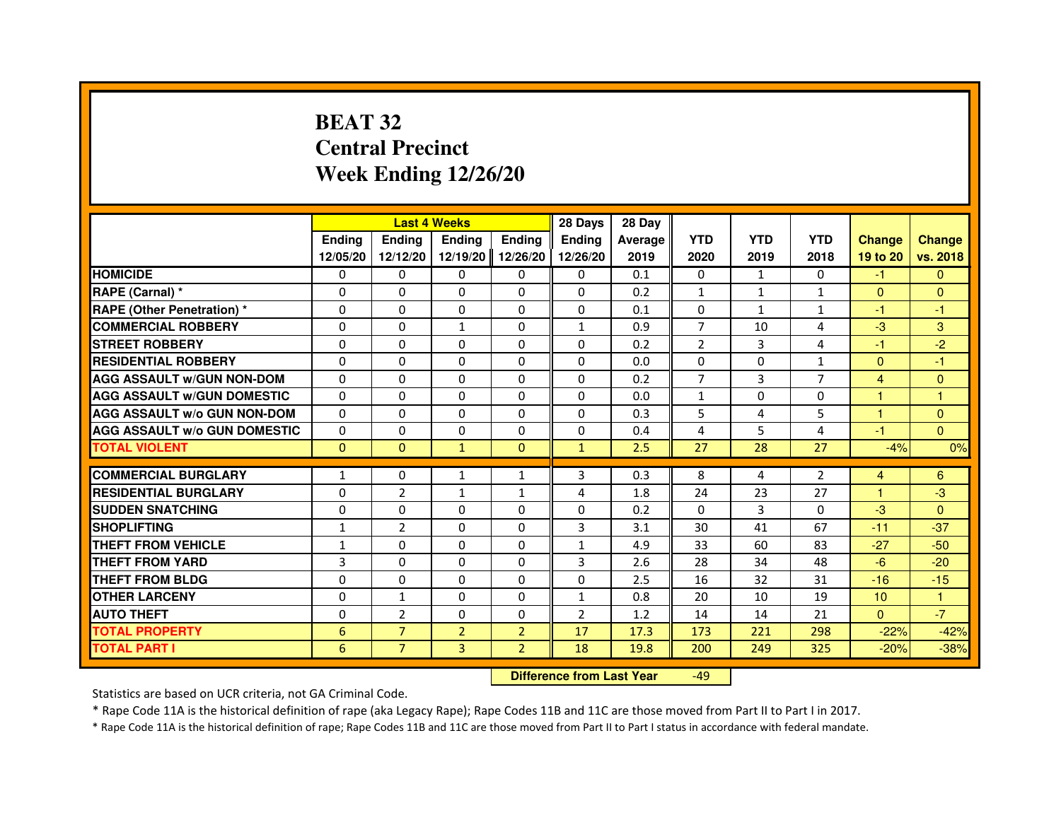# **BEAT 32 Central PrecinctWeek Ending 12/26/20**

|                                     |               |                | <b>Last 4 Weeks</b>              |                | 28 Days       | 28 Day  |                |              |              |                 |               |
|-------------------------------------|---------------|----------------|----------------------------------|----------------|---------------|---------|----------------|--------------|--------------|-----------------|---------------|
|                                     | <b>Ending</b> | <b>Endina</b>  | <b>Ending</b>                    | <b>Ending</b>  | <b>Ending</b> | Average | <b>YTD</b>     | <b>YTD</b>   | <b>YTD</b>   | <b>Change</b>   | <b>Change</b> |
|                                     | 12/05/20      | 12/12/20       | 12/19/20                         | 12/26/20       | 12/26/20      | 2019    | 2020           | 2019         | 2018         | 19 to 20        | vs. 2018      |
| <b>HOMICIDE</b>                     | 0             | $\Omega$       | $\Omega$                         | 0              | 0             | 0.1     | 0              | $\mathbf{1}$ | $\Omega$     | $-1$            | $\mathbf{0}$  |
| RAPE (Carnal) *                     | 0             | 0              | 0                                | 0              | 0             | 0.2     | $\mathbf{1}$   | $\mathbf{1}$ | $\mathbf{1}$ | $\Omega$        | $\Omega$      |
| <b>RAPE (Other Penetration) *</b>   | 0             | $\Omega$       | $\Omega$                         | $\Omega$       | $\Omega$      | 0.1     | 0              | $\mathbf{1}$ | $\mathbf{1}$ | $-1$            | $-1$          |
| <b>COMMERCIAL ROBBERY</b>           | $\Omega$      | $\Omega$       | $\mathbf{1}$                     | $\Omega$       | $\mathbf{1}$  | 0.9     | $\overline{7}$ | 10           | 4            | $-3$            | 3             |
| <b>STREET ROBBERY</b>               | $\Omega$      | $\Omega$       | $\Omega$                         | $\Omega$       | 0             | 0.2     | $\overline{2}$ | 3            | 4            | $-1$            | $-2$          |
| <b>RESIDENTIAL ROBBERY</b>          | $\Omega$      | $\Omega$       | $\Omega$                         | $\Omega$       | $\Omega$      | 0.0     | $\Omega$       | $\Omega$     | $\mathbf{1}$ | $\Omega$        | $-1$          |
| <b>AGG ASSAULT W/GUN NON-DOM</b>    | $\Omega$      | $\Omega$       | 0                                | $\Omega$       | 0             | 0.2     | $\overline{7}$ | 3            | 7            | 4               | $\mathbf{0}$  |
| <b>AGG ASSAULT W/GUN DOMESTIC</b>   | $\Omega$      | $\Omega$       | $\Omega$                         | $\Omega$       | $\Omega$      | 0.0     | $\mathbf{1}$   | $\Omega$     | $\Omega$     | 1               | $\mathbf{1}$  |
| <b>AGG ASSAULT W/o GUN NON-DOM</b>  | $\Omega$      | 0              | 0                                | 0              | 0             | 0.3     | 5              | 4            | 5            | 1               | $\mathbf{0}$  |
| <b>AGG ASSAULT W/o GUN DOMESTIC</b> | $\Omega$      | 0              | 0                                | $\Omega$       | $\Omega$      | 0.4     | 4              | 5            | 4            | $-1$            | $\Omega$      |
| <b>TOTAL VIOLENT</b>                | $\mathbf{0}$  | $\mathbf{0}$   | $\mathbf{1}$                     | $\mathbf{0}$   | $\mathbf{1}$  | 2.5     | 27             | 28           | 27           | $-4%$           | 0%            |
| <b>COMMERCIAL BURGLARY</b>          | 1             | 0              | 1                                | $\mathbf{1}$   | 3             | 0.3     | 8              | 4            | 2            | 4               | 6             |
| <b>RESIDENTIAL BURGLARY</b>         | $\Omega$      | $\overline{2}$ | 1                                | 1              | 4             | 1.8     | 24             | 23           | 27           | 1               | $-3$          |
| <b>SUDDEN SNATCHING</b>             | $\Omega$      | $\Omega$       | $\Omega$                         | $\Omega$       | $\Omega$      | 0.2     | $\Omega$       | 3            | $\Omega$     | $-3$            | $\Omega$      |
| <b>SHOPLIFTING</b>                  | 1             | $\overline{2}$ | 0                                | 0              | 3             | 3.1     | 30             | 41           | 67           | $-11$           | $-37$         |
| THEFT FROM VEHICLE                  | $\mathbf{1}$  | $\Omega$       | $\Omega$                         | $\Omega$       | $\mathbf{1}$  | 4.9     | 33             | 60           | 83           | $-27$           | $-50$         |
| <b>THEFT FROM YARD</b>              | 3             | $\Omega$       | $\Omega$                         | $\Omega$       | 3             | 2.6     | 28             | 34           | 48           | $-6$            | $-20$         |
| <b>THEFT FROM BLDG</b>              | $\Omega$      | $\Omega$       | $\Omega$                         | $\Omega$       | $\Omega$      | 2.5     | 16             | 32           | 31           | $-16$           | $-15$         |
| <b>OTHER LARCENY</b>                | 0             | $\mathbf{1}$   | $\Omega$                         | $\Omega$       | $\mathbf{1}$  | 0.8     | 20             | 10           | 19           | 10 <sup>°</sup> | 1             |
| <b>AUTO THEFT</b>                   | 0             | $\overline{2}$ | $\Omega$                         | 0              | 2             | 1.2     | 14             | 14           | 21           | $\overline{0}$  | $-7$          |
| <b>TOTAL PROPERTY</b>               | 6             | $\overline{7}$ | $\overline{2}$                   | $\overline{2}$ | 17            | 17.3    | 173            | 221          | 298          | $-22%$          | $-42%$        |
| <b>TOTAL PART I</b>                 | 6             | $\overline{7}$ | 3                                | $\overline{2}$ | 18            | 19.8    | 200            | 249          | 325          | $-20%$          | $-38%$        |
|                                     |               |                | <b>Difference from Last Year</b> |                | $-49$         |         |                |              |              |                 |               |

 **Difference from Last Year**

Statistics are based on UCR criteria, not GA Criminal Code.

\* Rape Code 11A is the historical definition of rape (aka Legacy Rape); Rape Codes 11B and 11C are those moved from Part II to Part I in 2017.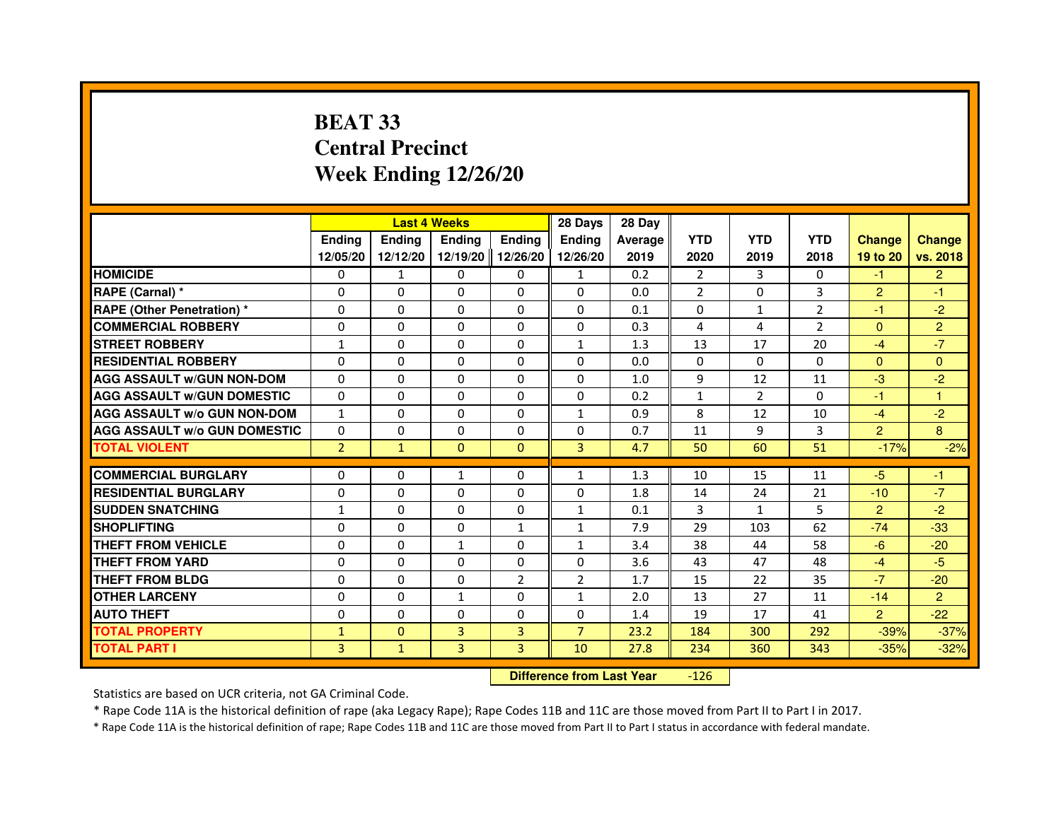# **BEAT 33 Central PrecinctWeek Ending 12/26/20**

|                                     |                |              | <b>Last 4 Weeks</b> |                | 28 Days        | 28 Day  |                |                |                |                |                |
|-------------------------------------|----------------|--------------|---------------------|----------------|----------------|---------|----------------|----------------|----------------|----------------|----------------|
|                                     | <b>Endina</b>  | Ending       | <b>Ending</b>       | <b>Ending</b>  | <b>Endina</b>  | Average | <b>YTD</b>     | <b>YTD</b>     | <b>YTD</b>     | <b>Change</b>  | <b>Change</b>  |
|                                     | 12/05/20       | 12/12/20     | 12/19/20 12/26/20   |                | 12/26/20       | 2019    | 2020           | 2019           | 2018           | 19 to 20       | vs. 2018       |
| <b>HOMICIDE</b>                     | 0              | 1            | 0                   | 0              | 1              | 0.2     | 2              | 3              | 0              | $-1$           | $\overline{2}$ |
| RAPE (Carnal) *                     | $\Omega$       | $\Omega$     | $\Omega$            | $\Omega$       | $\Omega$       | 0.0     | $\overline{2}$ | $\Omega$       | 3              | $\overline{2}$ | $-1$           |
| <b>RAPE (Other Penetration) *</b>   | 0              | $\Omega$     | $\Omega$            | $\Omega$       | 0              | 0.1     | $\Omega$       | $\mathbf{1}$   | $\overline{2}$ | $-1$           | $-2$           |
| <b>COMMERCIAL ROBBERY</b>           | 0              | $\Omega$     | 0                   | 0              | 0              | 0.3     | 4              | 4              | $\overline{2}$ | $\Omega$       | $\overline{2}$ |
| <b>STREET ROBBERY</b>               | 1              | $\Omega$     | $\Omega$            | 0              | $\mathbf{1}$   | 1.3     | 13             | 17             | 20             | $-4$           | $-7$           |
| <b>RESIDENTIAL ROBBERY</b>          | 0              | $\Omega$     | 0                   | 0              | 0              | 0.0     | $\Omega$       | $\Omega$       | $\Omega$       | $\Omega$       | $\Omega$       |
| <b>AGG ASSAULT W/GUN NON-DOM</b>    | $\Omega$       | $\Omega$     | $\mathbf 0$         | $\Omega$       | $\Omega$       | 1.0     | 9              | 12             | 11             | $-3$           | $-2$           |
| <b>AGG ASSAULT W/GUN DOMESTIC</b>   | $\Omega$       | $\Omega$     | 0                   | $\Omega$       | 0              | 0.2     | $\mathbf{1}$   | $\overline{2}$ | $\Omega$       | $-1$           | $\overline{1}$ |
| <b>AGG ASSAULT W/o GUN NON-DOM</b>  | $\mathbf{1}$   | 0            | 0                   | 0              | 1              | 0.9     | 8              | 12             | 10             | $-4$           | $-2$           |
| <b>AGG ASSAULT W/o GUN DOMESTIC</b> | $\Omega$       | 0            | 0                   | 0              | 0              | 0.7     | 11             | 9              | 3              | $\overline{2}$ | 8              |
| <b>TOTAL VIOLENT</b>                | $\overline{2}$ | $\mathbf{1}$ | $\Omega$            | $\mathbf{0}$   | 3              | 4.7     | 50             | 60             | 51             | $-17%$         | $-2%$          |
|                                     |                |              |                     |                |                |         |                |                |                |                |                |
| <b>COMMERCIAL BURGLARY</b>          | 0              | 0            | 1                   | 0              | 1              | 1.3     | 10             | 15             | 11             | -5             | $-1$           |
| <b>RESIDENTIAL BURGLARY</b>         | 0              | 0            | 0                   | 0              | 0              | 1.8     | 14             | 24             | 21             | $-10$          | $-7$           |
| <b>SUDDEN SNATCHING</b>             | 1              | $\Omega$     | 0                   | 0              | $\mathbf{1}$   | 0.1     | 3              | $\mathbf{1}$   | 5              | $\overline{2}$ | $-2$           |
| <b>SHOPLIFTING</b>                  | $\Omega$       | $\Omega$     | $\Omega$            | $\mathbf{1}$   | $\mathbf{1}$   | 7.9     | 29             | 103            | 62             | $-74$          | $-33$          |
| <b>THEFT FROM VEHICLE</b>           | 0              | $\Omega$     | $\mathbf{1}$        | 0              | $\mathbf{1}$   | 3.4     | 38             | 44             | 58             | $-6$           | $-20$          |
| <b>THEFT FROM YARD</b>              | $\Omega$       | $\Omega$     | $\Omega$            | $\Omega$       | $\Omega$       | 3.6     | 43             | 47             | 48             | $-4$           | $-5$           |
| THEFT FROM BLDG                     | 0              | $\Omega$     | 0                   | $\overline{2}$ | 2              | 1.7     | 15             | 22             | 35             | $-7$           | $-20$          |
| <b>OTHER LARCENY</b>                | 0              | 0            | 1                   | 0              | 1              | 2.0     | 13             | 27             | 11             | $-14$          | $\overline{2}$ |
| <b>AUTO THEFT</b>                   | $\Omega$       | 0            | $\Omega$            | 0              | 0              | 1.4     | 19             | 17             | 41             | $\overline{2}$ | $-22$          |
| <b>TOTAL PROPERTY</b>               | $\mathbf{1}$   | $\mathbf{0}$ | 3                   | 3              | $\overline{7}$ | 23.2    | 184            | 300            | 292            | $-39%$         | $-37%$         |
| <b>TOTAL PART I</b>                 | $\overline{3}$ | $\mathbf{1}$ | 3                   | $\overline{3}$ | 10             | 27.8    | 234            | 360            | 343            | $-35%$         | $-32%$         |

 **Difference from Last Year**-126

Statistics are based on UCR criteria, not GA Criminal Code.

\* Rape Code 11A is the historical definition of rape (aka Legacy Rape); Rape Codes 11B and 11C are those moved from Part II to Part I in 2017.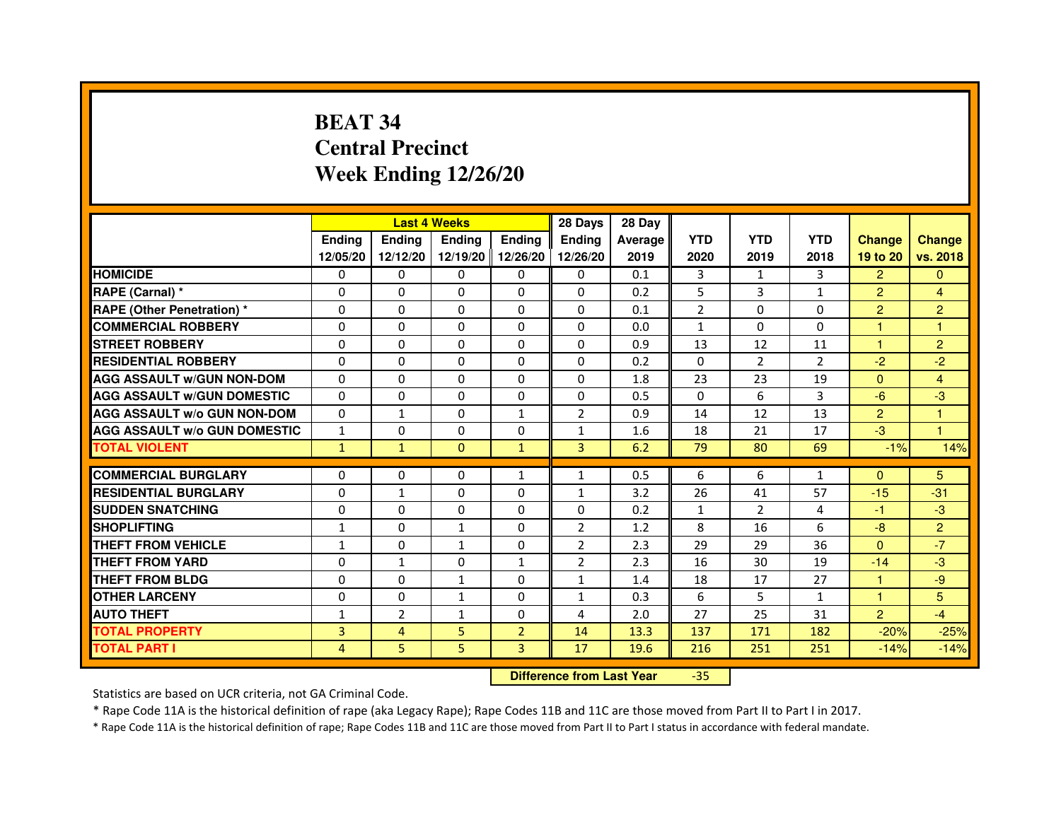# **BEAT 34 Central PrecinctWeek Ending 12/26/20**

|                                     |               |                | <b>Last 4 Weeks</b> |                | 28 Days        | 28 Day  |                |                |                |                |                |
|-------------------------------------|---------------|----------------|---------------------|----------------|----------------|---------|----------------|----------------|----------------|----------------|----------------|
|                                     | <b>Endina</b> | Ending         | <b>Endina</b>       | <b>Ending</b>  | <b>Endina</b>  | Average | <b>YTD</b>     | <b>YTD</b>     | <b>YTD</b>     | <b>Change</b>  | <b>Change</b>  |
|                                     | 12/05/20      | 12/12/20       | 12/19/20 12/26/20   |                | 12/26/20       | 2019    | 2020           | 2019           | 2018           | 19 to 20       | vs. 2018       |
| <b>HOMICIDE</b>                     | 0             | 0              | $\mathbf{0}$        | 0              | 0              | 0.1     | 3              | $\mathbf{1}$   | 3              | $\overline{2}$ | $\mathbf{0}$   |
| RAPE (Carnal) *                     | $\Omega$      | $\Omega$       | $\Omega$            | $\Omega$       | $\Omega$       | 0.2     | 5              | 3              | $\mathbf{1}$   | $\overline{2}$ | $\overline{4}$ |
| <b>RAPE (Other Penetration) *</b>   | $\Omega$      | $\Omega$       | $\Omega$            | $\Omega$       | 0              | 0.1     | $\overline{2}$ | $\Omega$       | $\Omega$       | $\overline{2}$ | $\overline{2}$ |
| <b>COMMERCIAL ROBBERY</b>           | 0             | 0              | 0                   | 0              | 0              | 0.0     | $\mathbf{1}$   | 0              | $\Omega$       | 1              | 1              |
| <b>STREET ROBBERY</b>               | 0             | 0              | $\Omega$            | 0              | 0              | 0.9     | 13             | 12             | 11             | 1              | $\overline{2}$ |
| <b>RESIDENTIAL ROBBERY</b>          | 0             | 0              | 0                   | 0              | 0              | 0.2     | $\Omega$       | 2              | $\overline{2}$ | $-2$           | $-2$           |
| <b>AGG ASSAULT w/GUN NON-DOM</b>    | $\Omega$      | $\Omega$       | $\mathbf 0$         | 0              | $\Omega$       | 1.8     | 23             | 23             | 19             | $\Omega$       | $\overline{4}$ |
| <b>AGG ASSAULT W/GUN DOMESTIC</b>   | 0             | 0              | 0                   | 0              | 0              | 0.5     | $\Omega$       | 6              | 3              | $-6$           | $-3$           |
| <b>AGG ASSAULT W/o GUN NON-DOM</b>  | $\Omega$      | $\mathbf{1}$   | 0                   | 1              | $\overline{2}$ | 0.9     | 14             | 12             | 13             | $\overline{2}$ | 1              |
| <b>AGG ASSAULT W/o GUN DOMESTIC</b> | $\mathbf{1}$  | $\Omega$       | $\Omega$            | 0              | $\mathbf{1}$   | 1.6     | 18             | 21             | 17             | $-3$           | 1              |
| <b>TOTAL VIOLENT</b>                | $\mathbf{1}$  | $\mathbf{1}$   | $\Omega$            | $\mathbf{1}$   | 3              | 6.2     | 79             | 80             | 69             | $-1%$          | 14%            |
|                                     |               |                |                     |                |                |         |                |                |                |                |                |
| <b>COMMERCIAL BURGLARY</b>          | 0             | 0              | 0                   | 1              | $\mathbf{1}$   | 0.5     | 6              | 6              | $\mathbf{1}$   | $\Omega$       | 5              |
| <b>RESIDENTIAL BURGLARY</b>         | 0             | $\mathbf{1}$   | 0                   | 0              | 1              | 3.2     | 26             | 41             | 57             | $-15$          | $-31$          |
| <b>SUDDEN SNATCHING</b>             | 0             | $\Omega$       | 0                   | 0              | 0              | 0.2     | $\mathbf{1}$   | $\overline{2}$ | 4              | -1             | $-3$           |
| <b>SHOPLIFTING</b>                  | $\mathbf{1}$  | $\mathbf 0$    | $\mathbf{1}$        | 0              | $\overline{2}$ | 1.2     | 8              | 16             | 6              | $-8$           | $\overline{c}$ |
| <b>THEFT FROM VEHICLE</b>           | $\mathbf{1}$  | $\Omega$       | $\mathbf{1}$        | $\Omega$       | $\overline{2}$ | 2.3     | 29             | 29             | 36             | $\Omega$       | $-7$           |
| <b>THEFT FROM YARD</b>              | 0             | $\mathbf{1}$   | $\Omega$            | $\mathbf{1}$   | $\overline{2}$ | 2.3     | 16             | 30             | 19             | $-14$          | $-3$           |
| <b>THEFT FROM BLDG</b>              | $\Omega$      | 0              | $\mathbf{1}$        | 0              | 1              | 1.4     | 18             | 17             | 27             | 1.             | -9             |
| <b>OTHER LARCENY</b>                | 0             | 0              | $\mathbf{1}$        | 0              | 1              | 0.3     | 6              | 5              | $\mathbf{1}$   | 1              | 5              |
| <b>AUTO THEFT</b>                   | 1             | $\overline{2}$ | 1                   | 0              | 4              | 2.0     | 27             | 25             | 31             | $\overline{2}$ | $-4$           |
| <b>TOTAL PROPERTY</b>               | 3             | 4              | 5                   | $\overline{2}$ | 14             | 13.3    | 137            | 171            | 182            | $-20%$         | $-25%$         |
| <b>TOTAL PART I</b>                 | 4             | 5              | 5                   | $\overline{3}$ | 17             | 19.6    | 216            | 251            | 251            | $-14%$         | $-14%$         |

 **Difference from Last Year**-35

Statistics are based on UCR criteria, not GA Criminal Code.

\* Rape Code 11A is the historical definition of rape (aka Legacy Rape); Rape Codes 11B and 11C are those moved from Part II to Part I in 2017.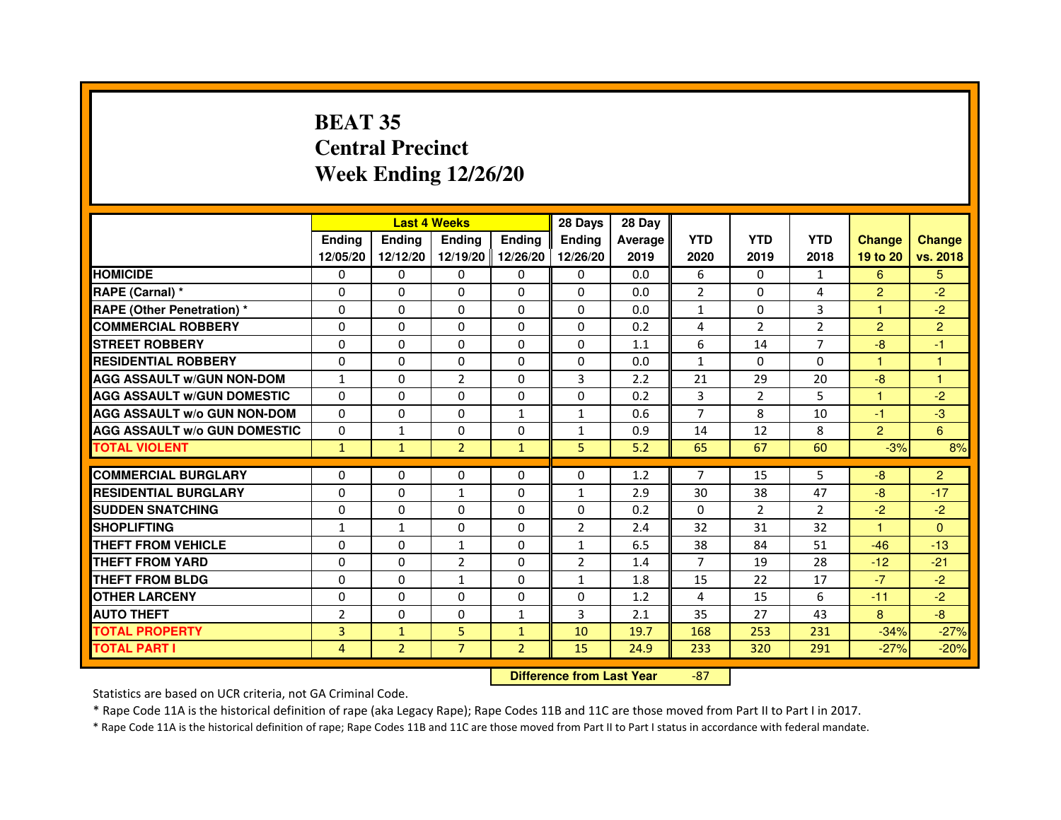# **BEAT 35 Central PrecinctWeek Ending 12/26/20**

|                                     |                | <b>Last 4 Weeks</b> |                                  |                | 28 Days        | 28 Day  |                |                |                |                |                |
|-------------------------------------|----------------|---------------------|----------------------------------|----------------|----------------|---------|----------------|----------------|----------------|----------------|----------------|
|                                     | Ending         | Ending              | Ending                           | <b>Ending</b>  | Ending         | Average | <b>YTD</b>     | <b>YTD</b>     | <b>YTD</b>     | <b>Change</b>  | <b>Change</b>  |
|                                     | 12/05/20       | 12/12/20            | 12/19/20 12/26/20                |                | 12/26/20       | 2019    | 2020           | 2019           | 2018           | 19 to 20       | vs. 2018       |
| <b>HOMICIDE</b>                     | 0              | $\Omega$            | $\mathbf{0}$                     | 0              | 0              | 0.0     | 6              | $\Omega$       | $\mathbf{1}$   | 6              | 5              |
| RAPE (Carnal) *                     | 0              | 0                   | 0                                | 0              | 0              | 0.0     | $\overline{2}$ | $\mathbf{0}$   | 4              | $\overline{2}$ | $-2$           |
| <b>RAPE (Other Penetration) *</b>   | $\Omega$       | $\mathbf 0$         | $\Omega$                         | 0              | 0              | 0.0     | $\mathbf{1}$   | $\mathbf{0}$   | 3              | 1              | $-2$           |
| <b>COMMERCIAL ROBBERY</b>           | $\Omega$       | 0                   | $\Omega$                         | 0              | $\Omega$       | 0.2     | 4              | $\overline{2}$ | $\overline{2}$ | $\overline{2}$ | $\overline{2}$ |
| <b>STREET ROBBERY</b>               | $\Omega$       | $\Omega$            | $\Omega$                         | $\Omega$       | $\Omega$       | 1.1     | 6              | 14             | $\overline{7}$ | $-8$           | $-1$           |
| <b>RESIDENTIAL ROBBERY</b>          | $\Omega$       | $\mathbf 0$         | 0                                | 0              | 0              | 0.0     | $\mathbf{1}$   | $\mathbf{0}$   | $\Omega$       | 1              | 1              |
| <b>AGG ASSAULT w/GUN NON-DOM</b>    | $\mathbf{1}$   | $\Omega$            | $\overline{2}$                   | $\Omega$       | 3              | 2.2     | 21             | 29             | 20             | $-8$           | $\mathbf{1}$   |
| <b>AGG ASSAULT W/GUN DOMESTIC</b>   | $\Omega$       | $\Omega$            | $\mathbf 0$                      | $\Omega$       | 0              | 0.2     | 3              | $\overline{2}$ | 5              | $\mathbf{1}$   | $-2$           |
| <b>AGG ASSAULT W/o GUN NON-DOM</b>  | $\Omega$       | $\Omega$            | $\Omega$                         | $\mathbf{1}$   | $\mathbf{1}$   | 0.6     | $\overline{7}$ | 8              | 10             | $-1$           | $-3$           |
| <b>AGG ASSAULT w/o GUN DOMESTIC</b> | $\Omega$       | $\mathbf{1}$        | $\Omega$                         | 0              | $\mathbf{1}$   | 0.9     | 14             | 12             | 8              | $\overline{2}$ | 6              |
| <b>TOTAL VIOLENT</b>                | $\mathbf{1}$   | $\mathbf{1}$        | $\overline{2}$                   | $\mathbf{1}$   | 5              | 5.2     | 65             | 67             | 60             | $-3%$          | 8%             |
| <b>COMMERCIAL BURGLARY</b>          | 0              | 0                   | 0                                | 0              | 0              | 1.2     | 7              | 15             | 5              | $-8$           | $\overline{2}$ |
| <b>RESIDENTIAL BURGLARY</b>         | $\mathbf 0$    | $\mathbf 0$         | $\mathbf{1}$                     | 0              | $\mathbf{1}$   | 2.9     | 30             | 38             | 47             | $-8$           | $-17$          |
| <b>SUDDEN SNATCHING</b>             | $\Omega$       | $\mathbf 0$         | $\Omega$                         | $\Omega$       | $\Omega$       | 0.2     | $\Omega$       | $\overline{2}$ | $\mathcal{P}$  | $-2$           | $-2$           |
| <b>SHOPLIFTING</b>                  | $\mathbf{1}$   | $\mathbf{1}$        | 0                                | 0              | $\overline{2}$ | 2.4     | 32             | 31             | 32             | $\mathbf{1}$   | $\Omega$       |
| THEFT FROM VEHICLE                  | $\Omega$       | $\Omega$            | $\mathbf{1}$                     | 0              | $\mathbf{1}$   | 6.5     | 38             | 84             | 51             | $-46$          | $-13$          |
| <b>THEFT FROM YARD</b>              | $\Omega$       | 0                   | $\overline{2}$                   | 0              | $\overline{2}$ | 1.4     | $\overline{7}$ | 19             | 28             | $-12$          | $-21$          |
| <b>THEFT FROM BLDG</b>              | $\Omega$       | $\Omega$            | $\mathbf{1}$                     | $\Omega$       | $\mathbf{1}$   | 1.8     | 15             | 22             | 17             | $-7$           | $-2$           |
| <b>OTHER LARCENY</b>                | $\Omega$       | $\Omega$            | $\Omega$                         | $\Omega$       | $\Omega$       | 1.2     | 4              | 15             | 6              | $-11$          | $-2$           |
| <b>AUTO THEFT</b>                   | $\overline{2}$ | 0                   | $\mathbf 0$                      | $\mathbf{1}$   | 3              | 2.1     | 35             | 27             | 43             | 8              | $-8$           |
| <b>TOTAL PROPERTY</b>               | 3              | $\mathbf{1}$        | 5                                | $\mathbf{1}$   | 10             | 19.7    | 168            | 253            | 231            | $-34%$         | $-27%$         |
| <b>TOTAL PART I</b>                 | 4              | $\overline{2}$      | $\overline{7}$                   | $\overline{2}$ | 15             | 24.9    | 233            | 320            | 291            | $-27%$         | $-20%$         |
|                                     |                |                     | <b>Difference from Last Year</b> |                | $-87$          |         |                |                |                |                |                |

 **Difference from Last Year**

Statistics are based on UCR criteria, not GA Criminal Code.

\* Rape Code 11A is the historical definition of rape (aka Legacy Rape); Rape Codes 11B and 11C are those moved from Part II to Part I in 2017.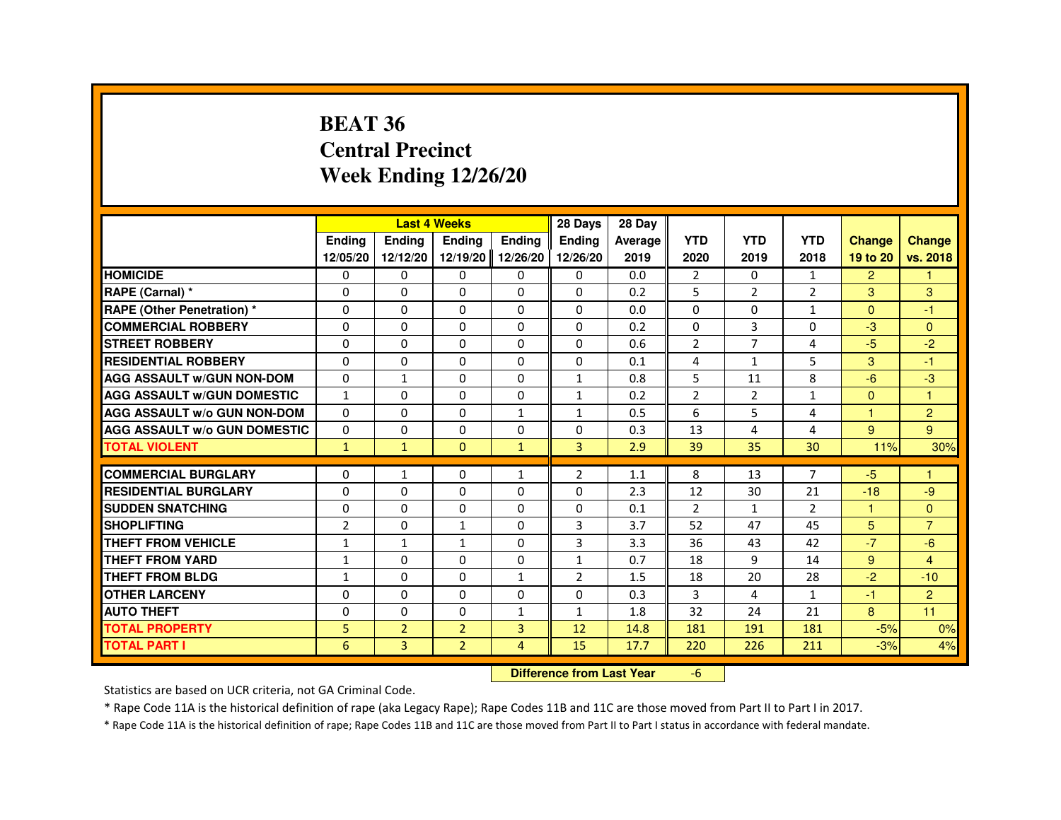#### **BEAT 36 Central PrecinctWeek Ending 12/26/20**

|                                     |              | <b>Last 4 Weeks</b> |                   |                | 28 Days        | 28 Day                           |                |                |                |                |                |
|-------------------------------------|--------------|---------------------|-------------------|----------------|----------------|----------------------------------|----------------|----------------|----------------|----------------|----------------|
|                                     | Ending       | Ending              | Ending            | Ending         | Ending         | Average                          | <b>YTD</b>     | <b>YTD</b>     | <b>YTD</b>     | <b>Change</b>  | <b>Change</b>  |
|                                     | 12/05/20     | 12/12/20            | 12/19/20 12/26/20 |                | 12/26/20       | 2019                             | 2020           | 2019           | 2018           | 19 to 20       | vs. 2018       |
| <b>HOMICIDE</b>                     | 0            | $\Omega$            | $\mathbf{0}$      | 0              | 0              | 0.0                              | $\overline{2}$ | $\Omega$       | $\mathbf{1}$   | $\overline{2}$ | 1              |
| RAPE (Carnal) *                     | 0            | $\Omega$            | $\Omega$          | $\Omega$       | $\Omega$       | 0.2                              | 5              | $\overline{2}$ | $\overline{2}$ | 3              | 3              |
| <b>RAPE (Other Penetration) *</b>   | $\Omega$     | 0                   | $\Omega$          | $\mathbf 0$    | $\Omega$       | 0.0                              | $\Omega$       | $\Omega$       | $\mathbf{1}$   | $\Omega$       | -1             |
| <b>COMMERCIAL ROBBERY</b>           | $\Omega$     | $\Omega$            | $\Omega$          | $\mathbf{0}$   | $\Omega$       | 0.2                              | $\Omega$       | 3              | $\Omega$       | $-3$           | $\Omega$       |
| <b>STREET ROBBERY</b>               | $\Omega$     | $\Omega$            | 0                 | $\Omega$       | 0              | 0.6                              | $\overline{2}$ | $\overline{7}$ | 4              | $-5$           | $-2$           |
| <b>RESIDENTIAL ROBBERY</b>          | $\Omega$     | 0                   | 0                 | 0              | 0              | 0.1                              | 4              | $\mathbf{1}$   | 5              | 3              | $-1$           |
| <b>AGG ASSAULT w/GUN NON-DOM</b>    | $\Omega$     | $\mathbf{1}$        | $\Omega$          | $\mathbf 0$    | $\mathbf{1}$   | 0.8                              | 5              | 11             | 8              | $-6$           | $-3$           |
| <b>AGG ASSAULT W/GUN DOMESTIC</b>   | $\mathbf{1}$ | $\Omega$            | 0                 | $\Omega$       | $\mathbf{1}$   | 0.2                              | $\overline{2}$ | $\overline{2}$ | $\mathbf{1}$   | $\Omega$       | $\mathbf{1}$   |
| <b>AGG ASSAULT w/o GUN NON-DOM</b>  | $\Omega$     | 0                   | 0                 | 1              | 1              | 0.5                              | 6              | 5              | 4              | 1              | $\overline{2}$ |
| <b>AGG ASSAULT W/o GUN DOMESTIC</b> | $\Omega$     | $\Omega$            | 0                 | $\Omega$       | 0              | 0.3                              | 13             | 4              | 4              | 9              | 9              |
| <b>TOTAL VIOLENT</b>                | $\mathbf{1}$ | $\mathbf{1}$        | $\mathbf{0}$      | $\mathbf{1}$   | 3              | 2.9                              | 39             | 35             | 30             | 11%            | 30%            |
| <b>COMMERCIAL BURGLARY</b>          | 0            | $\mathbf{1}$        | 0                 | 1              | 2              | 1.1                              | 8              | 13             | 7              | $-5$           | -1             |
| <b>RESIDENTIAL BURGLARY</b>         | 0            | 0                   | 0                 | 0              | 0              | 2.3                              | 12             | 30             | 21             | $-18$          | -9             |
| <b>SUDDEN SNATCHING</b>             | $\Omega$     | $\Omega$            | $\Omega$          | $\mathbf 0$    | $\Omega$       | 0.1                              | $\overline{2}$ | $\mathbf{1}$   | $\overline{2}$ | $\mathbf{1}$   | $\Omega$       |
| <b>SHOPLIFTING</b>                  | 2            | 0                   | $\mathbf{1}$      | 0              | 3              | 3.7                              | 52             | 47             | 45             | 5              | $\overline{7}$ |
| THEFT FROM VEHICLE                  | $\mathbf{1}$ | $\mathbf{1}$        | 1                 | $\Omega$       | 3              | 3.3                              | 36             | 43             | 42             | $-7$           | $-6$           |
| <b>THEFT FROM YARD</b>              | $\mathbf{1}$ | $\Omega$            | $\Omega$          | $\mathbf{0}$   | $\mathbf{1}$   | 0.7                              | 18             | 9              | 14             | 9              | $\overline{4}$ |
| <b>THEFT FROM BLDG</b>              | $\mathbf{1}$ | $\Omega$            | 0                 | $\mathbf{1}$   | $\overline{2}$ | 1.5                              | 18             | 20             | 28             | $-2$           | $-10$          |
| <b>OTHER LARCENY</b>                | 0            | $\Omega$            | 0                 | $\mathbf 0$    | 0              | 0.3                              | 3              | 4              | 1              | -1             | $\overline{2}$ |
| <b>AUTO THEFT</b>                   | 0            | 0                   | $\Omega$          | $\mathbf{1}$   | $\mathbf{1}$   | 1.8                              | 32             | 24             | 21             | 8              | 11             |
| <b>TOTAL PROPERTY</b>               | 5            | $\overline{2}$      | $\overline{2}$    | 3              | 12             | 14.8                             | 181            | 191            | 181            | $-5%$          | 0%             |
| <b>TOTAL PART I</b>                 | 6            | $\overline{3}$      | $\overline{2}$    | $\overline{4}$ | 15             | 17.7                             | 220            | 226            | 211            | $-3%$          | 4%             |
|                                     |              |                     |                   |                |                | <b>Difference from Last Year</b> | $-6$           |                |                |                |                |

 **Difference from Last Year**

Statistics are based on UCR criteria, not GA Criminal Code.

\* Rape Code 11A is the historical definition of rape (aka Legacy Rape); Rape Codes 11B and 11C are those moved from Part II to Part I in 2017.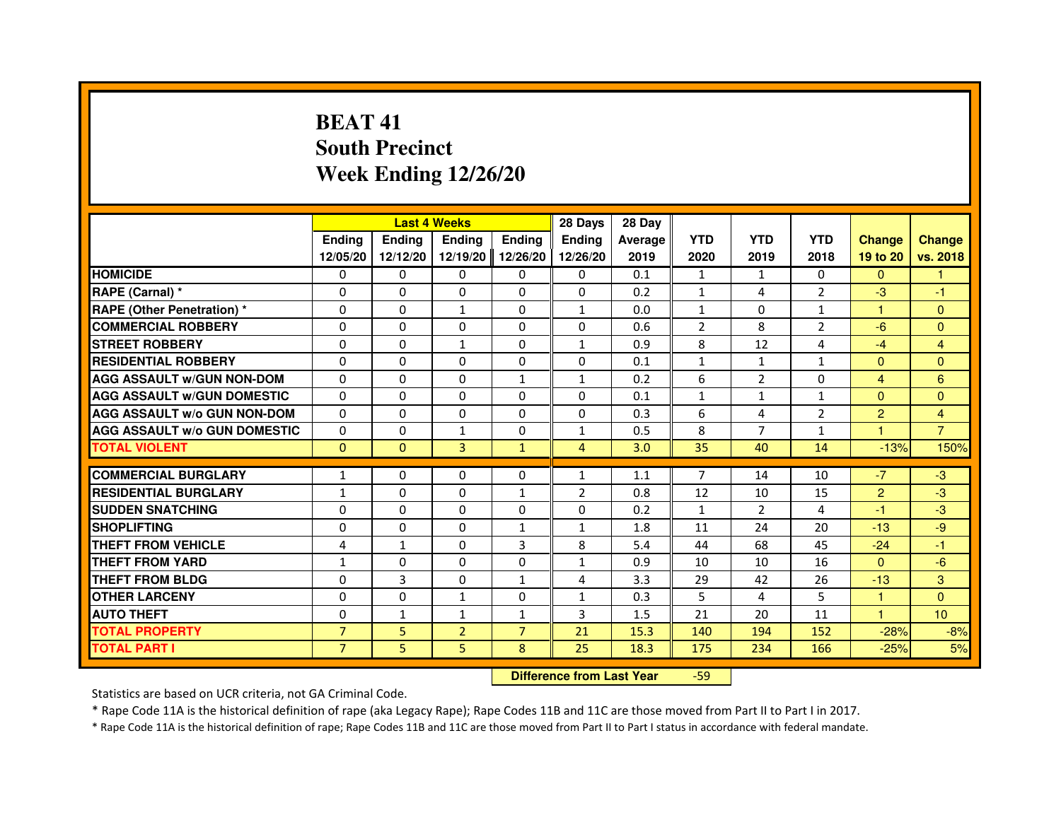# **BEAT 41 South PrecinctWeek Ending 12/26/20**

|                                     |                |               | <b>Last 4 Weeks</b> |                | 28 Days                          | 28 Day  |                |                |                |                         |                |
|-------------------------------------|----------------|---------------|---------------------|----------------|----------------------------------|---------|----------------|----------------|----------------|-------------------------|----------------|
|                                     | <b>Ending</b>  | <b>Ending</b> | <b>Ending</b>       | <b>Ending</b>  | <b>Ending</b>                    | Average | <b>YTD</b>     | <b>YTD</b>     | <b>YTD</b>     | <b>Change</b>           | <b>Change</b>  |
|                                     | 12/05/20       | 12/12/20      | 12/19/20            | 12/26/20       | 12/26/20                         | 2019    | 2020           | 2019           | 2018           | 19 to 20                | vs. 2018       |
| <b>HOMICIDE</b>                     | 0              | $\mathbf{0}$  | $\Omega$            | 0              | 0                                | 0.1     | 1              | $\mathbf{1}$   | $\Omega$       | $\Omega$                | $\mathbf{1}$   |
| RAPE (Carnal) *                     | 0              | $\Omega$      | $\Omega$            | $\Omega$       | 0                                | 0.2     | $\mathbf{1}$   | 4              | $\overline{2}$ | $-3$                    | $-1$           |
| <b>RAPE (Other Penetration) *</b>   | $\Omega$       | $\Omega$      | 1                   | $\Omega$       | 1                                | 0.0     | $\mathbf{1}$   | $\Omega$       | $\mathbf{1}$   | $\mathbf{1}$            | $\overline{0}$ |
| <b>COMMERCIAL ROBBERY</b>           | 0              | $\Omega$      | $\Omega$            | $\Omega$       | $\Omega$                         | 0.6     | $\overline{2}$ | 8              | $\overline{2}$ | $-6$                    | $\overline{0}$ |
| <b>STREET ROBBERY</b>               | 0              | $\Omega$      | $\mathbf{1}$        | $\Omega$       | $\mathbf{1}$                     | 0.9     | 8              | 12             | 4              | $-4$                    | $\overline{4}$ |
| <b>RESIDENTIAL ROBBERY</b>          | 0              | $\Omega$      | 0                   | $\Omega$       | $\Omega$                         | 0.1     | 1              | $\mathbf{1}$   | 1              | $\mathbf{0}$            | $\Omega$       |
| <b>AGG ASSAULT W/GUN NON-DOM</b>    | $\Omega$       | $\Omega$      | $\Omega$            | $\mathbf{1}$   | $\mathbf{1}$                     | 0.2     | 6              | $\overline{2}$ | $\Omega$       | $\overline{\mathbf{4}}$ | 6              |
| <b>AGG ASSAULT W/GUN DOMESTIC</b>   | $\Omega$       | $\Omega$      | $\Omega$            | $\Omega$       | $\Omega$                         | 0.1     | $\mathbf{1}$   | $\mathbf{1}$   | $\mathbf{1}$   | $\Omega$                | $\overline{0}$ |
| <b>AGG ASSAULT w/o GUN NON-DOM</b>  | 0              | $\mathbf{0}$  | $\mathbf{0}$        | 0              | 0                                | 0.3     | 6              | 4              | 2              | $\overline{2}$          | 4              |
| <b>AGG ASSAULT W/o GUN DOMESTIC</b> | $\Omega$       | 0             | $\mathbf{1}$        | 0              | $\mathbf{1}$                     | 0.5     | 8              | 7              | $\mathbf{1}$   | 1                       | $\overline{7}$ |
| <b>TOTAL VIOLENT</b>                | $\mathbf 0$    | $\mathbf{0}$  | 3                   | $\mathbf{1}$   | $\overline{4}$                   | 3.0     | 35             | 40             | 14             | $-13%$                  | 150%           |
| <b>COMMERCIAL BURGLARY</b>          | 1              | 0             | 0                   | 0              | $\mathbf{1}$                     | 1.1     | 7              | 14             | 10             | $-7$                    | $-3$           |
| <b>RESIDENTIAL BURGLARY</b>         | $\mathbf{1}$   | $\Omega$      | $\Omega$            | $\mathbf{1}$   | $\overline{2}$                   | 0.8     | 12             | 10             | 15             | $\overline{2}$          | $-3$           |
| <b>SUDDEN SNATCHING</b>             | $\Omega$       | $\Omega$      | $\Omega$            | $\Omega$       | $\Omega$                         | 0.2     | $\mathbf{1}$   | $\mathcal{P}$  | $\overline{a}$ | $-1$                    | $-3$           |
| <b>SHOPLIFTING</b>                  | 0              | 0             | 0                   | 1              | 1                                | 1.8     | 11             | 24             | 20             | $-13$                   | $-9$           |
| THEFT FROM VEHICLE                  | 4              | $\mathbf{1}$  | 0                   | 3              | 8                                | 5.4     | 44             | 68             | 45             | $-24$                   | $-1$           |
| <b>THEFT FROM YARD</b>              | $\mathbf{1}$   | 0             | $\Omega$            | 0              | $\mathbf{1}$                     | 0.9     | 10             | 10             | 16             | $\Omega$                | $-6$           |
| <b>THEFT FROM BLDG</b>              | $\Omega$       | 3             | $\Omega$            | $\mathbf{1}$   | 4                                | 3.3     | 29             | 42             | 26             | $-13$                   | 3              |
| <b>OTHER LARCENY</b>                | 0              | $\Omega$      | $\mathbf{1}$        | $\Omega$       | $\mathbf{1}$                     | 0.3     | 5              | 4              | 5              | $\mathbf{1}$            | $\Omega$       |
| <b>AUTO THEFT</b>                   | $\Omega$       | $\mathbf{1}$  | $\mathbf{1}$        | $\mathbf{1}$   | 3                                | 1.5     | 21             | 20             | 11             | $\mathbf{1}$            | 10             |
| <b>TOTAL PROPERTY</b>               | $\overline{7}$ | 5             | $\overline{2}$      | $\overline{7}$ | 21                               | 15.3    | 140            | 194            | 152            | $-28%$                  | $-8%$          |
| <b>TOTAL PART I</b>                 | $\overline{7}$ | 5             | 5                   | 8              | 25                               | 18.3    | 175            | 234            | 166            | $-25%$                  | 5%             |
|                                     |                |               |                     |                | <b>Difference from Last Year</b> |         | $-59$          |                |                |                         |                |

Statistics are based on UCR criteria, not GA Criminal Code.

\* Rape Code 11A is the historical definition of rape (aka Legacy Rape); Rape Codes 11B and 11C are those moved from Part II to Part I in 2017.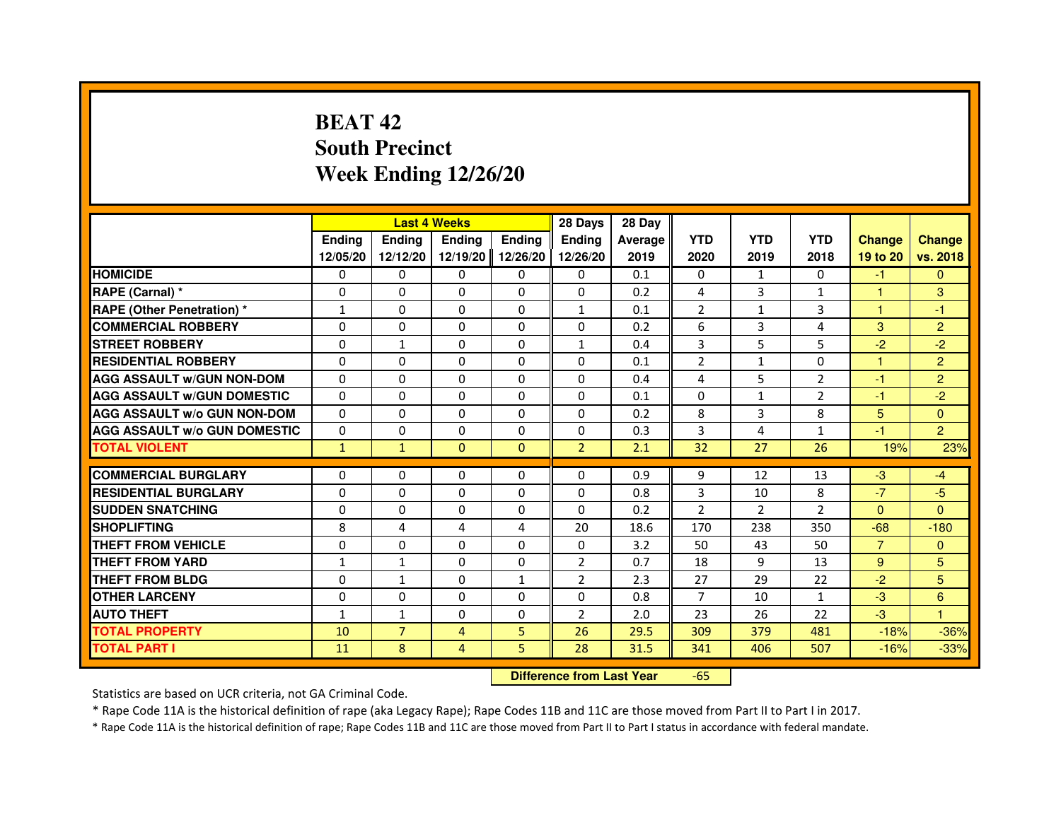# **BEAT 42 South PrecinctWeek Ending 12/26/20**

|                                     |               |                                  | <b>Last 4 Weeks</b> |               | 28 Days        | 28 Day  |                |                |                |                |                |
|-------------------------------------|---------------|----------------------------------|---------------------|---------------|----------------|---------|----------------|----------------|----------------|----------------|----------------|
|                                     | <b>Ending</b> | Ending                           | <b>Ending</b>       | <b>Ending</b> | <b>Ending</b>  | Average | <b>YTD</b>     | <b>YTD</b>     | <b>YTD</b>     | <b>Change</b>  | <b>Change</b>  |
|                                     | 12/05/20      | 12/12/20                         | 12/19/20            | 12/26/20      | 12/26/20       | 2019    | 2020           | 2019           | 2018           | 19 to 20       | vs. 2018       |
| <b>HOMICIDE</b>                     | 0             | $\Omega$                         | $\Omega$            | 0             | 0              | 0.1     | 0              | $\mathbf{1}$   | $\Omega$       | $-1$           | $\mathbf{0}$   |
| RAPE (Carnal) *                     | 0             | 0                                | 0                   | 0             | 0              | 0.2     | 4              | 3              | 1              | 1              | 3              |
| RAPE (Other Penetration) *          | 1             | 0                                | $\Omega$            | $\Omega$      | $\mathbf{1}$   | 0.1     | $\overline{2}$ | $\mathbf{1}$   | 3              | 1              | $-1$           |
| <b>COMMERCIAL ROBBERY</b>           | $\Omega$      | $\Omega$                         | $\Omega$            | $\Omega$      | 0              | 0.2     | 6              | 3              | 4              | 3              | $\overline{2}$ |
| <b>STREET ROBBERY</b>               | $\Omega$      | $\mathbf{1}$                     | $\Omega$            | $\Omega$      | $\mathbf{1}$   | 0.4     | 3              | 5              | 5              | $-2$           | $-2$           |
| <b>RESIDENTIAL ROBBERY</b>          | 0             | 0                                | $\Omega$            | 0             | 0              | 0.1     | $\overline{2}$ | $\mathbf{1}$   | $\Omega$       | 1              | $\overline{2}$ |
| <b>AGG ASSAULT W/GUN NON-DOM</b>    | $\Omega$      | $\Omega$                         | $\Omega$            | $\Omega$      | $\Omega$       | 0.4     | 4              | 5              | $\overline{2}$ | $-1$           | $\overline{2}$ |
| <b>AGG ASSAULT W/GUN DOMESTIC</b>   | $\Omega$      | $\Omega$                         | $\Omega$            | $\Omega$      | $\Omega$       | 0.1     | $\Omega$       | $\mathbf{1}$   | $\overline{2}$ | $-1$           | $-2$           |
| <b>AGG ASSAULT W/o GUN NON-DOM</b>  | $\Omega$      | $\Omega$                         | $\Omega$            | $\Omega$      | $\Omega$       | 0.2     | 8              | 3              | 8              | $5\phantom{.}$ | $\Omega$       |
| <b>AGG ASSAULT w/o GUN DOMESTIC</b> | $\Omega$      | $\Omega$                         | 0                   | $\Omega$      | $\Omega$       | 0.3     | 3              | 4              | $\mathbf{1}$   | $-1$           | $\overline{2}$ |
| <b>TOTAL VIOLENT</b>                | $\mathbf{1}$  | $\mathbf{1}$                     | $\mathbf{0}$        | $\mathbf{0}$  | $\overline{2}$ | 2.1     | 32             | 27             | 26             | 19%            | 23%            |
| <b>COMMERCIAL BURGLARY</b>          | 0             | 0                                | 0                   | 0             | 0              | 0.9     | 9              | 12             | 13             | $-3$           | $-4$           |
| <b>RESIDENTIAL BURGLARY</b>         | 0             | $\Omega$                         | $\Omega$            | $\Omega$      | $\Omega$       | 0.8     | 3              | 10             | 8              | $-7$           | $-5$           |
| <b>SUDDEN SNATCHING</b>             | $\Omega$      | $\Omega$                         | $\Omega$            | $\Omega$      | $\Omega$       | 0.2     | $\overline{2}$ | $\overline{2}$ | $\mathcal{P}$  | $\Omega$       | $\Omega$       |
| <b>SHOPLIFTING</b>                  | 8             | 4                                | 4                   | 4             | 20             | 18.6    | 170            | 238            | 350            | $-68$          | $-180$         |
| THEFT FROM VEHICLE                  | 0             | $\Omega$                         | 0                   | $\Omega$      | 0              | 3.2     | 50             | 43             | 50             | $\overline{7}$ | $\mathbf{0}$   |
| <b>THEFT FROM YARD</b>              | $\mathbf{1}$  | $\mathbf{1}$                     | $\Omega$            | $\Omega$      | $\overline{2}$ | 0.7     | 18             | 9              | 13             | 9              | 5              |
| <b>THEFT FROM BLDG</b>              | $\Omega$      | $\mathbf{1}$                     | $\Omega$            | $\mathbf{1}$  | $\overline{2}$ | 2.3     | 27             | 29             | 22             | $-2$           | 5              |
| <b>OTHER LARCENY</b>                | 0             | $\Omega$                         | 0                   | 0             | 0              | 0.8     | $\overline{7}$ | 10             | $\mathbf{1}$   | $-3$           | 6              |
| <b>AUTO THEFT</b>                   | $\mathbf{1}$  | $\mathbf{1}$                     | $\Omega$            | $\Omega$      | $\overline{2}$ | 2.0     | 23             | 26             | 22             | $-3$           | $\mathbf{1}$   |
| <b>TOTAL PROPERTY</b>               | 10            | $\overline{7}$                   | $\overline{4}$      | 5             | 26             | 29.5    | 309            | 379            | 481            | $-18%$         | $-36%$         |
| <b>TOTAL PART I</b>                 | 11            | 8                                | 4                   | 5             | 28             | 31.5    | 341            | 406            | 507            | $-16%$         | $-33%$         |
|                                     |               | <b>Difference from Last Year</b> |                     | $-65$         |                |         |                |                |                |                |                |

 **Difference from Last Year**

Statistics are based on UCR criteria, not GA Criminal Code.

\* Rape Code 11A is the historical definition of rape (aka Legacy Rape); Rape Codes 11B and 11C are those moved from Part II to Part I in 2017.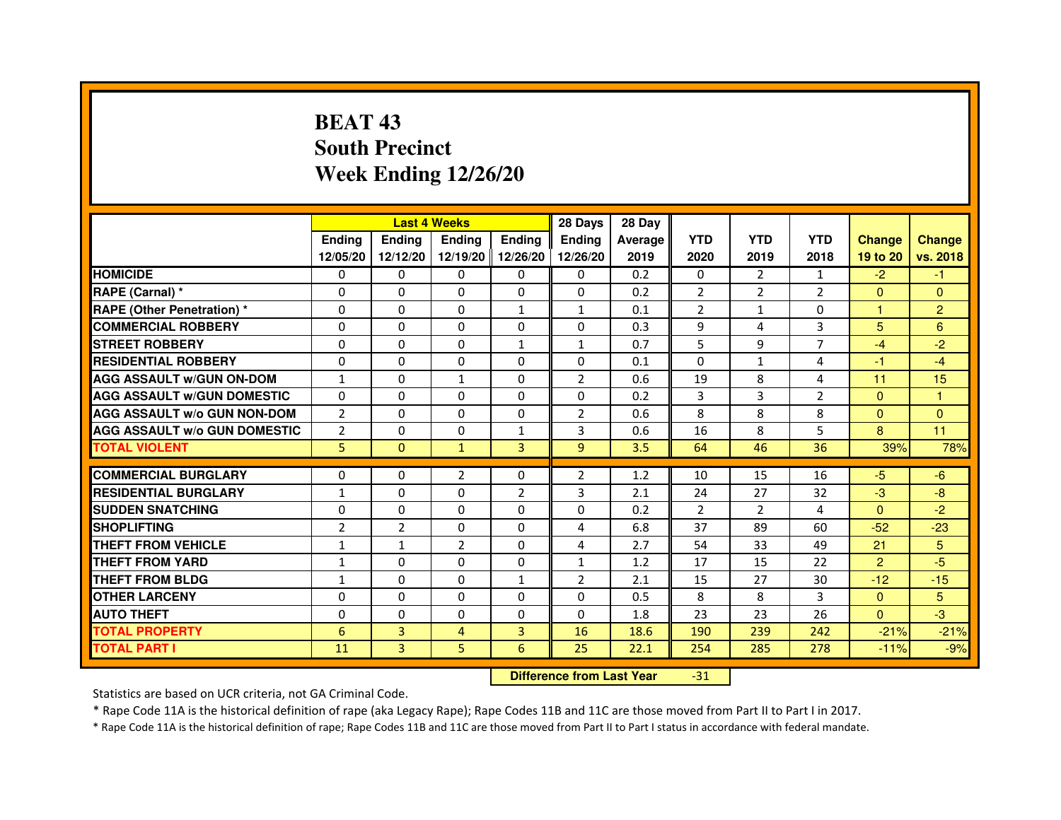# **BEAT 43 South PrecinctWeek Ending 12/26/20**

|                                     |                |                | <b>Last 4 Weeks</b> |                | 28 Days        | 28 Day  |                |                |                |               |                |
|-------------------------------------|----------------|----------------|---------------------|----------------|----------------|---------|----------------|----------------|----------------|---------------|----------------|
|                                     | <b>Endina</b>  | <b>Ending</b>  | <b>Endina</b>       | <b>Ending</b>  | <b>Endina</b>  | Average | <b>YTD</b>     | <b>YTD</b>     | <b>YTD</b>     | <b>Change</b> | <b>Change</b>  |
|                                     | 12/05/20       | 12/12/20       | 12/19/20 12/26/20   |                | 12/26/20       | 2019    | 2020           | 2019           | 2018           | 19 to 20      | vs. 2018       |
| <b>HOMICIDE</b>                     | 0              | 0              | $\mathbf{0}$        | 0              | 0              | 0.2     | $\mathbf{0}$   | $\overline{2}$ | $\mathbf{1}$   | $-2$          | -1             |
| RAPE (Carnal) *                     | $\Omega$       | $\Omega$       | $\Omega$            | $\Omega$       | $\Omega$       | 0.2     | $\overline{2}$ | $\overline{2}$ | $\overline{2}$ | $\Omega$      | $\Omega$       |
| <b>RAPE (Other Penetration)*</b>    | $\Omega$       | $\Omega$       | $\Omega$            | $\mathbf{1}$   | $\mathbf{1}$   | 0.1     | $\overline{2}$ | $\mathbf{1}$   | $\Omega$       | $\mathbf{1}$  | $\overline{2}$ |
| <b>COMMERCIAL ROBBERY</b>           | 0              | 0              | 0                   | 0              | 0              | 0.3     | 9              | 4              | 3              | 5             | 6              |
| <b>STREET ROBBERY</b>               | 0              | 0              | 0                   | $\mathbf{1}$   | $\mathbf{1}$   | 0.7     | 5              | 9              | $\overline{7}$ | $-4$          | $-2$           |
| <b>RESIDENTIAL ROBBERY</b>          | $\Omega$       | $\Omega$       | $\Omega$            | 0              | 0              | 0.1     | $\Omega$       | $\mathbf{1}$   | 4              | $-1$          | $-4$           |
| <b>AGG ASSAULT w/GUN ON-DOM</b>     | $\mathbf{1}$   | $\Omega$       | $\mathbf{1}$        | $\Omega$       | $\overline{2}$ | 0.6     | 19             | 8              | 4              | 11            | 15             |
| <b>AGG ASSAULT w/GUN DOMESTIC</b>   | $\Omega$       | $\Omega$       | $\Omega$            | $\Omega$       | 0              | 0.2     | 3              | 3              | $\overline{2}$ | $\Omega$      | 1              |
| <b>AGG ASSAULT W/o GUN NON-DOM</b>  | $\overline{2}$ | $\Omega$       | $\Omega$            | $\Omega$       | $\mathfrak{p}$ | 0.6     | 8              | 8              | 8              | $\Omega$      | $\Omega$       |
| <b>AGG ASSAULT W/o GUN DOMESTIC</b> | $\overline{2}$ | $\Omega$       | $\Omega$            | $\mathbf{1}$   | 3              | 0.6     | 16             | 8              | 5              | 8             | 11             |
| <b>TOTAL VIOLENT</b>                | 5              | $\Omega$       | $\mathbf{1}$        | $\overline{3}$ | 9              | 3.5     | 64             | 46             | 36             | 39%           | 78%            |
|                                     |                |                |                     |                |                |         |                |                |                |               |                |
| <b>COMMERCIAL BURGLARY</b>          | $\Omega$       | $\Omega$       | $\overline{2}$      | $\Omega$       | $\overline{2}$ | 1.2     | 10             | 15             | 16             | $-5$          | $-6$           |
| <b>RESIDENTIAL BURGLARY</b>         | $\mathbf{1}$   | 0              | $\Omega$            | $\overline{2}$ | 3              | 2.1     | 24             | 27             | 32             | $-3$          | -8             |
| <b>SUDDEN SNATCHING</b>             | 0              | $\Omega$       | $\Omega$            | $\Omega$       | 0              | 0.2     | $\overline{2}$ | $\overline{2}$ | $\overline{4}$ | $\Omega$      | $-2$           |
| <b>SHOPLIFTING</b>                  | 2              | $\overline{2}$ | $\Omega$            | $\Omega$       | 4              | 6.8     | 37             | 89             | 60             | $-52$         | $-23$          |
| <b>THEFT FROM VEHICLE</b>           | $\mathbf{1}$   | $\mathbf{1}$   | $\overline{2}$      | $\Omega$       | 4              | 2.7     | 54             | 33             | 49             | 21            | 5              |
| <b>THEFT FROM YARD</b>              | 1              | $\Omega$       | $\Omega$            | $\Omega$       | 1              | 1.2     | 17             | 15             | 22             | $\mathbf{P}$  | $-5$           |
| <b>THEFT FROM BLDG</b>              | $\mathbf{1}$   | 0              | 0                   | 1              | $\overline{2}$ | 2.1     | 15             | 27             | 30             | $-12$         | $-15$          |
| <b>OTHER LARCENY</b>                | $\Omega$       | $\Omega$       | $\Omega$            | $\Omega$       | 0              | 0.5     | 8              | 8              | 3              | $\mathbf{0}$  | 5              |
| <b>AUTO THEFT</b>                   | $\Omega$       | 0              | $\Omega$            | 0              | 0              | 1.8     | 23             | 23             | 26             | $\Omega$      | $-3$           |
| <b>TOTAL PROPERTY</b>               | 6              | 3              | 4                   | 3              | 16             | 18.6    | 190            | 239            | 242            | $-21%$        | $-21%$         |
| <b>TOTAL PART I</b>                 | 11             | 3              | 5                   | 6              | 25             | 22.1    | 254            | 285            | 278            | $-11%$        | $-9%$          |

 **Difference from Last Year**

-31

Statistics are based on UCR criteria, not GA Criminal Code.

\* Rape Code 11A is the historical definition of rape (aka Legacy Rape); Rape Codes 11B and 11C are those moved from Part II to Part I in 2017.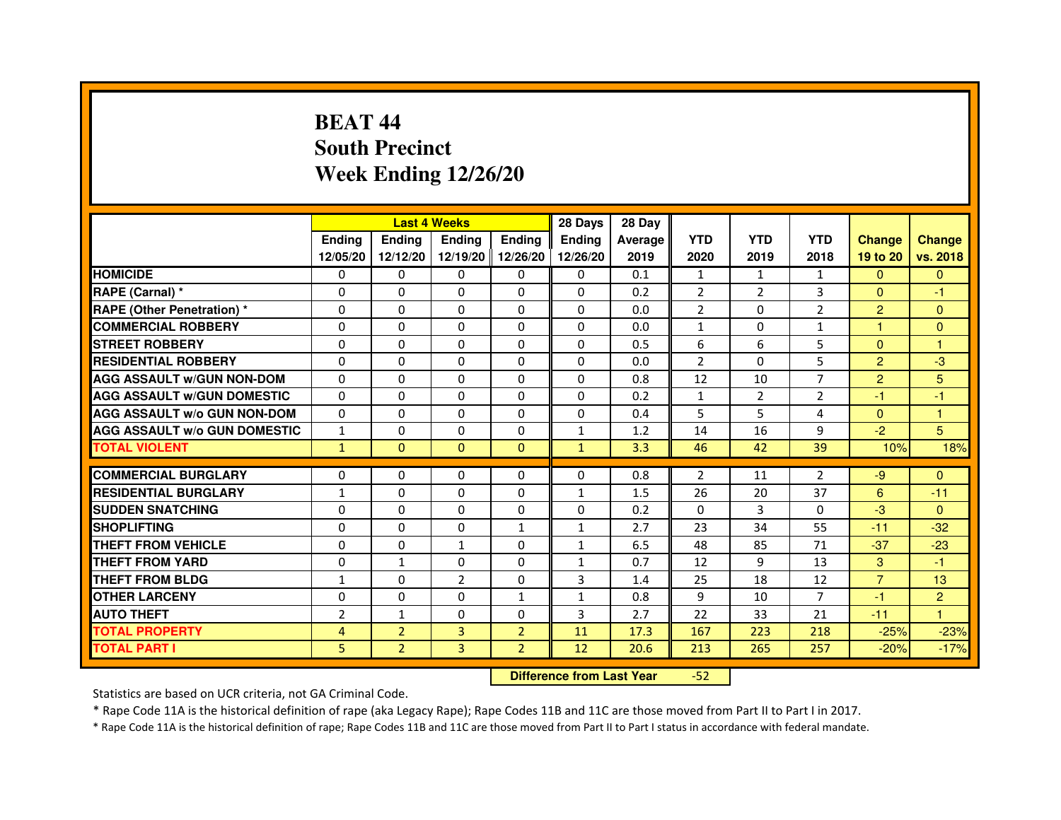# **BEAT 44 South PrecinctWeek Ending 12/26/20**

|                                     |                |                | <b>Last 4 Weeks</b> |                | 28 Days       | 28 Day  |                |                |                |                |                |
|-------------------------------------|----------------|----------------|---------------------|----------------|---------------|---------|----------------|----------------|----------------|----------------|----------------|
|                                     | <b>Endina</b>  | Ending         | <b>Endina</b>       | <b>Ending</b>  | <b>Endina</b> | Average | <b>YTD</b>     | <b>YTD</b>     | <b>YTD</b>     | <b>Change</b>  | <b>Change</b>  |
|                                     | 12/05/20       | 12/12/20       | 12/19/20 12/26/20   |                | 12/26/20      | 2019    | 2020           | 2019           | 2018           | 19 to 20       | vs. 2018       |
| <b>HOMICIDE</b>                     | 0              | 0              | $\mathbf{0}$        | 0              | 0             | 0.1     | $\mathbf{1}$   | $\mathbf{1}$   | 1              | $\mathbf{0}$   | $\mathbf{0}$   |
| RAPE (Carnal) *                     | $\Omega$       | $\Omega$       | $\Omega$            | $\Omega$       | $\Omega$      | 0.2     | $\overline{2}$ | $\overline{2}$ | 3              | $\Omega$       | $-1$           |
| <b>RAPE (Other Penetration) *</b>   | $\Omega$       | $\Omega$       | $\Omega$            | $\Omega$       | 0             | 0.0     | $\overline{2}$ | $\Omega$       | $\overline{2}$ | $\overline{2}$ | $\Omega$       |
| <b>COMMERCIAL ROBBERY</b>           | 0              | 0              | 0                   | 0              | 0             | 0.0     | 1              | 0              | 1              | 1              | $\Omega$       |
| <b>STREET ROBBERY</b>               | 0              | 0              | $\Omega$            | 0              | 0             | 0.5     | 6              | 6              | 5              | $\Omega$       | 1              |
| <b>RESIDENTIAL ROBBERY</b>          | 0              | 0              | 0                   | 0              | 0             | 0.0     | $\overline{2}$ | $\Omega$       | 5              | $\overline{2}$ | -3             |
| <b>AGG ASSAULT w/GUN NON-DOM</b>    | $\Omega$       | $\Omega$       | $\mathbf 0$         | 0              | $\Omega$      | 0.8     | 12             | 10             | $\overline{7}$ | $\overline{2}$ | 5              |
| <b>AGG ASSAULT W/GUN DOMESTIC</b>   | 0              | 0              | 0                   | 0              | 0             | 0.2     | $\mathbf{1}$   | $\overline{2}$ | $\overline{2}$ | $-1$           | $-1$           |
| <b>AGG ASSAULT W/o GUN NON-DOM</b>  | $\Omega$       | $\Omega$       | $\Omega$            | 0              | $\Omega$      | 0.4     | 5              | 5              | 4              | $\Omega$       | 1              |
| <b>AGG ASSAULT W/o GUN DOMESTIC</b> | $\mathbf{1}$   | $\Omega$       | $\Omega$            | 0              | $\mathbf{1}$  | 1.2     | 14             | 16             | 9              | $-2$           | 5              |
| <b>TOTAL VIOLENT</b>                | $\mathbf{1}$   | $\Omega$       | $\Omega$            | $\Omega$       | $\mathbf{1}$  | 3.3     | 46             | 42             | 39             | 10%            | 18%            |
|                                     |                |                |                     |                |               |         |                |                |                |                |                |
| <b>COMMERCIAL BURGLARY</b>          | 0              | 0              | 0                   | 0              | 0             | 0.8     | $\overline{2}$ | 11             | 2              | -9             | $\Omega$       |
| <b>RESIDENTIAL BURGLARY</b>         | $\mathbf{1}$   | 0              | 0                   | 0              | 1             | 1.5     | 26             | 20             | 37             | 6              | $-11$          |
| <b>SUDDEN SNATCHING</b>             | 0              | $\Omega$       | 0                   | 0              | 0             | 0.2     | $\Omega$       | 3              | $\Omega$       | $-3$           | $\Omega$       |
| <b>SHOPLIFTING</b>                  | $\Omega$       | $\mathbf 0$    | $\Omega$            | $\mathbf{1}$   | $\mathbf{1}$  | 2.7     | 23             | 34             | 55             | $-11$          | $-32$          |
| <b>THEFT FROM VEHICLE</b>           | $\Omega$       | $\Omega$       | $\mathbf{1}$        | $\Omega$       | $\mathbf{1}$  | 6.5     | 48             | 85             | 71             | $-37$          | $-23$          |
| <b>THEFT FROM YARD</b>              | 0              | $\mathbf{1}$   | $\Omega$            | $\Omega$       | 1             | 0.7     | 12             | 9              | 13             | 3              | $-1$           |
| <b>THEFT FROM BLDG</b>              | $\mathbf{1}$   | 0              | $\overline{2}$      | 0              | 3             | 1.4     | 25             | 18             | 12             | $\overline{7}$ | 13             |
| <b>OTHER LARCENY</b>                | 0              | $\Omega$       | $\Omega$            | $\mathbf{1}$   | 1             | 0.8     | 9              | 10             | 7              | $-1$           | $\overline{2}$ |
| <b>AUTO THEFT</b>                   | $\overline{2}$ | 1              | $\Omega$            | 0              | 3             | 2.7     | 22             | 33             | 21             | $-11$          | $\mathbf{1}$   |
| <b>TOTAL PROPERTY</b>               | 4              | $\overline{2}$ | 3                   | $\overline{2}$ | 11            | 17.3    | 167            | 223            | 218            | $-25%$         | $-23%$         |
| <b>TOTAL PART I</b>                 | 5              | $\overline{2}$ | 3                   | $\overline{2}$ | 12            | 20.6    | 213            | 265            | 257            | $-20%$         | $-17%$         |

 **Difference from Last Year**-52

Statistics are based on UCR criteria, not GA Criminal Code.

\* Rape Code 11A is the historical definition of rape (aka Legacy Rape); Rape Codes 11B and 11C are those moved from Part II to Part I in 2017.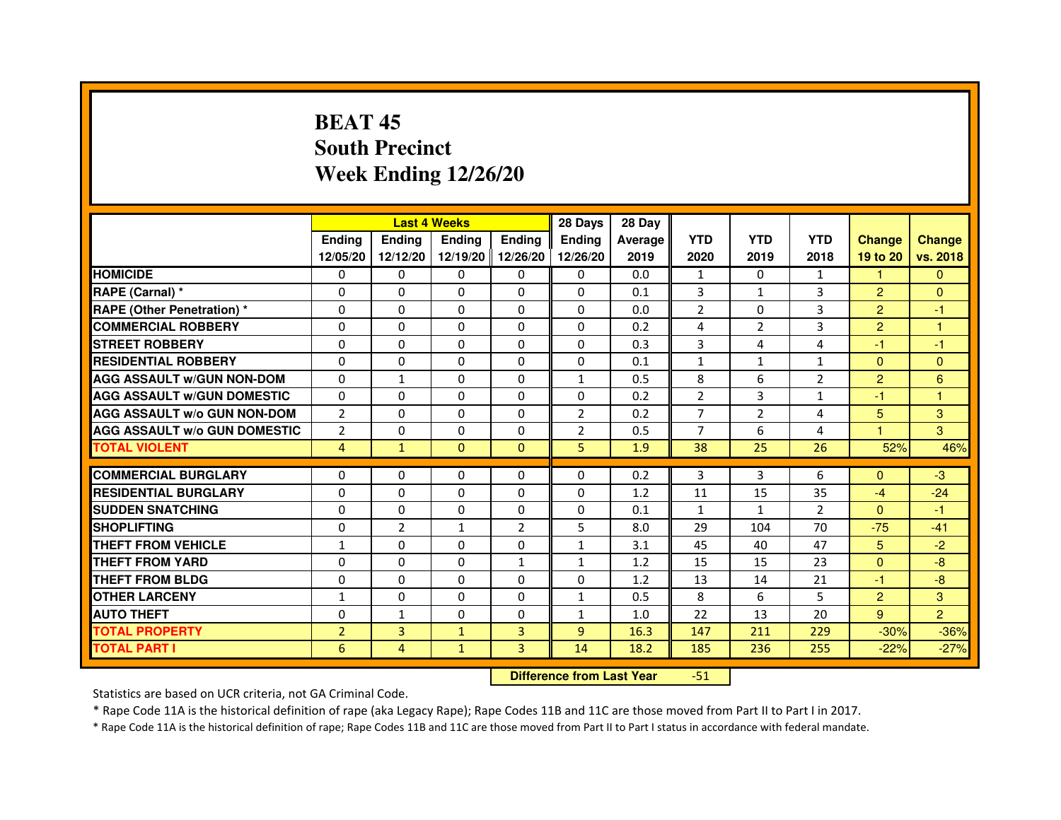# **BEAT 45 South PrecinctWeek Ending 12/26/20**

|                                     |                |                | <b>Last 4 Weeks</b> |                | 28 Days        | 28 Day  |                |                |                |                |                 |
|-------------------------------------|----------------|----------------|---------------------|----------------|----------------|---------|----------------|----------------|----------------|----------------|-----------------|
|                                     | <b>Endina</b>  | <b>Ending</b>  | <b>Ending</b>       | <b>Endina</b>  | <b>Endina</b>  | Average | <b>YTD</b>     | <b>YTD</b>     | <b>YTD</b>     | <b>Change</b>  | <b>Change</b>   |
|                                     | 12/05/20       | 12/12/20       | 12/19/20 12/26/20   |                | 12/26/20       | 2019    | 2020           | 2019           | 2018           | 19 to 20       | vs. 2018        |
| <b>HOMICIDE</b>                     | 0              | 0              | 0                   | 0              | 0              | 0.0     | 1              | 0              | $\mathbf{1}$   | $\mathbf{1}$   | $\mathbf{0}$    |
| RAPE (Carnal) *                     | $\Omega$       | $\Omega$       | $\Omega$            | $\Omega$       | $\Omega$       | 0.1     | 3              | $\mathbf{1}$   | 3              | $\overline{2}$ | $\Omega$        |
| <b>RAPE (Other Penetration) *</b>   | $\Omega$       | $\Omega$       | $\Omega$            | $\Omega$       | $\Omega$       | 0.0     | $\overline{2}$ | 0              | 3              | $\overline{2}$ | $-1$            |
| <b>COMMERCIAL ROBBERY</b>           | 0              | 0              | $\Omega$            | 0              | $\Omega$       | 0.2     | 4              | $\overline{2}$ | 3              | $\overline{2}$ | 1               |
| <b>STREET ROBBERY</b>               | $\Omega$       | 0              | $\Omega$            | 0              | 0              | 0.3     | 3              | 4              | 4              | $-1$           | $-1$            |
| <b>RESIDENTIAL ROBBERY</b>          | $\Omega$       | $\Omega$       | $\Omega$            | 0              | 0              | 0.1     | $\mathbf{1}$   | $\mathbf{1}$   | $\mathbf{1}$   | $\Omega$       | $\Omega$        |
| <b>AGG ASSAULT w/GUN NON-DOM</b>    | $\Omega$       | $\mathbf 1$    | $\mathbf 0$         | 0              | $\mathbf{1}$   | 0.5     | 8              | 6              | $\overline{2}$ | $\overline{2}$ | $6\phantom{1}6$ |
| <b>AGG ASSAULT W/GUN DOMESTIC</b>   | $\Omega$       | 0              | 0                   | 0              | 0              | 0.2     | $\overline{2}$ | 3              | $\mathbf{1}$   | $-1$           | 1               |
| <b>AGG ASSAULT W/o GUN NON-DOM</b>  | $\overline{2}$ | $\Omega$       | $\Omega$            | $\Omega$       | $\overline{2}$ | 0.2     | $\overline{7}$ | $\overline{2}$ | $\overline{4}$ | 5              | 3               |
| <b>AGG ASSAULT W/o GUN DOMESTIC</b> | $\overline{2}$ | $\Omega$       | $\Omega$            | 0              | $\overline{2}$ | 0.5     | $\overline{7}$ | 6              | 4              | 1.             | 3               |
| <b>TOTAL VIOLENT</b>                | $\overline{4}$ | $\mathbf{1}$   | $\Omega$            | $\Omega$       | 5              | 1.9     | 38             | 25             | 26             | 52%            | 46%             |
|                                     |                |                |                     |                |                |         |                |                |                |                |                 |
| <b>COMMERCIAL BURGLARY</b>          | $\Omega$       | $\Omega$       | $\Omega$            | $\Omega$       | $\Omega$       | 0.2     | 3              | 3              | 6              | $\Omega$       | $-3$            |
| <b>RESIDENTIAL BURGLARY</b>         | $\Omega$       | $\Omega$       | $\Omega$            | 0              | 0              | 1.2     | 11             | 15             | 35             | $-4$           | $-24$           |
| <b>SUDDEN SNATCHING</b>             | 0              | $\Omega$       | 0                   | 0              | 0              | 0.1     | $\mathbf{1}$   | $\mathbf{1}$   | $\mathfrak{p}$ | $\Omega$       | $-1$            |
| <b>SHOPLIFTING</b>                  | 0              | $\overline{2}$ | 1                   | $\overline{2}$ | 5              | 8.0     | 29             | 104            | 70             | $-75$          | $-41$           |
| <b>THEFT FROM VEHICLE</b>           | $\mathbf{1}$   | $\Omega$       | $\Omega$            | $\Omega$       | $\mathbf{1}$   | 3.1     | 45             | 40             | 47             | 5              | $-2$            |
| <b>THEFT FROM YARD</b>              | 0              | $\Omega$       | $\Omega$            | $\mathbf{1}$   | 1              | 1.2     | 15             | 15             | 23             | $\Omega$       | $-8$            |
| <b>THEFT FROM BLDG</b>              | $\Omega$       | 0              | 0                   | 0              | 0              | 1.2     | 13             | 14             | 21             | $-1$           | -8              |
| <b>OTHER LARCENY</b>                | $\mathbf{1}$   | $\Omega$       | $\Omega$            | 0              | 1              | 0.5     | 8              | 6              | 5              | $\overline{2}$ | 3               |
| <b>AUTO THEFT</b>                   | $\mathbf 0$    | 1              | 0                   | 0              | $\mathbf{1}$   | 1.0     | 22             | 13             | 20             | 9              | $\overline{2}$  |
| <b>TOTAL PROPERTY</b>               | $\overline{2}$ | 3              | $\mathbf{1}$        | 3              | 9              | 16.3    | 147            | 211            | 229            | $-30%$         | $-36%$          |
| <b>TOTAL PART I</b>                 | 6              | 4              | $\mathbf{1}$        | $\overline{3}$ | 14             | 18.2    | 185            | 236            | 255            | $-22%$         | $-27%$          |

 **Difference from Last Year**-51

Statistics are based on UCR criteria, not GA Criminal Code.

\* Rape Code 11A is the historical definition of rape (aka Legacy Rape); Rape Codes 11B and 11C are those moved from Part II to Part I in 2017.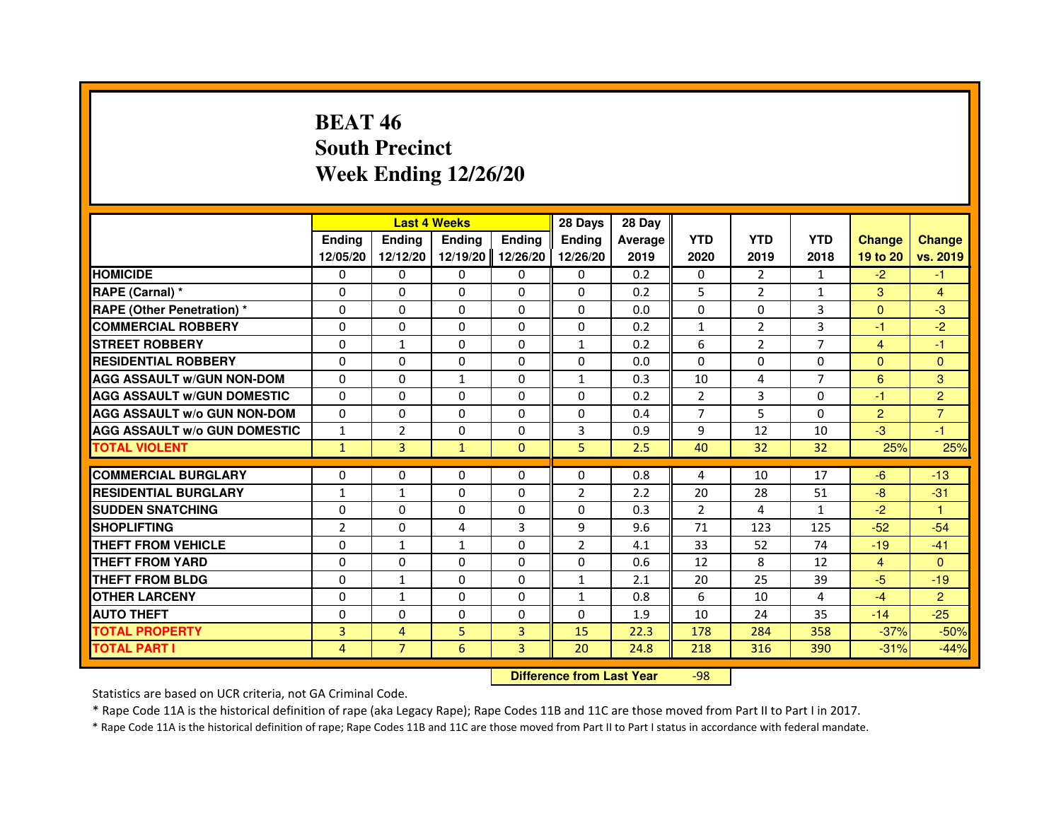# **BEAT 46 South PrecinctWeek Ending 12/26/20**

|                                     |                |                                  | <b>Last 4 Weeks</b> |               | 28 Days        | 28 Day  |                |                |                |                |                |
|-------------------------------------|----------------|----------------------------------|---------------------|---------------|----------------|---------|----------------|----------------|----------------|----------------|----------------|
|                                     | <b>Ending</b>  | <b>Endina</b>                    | <b>Ending</b>       | <b>Ending</b> | <b>Ending</b>  | Average | <b>YTD</b>     | <b>YTD</b>     | <b>YTD</b>     | <b>Change</b>  | <b>Change</b>  |
|                                     | 12/05/20       | 12/12/20                         | 12/19/20            | 12/26/20      | 12/26/20       | 2019    | 2020           | 2019           | 2018           | 19 to 20       | vs. 2019       |
| <b>HOMICIDE</b>                     | 0              | $\Omega$                         | $\Omega$            | 0             | 0              | 0.2     | 0              | $\overline{2}$ | $\mathbf{1}$   | $-2$           | $-1$           |
| RAPE (Carnal) *                     | 0              | 0                                | 0                   | 0             | 0              | 0.2     | 5              | $\overline{2}$ | $\mathbf{1}$   | 3              | 4              |
| <b>RAPE (Other Penetration) *</b>   | 0              | $\Omega$                         | $\Omega$            | $\Omega$      | $\Omega$       | 0.0     | $\Omega$       | $\Omega$       | 3              | $\Omega$       | $-3$           |
| <b>COMMERCIAL ROBBERY</b>           | $\Omega$       | $\Omega$                         | $\Omega$            | $\Omega$      | 0              | 0.2     | $\mathbf{1}$   | 2              | 3              | $-1$           | $-2$           |
| <b>STREET ROBBERY</b>               | 0              | $\mathbf{1}$                     | 0                   | $\Omega$      | $\mathbf{1}$   | 0.2     | 6              | $\overline{2}$ | $\overline{7}$ | $\overline{4}$ | $-1$           |
| <b>RESIDENTIAL ROBBERY</b>          | $\Omega$       | $\Omega$                         | $\Omega$            | $\Omega$      | $\Omega$       | 0.0     | $\Omega$       | $\Omega$       | $\Omega$       | $\Omega$       | $\Omega$       |
| <b>AGG ASSAULT W/GUN NON-DOM</b>    | $\Omega$       | $\Omega$                         | $\mathbf{1}$        | $\Omega$      | $\mathbf{1}$   | 0.3     | 10             | 4              | $\overline{7}$ | 6              | 3              |
| <b>AGG ASSAULT W/GUN DOMESTIC</b>   | $\Omega$       | $\Omega$                         | $\Omega$            | $\Omega$      | $\Omega$       | 0.2     | $\overline{2}$ | 3              | $\Omega$       | $-1$           | $\overline{2}$ |
| <b>AGG ASSAULT W/o GUN NON-DOM</b>  | 0              | 0                                | 0                   | 0             | 0              | 0.4     | $\overline{7}$ | 5              | 0              | $\overline{2}$ | $\overline{7}$ |
| <b>AGG ASSAULT W/o GUN DOMESTIC</b> | 1              | $\overline{2}$                   | 0                   | $\Omega$      | 3              | 0.9     | 9              | 12             | 10             | $-3$           | $-1$           |
| <b>TOTAL VIOLENT</b>                | $\mathbf{1}$   | 3                                | $\mathbf{1}$        | $\mathbf{0}$  | 5              | 2.5     | 40             | 32             | 32             | 25%            | 25%            |
| <b>COMMERCIAL BURGLARY</b>          | 0              | 0                                | 0                   | 0             | 0              | 0.8     | 4              | 10             | 17             | $-6$           | $-13$          |
| <b>RESIDENTIAL BURGLARY</b>         | $\mathbf{1}$   | 1                                | $\Omega$            | $\Omega$      | $\overline{2}$ | 2.2     | 20             | 28             | 51             | $-8$           | $-31$          |
| <b>SUDDEN SNATCHING</b>             | $\Omega$       | $\Omega$                         | $\Omega$            | $\Omega$      | $\Omega$       | 0.3     | $\overline{2}$ | 4              | $\mathbf{1}$   | $-2$           | $\mathbf{1}$   |
| <b>SHOPLIFTING</b>                  | 2              | 0                                | 4                   | 3             | 9              | 9.6     | 71             | 123            | 125            | $-52$          | $-54$          |
| THEFT FROM VEHICLE                  | $\Omega$       | $\mathbf{1}$                     | $\mathbf{1}$        | $\Omega$      | $\overline{2}$ | 4.1     | 33             | 52             | 74             | $-19$          | $-41$          |
| <b>THEFT FROM YARD</b>              | $\Omega$       | $\Omega$                         | $\Omega$            | $\Omega$      | $\Omega$       | 0.6     | 12             | 8              | 12             | $\overline{4}$ | $\Omega$       |
| <b>THEFT FROM BLDG</b>              | $\Omega$       | $\mathbf{1}$                     | $\Omega$            | $\Omega$      | $\mathbf{1}$   | 2.1     | 20             | 25             | 39             | $-5$           | $-19$          |
| <b>OTHER LARCENY</b>                | 0              | 1                                | 0                   | $\Omega$      | $\mathbf{1}$   | 0.8     | 6              | 10             | 4              | $-4$           | $\overline{2}$ |
| <b>AUTO THEFT</b>                   | 0              | 0                                | $\Omega$            | 0             | $\Omega$       | 1.9     | 10             | 24             | 35             | $-14$          | $-25$          |
| <b>TOTAL PROPERTY</b>               | 3              | $\overline{4}$                   | 5                   | 3             | 15             | 22.3    | 178            | 284            | 358            | $-37%$         | $-50%$         |
| <b>TOTAL PART I</b>                 | $\overline{4}$ | $\overline{7}$                   | 6                   | 3             | 20             | 24.8    | 218            | 316            | 390            | $-31%$         | $-44%$         |
|                                     |                | <b>Difference from Last Year</b> |                     | $-98$         |                |         |                |                |                |                |                |

 **Difference from Last Year**

Statistics are based on UCR criteria, not GA Criminal Code.

\* Rape Code 11A is the historical definition of rape (aka Legacy Rape); Rape Codes 11B and 11C are those moved from Part II to Part I in 2017.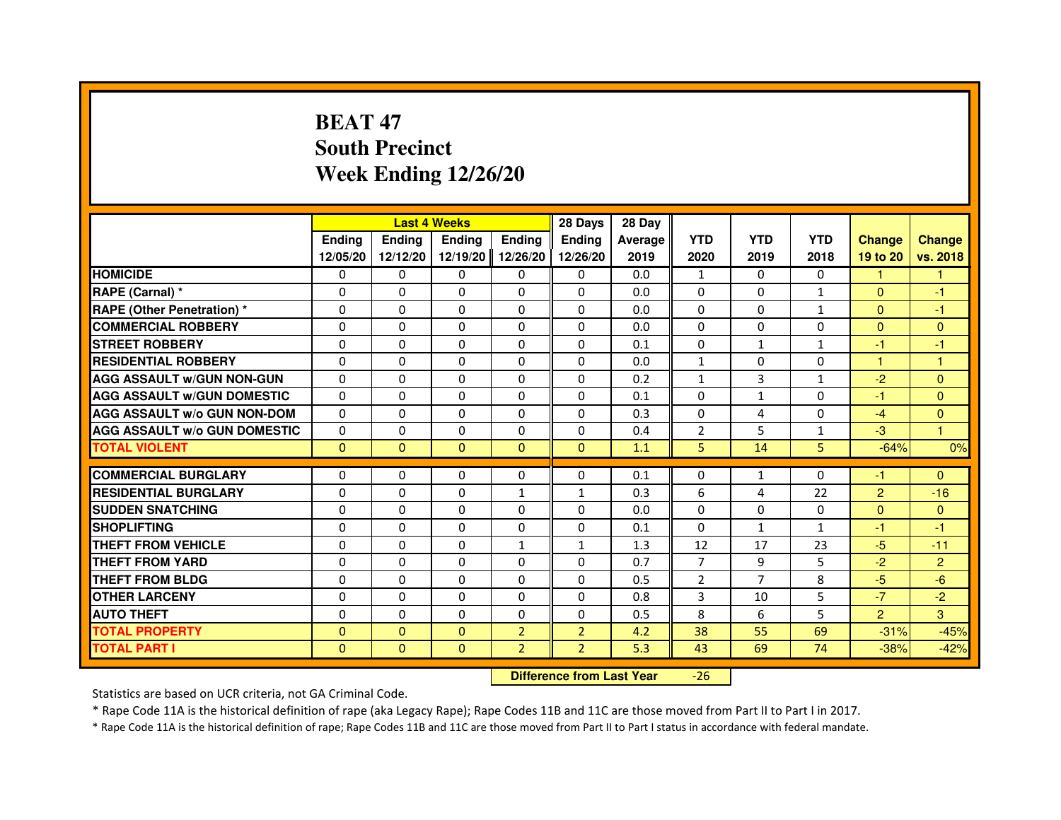# **BEAT 47 South PrecinctWeek Ending 12/26/20**

|                                     |               | <b>Last 4 Weeks</b>              |              |                | 28 Days        | 28 Day  |                |                |              |                |                |
|-------------------------------------|---------------|----------------------------------|--------------|----------------|----------------|---------|----------------|----------------|--------------|----------------|----------------|
|                                     | <b>Ending</b> | Ending                           | Ending       | Ending         | Ending         | Average | <b>YTD</b>     | <b>YTD</b>     | <b>YTD</b>   | <b>Change</b>  | <b>Change</b>  |
|                                     | 12/05/20      | 12/12/20                         | 12/19/20     | 12/26/20       | 12/26/20       | 2019    | 2020           | 2019           | 2018         | 19 to 20       | vs. 2018       |
| <b>HOMICIDE</b>                     | 0             | $\Omega$                         | 0            | 0              | $\mathbf{0}$   | 0.0     | $\mathbf{1}$   | $\Omega$       | $\Omega$     | 1.             | 1.             |
| RAPE (Carnal) *                     | 0             | 0                                | 0            | 0              | 0              | 0.0     | 0              | 0              | $\mathbf{1}$ | $\mathbf{0}$   | -1             |
| RAPE (Other Penetration) *          | $\Omega$      | $\Omega$                         | $\Omega$     | $\Omega$       | $\Omega$       | 0.0     | $\Omega$       | $\Omega$       | $\mathbf{1}$ | $\Omega$       | $-1$           |
| <b>COMMERCIAL ROBBERY</b>           | 0             | $\Omega$                         | $\Omega$     | $\Omega$       | $\Omega$       | 0.0     | $\Omega$       | $\Omega$       | $\Omega$     | $\overline{0}$ | $\mathbf{0}$   |
| <b>STREET ROBBERY</b>               | $\Omega$      | $\Omega$                         | $\Omega$     | $\Omega$       | $\Omega$       | 0.1     | $\Omega$       | $\mathbf{1}$   | $\mathbf{1}$ | $-1$           | -1             |
| <b>RESIDENTIAL ROBBERY</b>          | 0             | 0                                | 0            | 0              | 0              | 0.0     | $\mathbf{1}$   | 0              | 0            | $\mathbf{1}$   | $\mathbf{1}$   |
| <b>AGG ASSAULT w/GUN NON-GUN</b>    | $\Omega$      | $\Omega$                         | $\Omega$     | $\Omega$       | $\Omega$       | 0.2     | $\mathbf{1}$   | 3              | $\mathbf{1}$ | $-2$           | $\Omega$       |
| <b>AGG ASSAULT W/GUN DOMESTIC</b>   | $\Omega$      | $\Omega$                         | $\Omega$     | $\Omega$       | $\Omega$       | 0.1     | $\Omega$       | $\mathbf{1}$   | 0            | $-1$           | $\Omega$       |
| <b>AGG ASSAULT W/o GUN NON-DOM</b>  | $\Omega$      | $\Omega$                         | $\Omega$     | $\Omega$       | $\Omega$       | 0.3     | $\Omega$       | 4              | $\Omega$     | $-4$           | $\mathbf{0}$   |
| <b>AGG ASSAULT w/o GUN DOMESTIC</b> | $\Omega$      | $\Omega$                         | $\Omega$     | $\Omega$       | $\Omega$       | 0.4     | $\overline{2}$ | 5              | $\mathbf{1}$ | $-3$           | $\mathbf{1}$   |
| <b>TOTAL VIOLENT</b>                | $\mathbf{0}$  | $\mathbf{0}$                     | $\mathbf{0}$ | $\mathbf{0}$   | $\mathbf{0}$   | 1.1     | 5              | 14             | 5            | $-64%$         | 0%             |
| <b>COMMERCIAL BURGLARY</b>          | 0             | 0                                | 0            | 0              | 0              | 0.1     | 0              | $\mathbf{1}$   | 0            | $-1$           | $\Omega$       |
| <b>RESIDENTIAL BURGLARY</b>         | 0             | $\Omega$                         | $\Omega$     | 1              | $\mathbf{1}$   | 0.3     | 6              | 4              | 22           | $\overline{c}$ | $-16$          |
| <b>SUDDEN SNATCHING</b>             | $\Omega$      | $\Omega$                         | $\Omega$     | $\Omega$       | $\Omega$       | 0.0     | $\Omega$       | $\Omega$       | $\Omega$     | $\Omega$       | $\overline{0}$ |
| <b>SHOPLIFTING</b>                  | 0             | $\Omega$                         | $\Omega$     | $\Omega$       | $\Omega$       | 0.1     | $\Omega$       | $\mathbf{1}$   | $\mathbf{1}$ | -1             | $-1$           |
| <b>THEFT FROM VEHICLE</b>           | 0             | 0                                | $\Omega$     | $\mathbf{1}$   | $\mathbf{1}$   | 1.3     | 12             | 17             | 23           | $-5$           | $-11$          |
| <b>THEFT FROM YARD</b>              | $\Omega$      | $\Omega$                         | $\Omega$     | $\Omega$       | $\Omega$       | 0.7     | $\overline{7}$ | 9              | 5            | $-2$           | $\overline{2}$ |
| <b>THEFT FROM BLDG</b>              | $\Omega$      | $\Omega$                         | $\Omega$     | $\Omega$       | $\Omega$       | 0.5     | $\overline{2}$ | $\overline{7}$ | 8            | $-5$           | $-6$           |
| <b>OTHER LARCENY</b>                | 0             | $\Omega$                         | $\Omega$     | $\Omega$       | $\Omega$       | 0.8     | 3              | 10             | 5            | $-7$           | $-2$           |
| <b>AUTO THEFT</b>                   | $\Omega$      | $\Omega$                         | $\Omega$     | $\Omega$       | $\Omega$       | 0.5     | 8              | 6              | 5            | $\overline{2}$ | 3              |
| <b>TOTAL PROPERTY</b>               | $\Omega$      | $\Omega$                         | $\Omega$     | $\overline{2}$ | $\overline{2}$ | 4.2     | 38             | 55             | 69           | $-31%$         | $-45%$         |
| <b>TOTAL PART I</b>                 | $\mathbf{0}$  | $\mathbf{0}$                     | $\mathbf{0}$ | $\overline{2}$ | $\overline{2}$ | 5.3     | 43             | 69             | 74           | $-38%$         | $-42%$         |
|                                     |               | <b>Difference from Last Year</b> |              | $-26$          |                |         |                |                |              |                |                |

 **Difference from Last Year**

Statistics are based on UCR criteria, not GA Criminal Code.

\* Rape Code 11A is the historical definition of rape (aka Legacy Rape); Rape Codes 11B and 11C are those moved from Part II to Part I in 2017.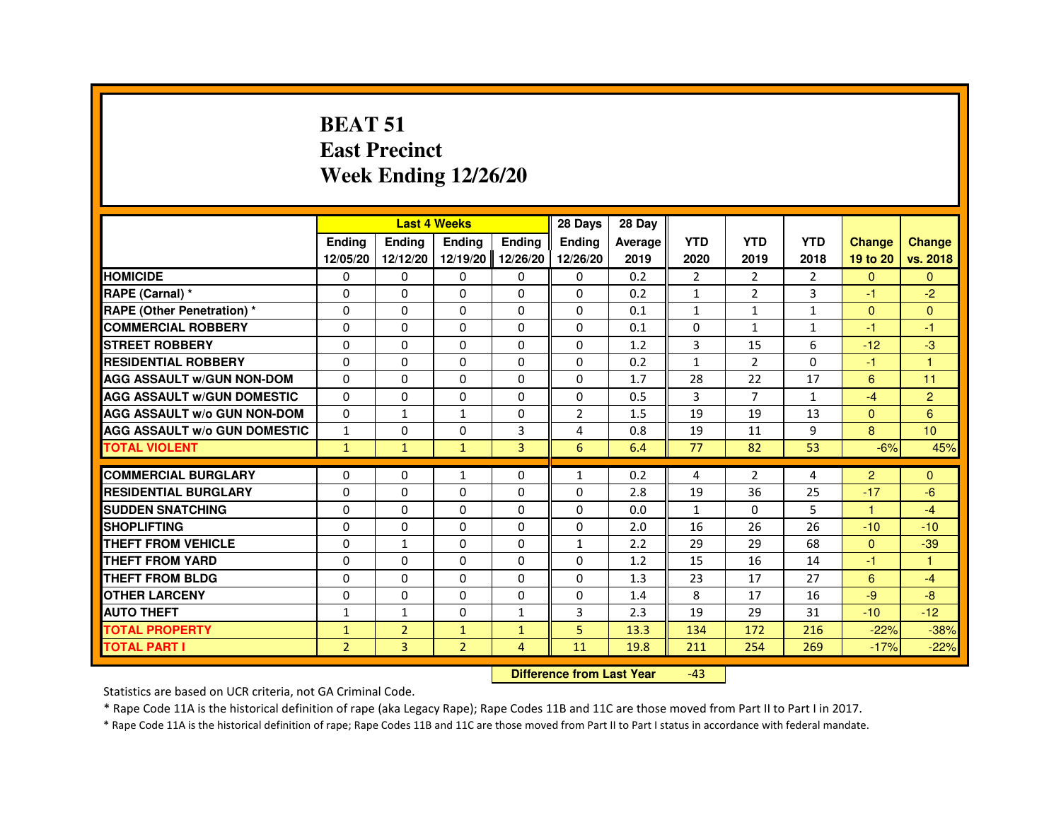#### **BEAT 51 East PrecinctWeek Ending 12/26/20**

|                                     |                |                                  | <b>Last 4 Weeks</b> |                   | 28 Days        | 28 Day  |                |                |                |                |                |
|-------------------------------------|----------------|----------------------------------|---------------------|-------------------|----------------|---------|----------------|----------------|----------------|----------------|----------------|
|                                     | <b>Endina</b>  | <b>Ending</b>                    | <b>Ending</b>       | <b>Ending</b>     | <b>Ending</b>  | Average | <b>YTD</b>     | <b>YTD</b>     | <b>YTD</b>     | <b>Change</b>  | <b>Change</b>  |
|                                     | 12/05/20       | 12/12/20                         |                     | 12/19/20 12/26/20 | 12/26/20       | 2019    | 2020           | 2019           | 2018           | 19 to 20       | vs. 2018       |
| <b>HOMICIDE</b>                     | 0              | 0                                | 0                   | $\Omega$          | 0              | 0.2     | $\overline{2}$ | $\overline{2}$ | $\overline{2}$ | $\Omega$       | $\mathbf{0}$   |
| RAPE (Carnal) *                     | 0              | 0                                | 0                   | 0                 | 0              | 0.2     | 1              | $\overline{2}$ | 3              | $-1$           | $-2$           |
| <b>RAPE (Other Penetration) *</b>   | 0              | 0                                | 0                   | 0                 | 0              | 0.1     | 1              | 1              | $\mathbf{1}$   | $\mathbf{0}$   | $\overline{0}$ |
| <b>COMMERCIAL ROBBERY</b>           | 0              | $\Omega$                         | 0                   | $\Omega$          | $\Omega$       | 0.1     | $\Omega$       | $\mathbf{1}$   | $\mathbf{1}$   | $-1$           | $-1$           |
| <b>STREET ROBBERY</b>               | 0              | 0                                | 0                   | 0                 | $\Omega$       | 1.2     | 3              | 15             | 6              | $-12$          | $-3$           |
| <b>RESIDENTIAL ROBBERY</b>          | 0              | 0                                | 0                   | 0                 | 0              | 0.2     | $\mathbf{1}$   | $\overline{2}$ | $\Omega$       | $-1$           | $\overline{1}$ |
| <b>AGG ASSAULT w/GUN NON-DOM</b>    | $\Omega$       | $\Omega$                         | $\Omega$            | $\Omega$          | $\Omega$       | 1.7     | 28             | 22             | 17             | 6              | 11             |
| <b>AGG ASSAULT W/GUN DOMESTIC</b>   | $\Omega$       | $\Omega$                         | $\Omega$            | $\Omega$          | $\Omega$       | 0.5     | 3              | $\overline{7}$ | $\mathbf{1}$   | $-4$           | $\overline{2}$ |
| <b>AGG ASSAULT w/o GUN NON-DOM</b>  | $\Omega$       | 1                                | 1                   | 0                 | $\overline{2}$ | 1.5     | 19             | 19             | 13             | $\mathbf{0}$   | 6              |
| <b>AGG ASSAULT W/o GUN DOMESTIC</b> | $\mathbf{1}$   | $\Omega$                         | 0                   | 3                 | $\overline{4}$ | 0.8     | 19             | 11             | 9              | 8              | 10             |
| <b>TOTAL VIOLENT</b>                | $\mathbf{1}$   | $\mathbf{1}$                     | $\mathbf{1}$        | 3                 | 6              | 6.4     | 77             | 82             | 53             | $-6%$          | 45%            |
| <b>COMMERCIAL BURGLARY</b>          | 0              | 0                                | 1                   | 0                 | 1              | 0.2     | 4              | $\overline{2}$ | 4              | $\overline{2}$ | $\mathbf{0}$   |
| <b>RESIDENTIAL BURGLARY</b>         | 0              | $\Omega$                         | $\Omega$            | $\Omega$          | 0              | 2.8     | 19             | 36             | 25             | $-17$          | $-6$           |
| <b>SUDDEN SNATCHING</b>             | 0              | $\Omega$                         | $\Omega$            | $\Omega$          | $\Omega$       | 0.0     | $\mathbf{1}$   | $\Omega$       | 5              | $\mathbf{1}$   | $-4$           |
| <b>SHOPLIFTING</b>                  | 0              | $\Omega$                         | 0                   | $\Omega$          | $\Omega$       | 2.0     | 16             | 26             | 26             | $-10$          | $-10$          |
| <b>THEFT FROM VEHICLE</b>           | 0              | $\mathbf{1}$                     | 0                   | $\Omega$          | $\mathbf{1}$   | 2.2     | 29             | 29             | 68             | $\Omega$       | $-39$          |
| <b>THEFT FROM YARD</b>              | $\Omega$       | $\Omega$                         | $\Omega$            | $\Omega$          | $\Omega$       | 1.2     | 15             | 16             | 14             | $-1$           | $\mathbf{1}$   |
| THEFT FROM BLDG                     | 0              | 0                                | $\Omega$            | 0                 | 0              | 1.3     | 23             | 17             | 27             | 6              | $-4$           |
| <b>OTHER LARCENY</b>                | $\Omega$       | $\Omega$                         | $\Omega$            | $\Omega$          | $\Omega$       | 1.4     | 8              | 17             | 16             | $-9$           | $-8-$          |
| <b>AUTO THEFT</b>                   | $\mathbf{1}$   | $\mathbf{1}$                     | $\Omega$            | $\mathbf{1}$      | 3              | 2.3     | 19             | 29             | 31             | $-10$          | $-12$          |
| <b>TOTAL PROPERTY</b>               | $\mathbf{1}$   | $\overline{2}$                   | $\mathbf{1}$        | $\mathbf{1}$      | 5              | 13.3    | 134            | 172            | 216            | $-22%$         | $-38%$         |
| <b>TOTAL PART I</b>                 | $\overline{2}$ | 3                                | $\overline{2}$      | 4                 | 11             | 19.8    | 211            | 254            | 269            | $-17%$         | $-22%$         |
|                                     |                | <b>Difference from Last Year</b> |                     | $-43$             |                |         |                |                |                |                |                |

 **Difference from Last Year**

Statistics are based on UCR criteria, not GA Criminal Code.

\* Rape Code 11A is the historical definition of rape (aka Legacy Rape); Rape Codes 11B and 11C are those moved from Part II to Part I in 2017.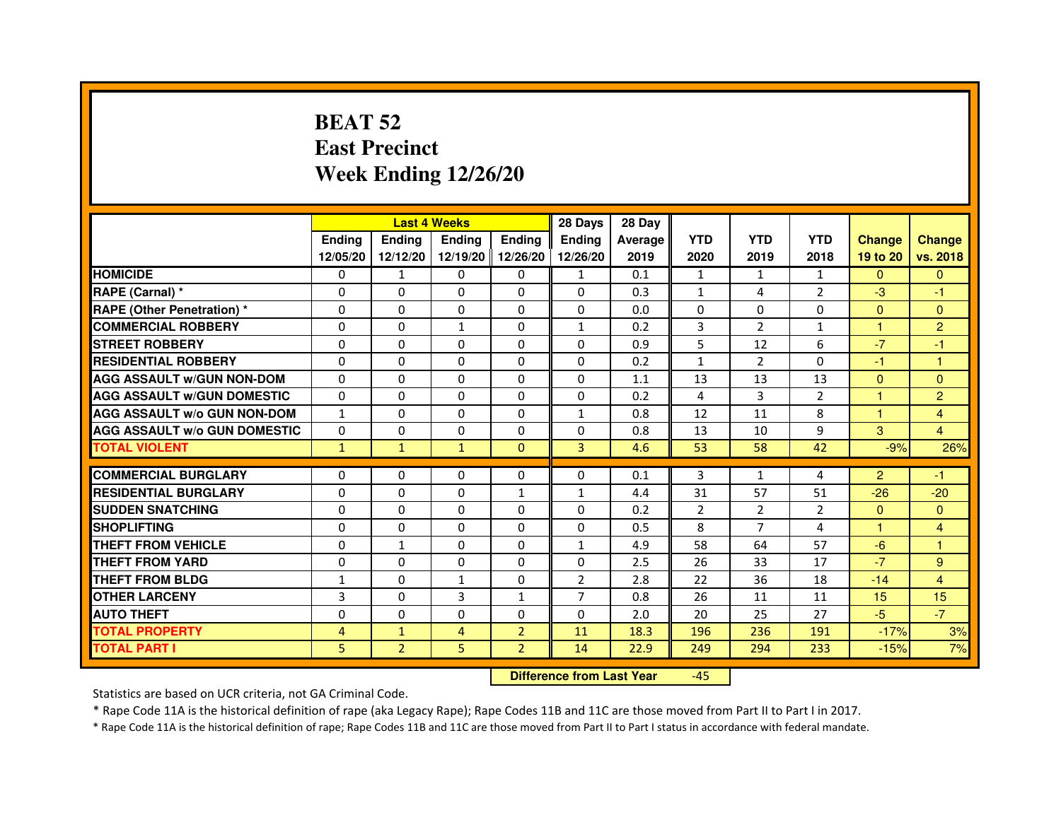# **BEAT 52 East PrecinctWeek Ending 12/26/20**

|                                     |               | <b>Last 4 Weeks</b> |               |                   | 28 Days        | 28 Day  |                |                |                |                |                |
|-------------------------------------|---------------|---------------------|---------------|-------------------|----------------|---------|----------------|----------------|----------------|----------------|----------------|
|                                     | <b>Endina</b> | <b>Endina</b>       | <b>Endina</b> | <b>Ending</b>     | <b>Endina</b>  | Average | <b>YTD</b>     | <b>YTD</b>     | <b>YTD</b>     | <b>Change</b>  | <b>Change</b>  |
|                                     | 12/05/20      | 12/12/20            |               | 12/19/20 12/26/20 | 12/26/20       | 2019    | 2020           | 2019           | 2018           | 19 to 20       | vs. 2018       |
| <b>HOMICIDE</b>                     | 0             | 1                   | 0             | 0                 | $\mathbf{1}$   | 0.1     | $\mathbf{1}$   | $\mathbf{1}$   | $\mathbf{1}$   | $\mathbf{0}$   | $\Omega$       |
| RAPE (Carnal) *                     | $\Omega$      | $\Omega$            | $\Omega$      | $\Omega$          | $\Omega$       | 0.3     | $\mathbf{1}$   | 4              | $\overline{2}$ | $-3$           | $-1$           |
| <b>RAPE (Other Penetration) *</b>   | 0             | $\Omega$            | $\Omega$      | $\Omega$          | $\Omega$       | 0.0     | $\Omega$       | $\Omega$       | $\Omega$       | $\Omega$       | $\Omega$       |
| <b>COMMERCIAL ROBBERY</b>           | 0             | 0                   | 1             | $\Omega$          | $\mathbf{1}$   | 0.2     | 3              | $\overline{2}$ | 1              | 1              | $\overline{2}$ |
| <b>STREET ROBBERY</b>               | 0             | $\Omega$            | 0             | $\Omega$          | $\Omega$       | 0.9     | 5              | 12             | 6              | $-7$           | $-1$           |
| <b>RESIDENTIAL ROBBERY</b>          | 0             | $\Omega$            | 0             | $\Omega$          | 0              | 0.2     | $\mathbf{1}$   | 2              | $\Omega$       | $-1$           | 1              |
| <b>AGG ASSAULT W/GUN NON-DOM</b>    | $\Omega$      | $\mathbf 0$         | $\Omega$      | $\Omega$          | $\Omega$       | 1.1     | 13             | 13             | 13             | $\Omega$       | $\mathbf{0}$   |
| <b>AGG ASSAULT W/GUN DOMESTIC</b>   | $\Omega$      | $\Omega$            | 0             | 0                 | 0              | 0.2     | $\overline{4}$ | 3              | $\overline{2}$ | $\mathbf{1}$   | $\overline{2}$ |
| <b>AGG ASSAULT W/o GUN NON-DOM</b>  | $\mathbf{1}$  | 0                   | $\Omega$      | 0                 | 1              | 0.8     | 12             | 11             | 8              | 1              | $\overline{4}$ |
| <b>AGG ASSAULT W/o GUN DOMESTIC</b> | $\Omega$      | $\Omega$            | 0             | $\Omega$          | $\Omega$       | 0.8     | 13             | 10             | 9              | 3              | $\overline{4}$ |
| <b>TOTAL VIOLENT</b>                | $\mathbf{1}$  | $\mathbf{1}$        | $\mathbf{1}$  | $\mathbf{0}$      | 3              | 4.6     | 53             | 58             | 42             | $-9%$          | 26%            |
|                                     |               |                     |               |                   |                |         |                |                |                |                |                |
| <b>COMMERCIAL BURGLARY</b>          | 0             | 0                   | $\Omega$      | 0                 | $\Omega$       | 0.1     | 3              | $\mathbf{1}$   | 4              | $\overline{2}$ | $-1$           |
| <b>RESIDENTIAL BURGLARY</b>         | 0             | $\Omega$            | 0             | $\mathbf{1}$      | $\mathbf{1}$   | 4.4     | 31             | 57             | 51             | $-26$          | $-20$          |
| <b>SUDDEN SNATCHING</b>             | 0             | 0                   | $\Omega$      | $\Omega$          | $\Omega$       | 0.2     | $\overline{2}$ | $\overline{2}$ | $\overline{2}$ | $\Omega$       | $\Omega$       |
| <b>SHOPLIFTING</b>                  | $\mathbf 0$   | 0                   | $\Omega$      | $\Omega$          | 0              | 0.5     | 8              | 7              | 4              | 1              | 4              |
| <b>THEFT FROM VEHICLE</b>           | 0             | $\mathbf{1}$        | $\Omega$      | $\Omega$          | $\mathbf{1}$   | 4.9     | 58             | 64             | 57             | $-6$           | 1              |
| <b>THEFT FROM YARD</b>              | 0             | 0                   | $\Omega$      | $\Omega$          | $\Omega$       | 2.5     | 26             | 33             | 17             | $-7$           | 9              |
| <b>THEFT FROM BLDG</b>              | 1             | 0                   | 1             | 0                 | $\overline{2}$ | 2.8     | 22             | 36             | 18             | $-14$          | 4              |
| <b>OTHER LARCENY</b>                | 3             | $\Omega$            | 3             | $\mathbf{1}$      | $\overline{7}$ | 0.8     | 26             | 11             | 11             | 15             | 15             |
| <b>AUTO THEFT</b>                   | $\mathbf 0$   | 0                   | $\Omega$      | $\Omega$          | $\Omega$       | 2.0     | 20             | 25             | 27             | $-5$           | $-7$           |
| <b>TOTAL PROPERTY</b>               | 4             | $\mathbf{1}$        | 4             | $\overline{2}$    | 11             | 18.3    | 196            | 236            | 191            | $-17%$         | 3%             |
| <b>TOTAL PART I</b>                 | 5             | $\overline{2}$      | 5             | $\overline{2}$    | 14             | 22.9    | 249            | 294            | 233            | $-15%$         | 7%             |

 **Difference from Last Year**-45

Statistics are based on UCR criteria, not GA Criminal Code.

\* Rape Code 11A is the historical definition of rape (aka Legacy Rape); Rape Codes 11B and 11C are those moved from Part II to Part I in 2017.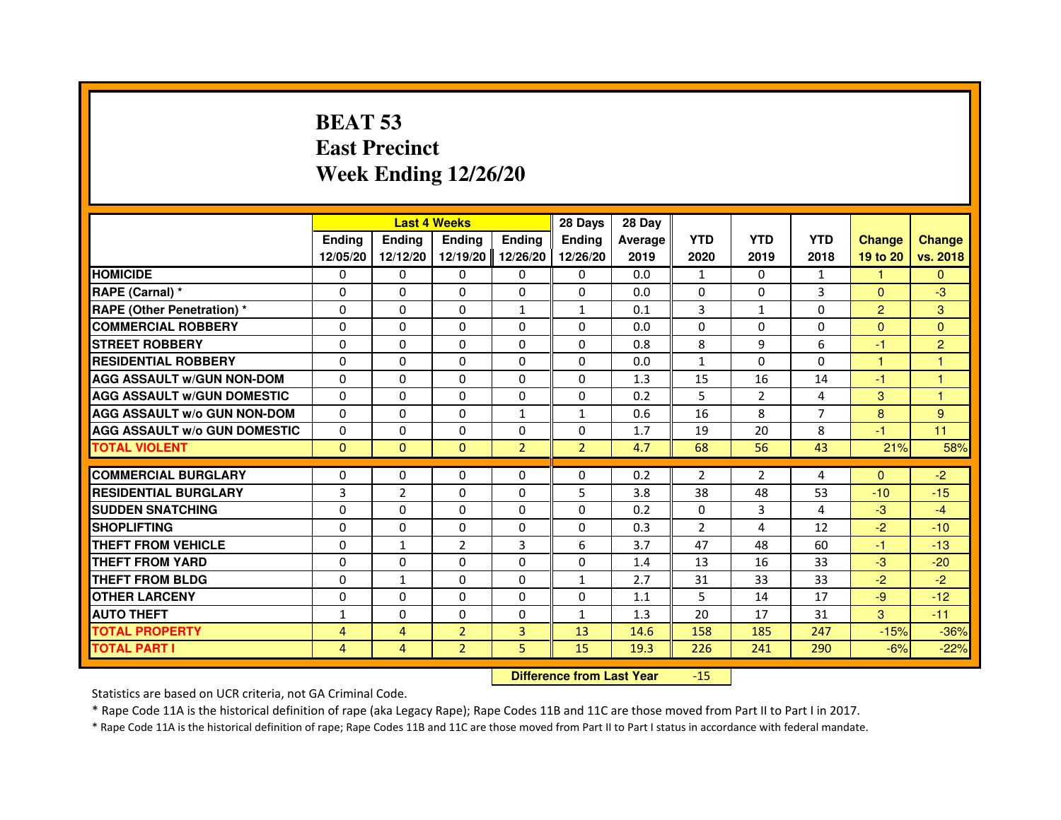# **BEAT 53 East PrecinctWeek Ending 12/26/20**

|                                     |               |                | <b>Last 4 Weeks</b> |                | 28 Days                          | 28 Day         |                |                |                |                |                |
|-------------------------------------|---------------|----------------|---------------------|----------------|----------------------------------|----------------|----------------|----------------|----------------|----------------|----------------|
|                                     | <b>Ending</b> | <b>Ending</b>  | <b>Ending</b>       | <b>Ending</b>  | <b>Endina</b>                    | <b>Average</b> | <b>YTD</b>     | <b>YTD</b>     | <b>YTD</b>     | <b>Change</b>  | <b>Change</b>  |
|                                     | 12/05/20      | 12/12/20       | 12/19/20            | 12/26/20       | 12/26/20                         | 2019           | 2020           | 2019           | 2018           | 19 to 20       | vs. 2018       |
| <b>HOMICIDE</b>                     | 0             | $\mathbf{0}$   | $\Omega$            | $\Omega$       | 0                                | 0.0            | $\mathbf{1}$   | $\Omega$       | $\mathbf{1}$   | 1.             | $\Omega$       |
| RAPE (Carnal) *                     | 0             | $\Omega$       | $\Omega$            | $\Omega$       | 0                                | 0.0            | 0              | $\Omega$       | 3              | $\Omega$       | $-3$           |
| <b>RAPE (Other Penetration) *</b>   | $\Omega$      | $\Omega$       | $\Omega$            | $\mathbf{1}$   | 1                                | 0.1            | 3              | $\mathbf{1}$   | 0              | $\overline{2}$ | 3              |
| <b>COMMERCIAL ROBBERY</b>           | 0             | $\Omega$       | $\Omega$            | $\Omega$       | $\Omega$                         | 0.0            | $\Omega$       | $\mathbf{0}$   | $\Omega$       | $\Omega$       | $\mathbf{0}$   |
| <b>STREET ROBBERY</b>               | 0             | $\Omega$       | $\Omega$            | $\Omega$       | $\Omega$                         | 0.8            | 8              | 9              | 6              | $-1$           | $\overline{2}$ |
| <b>RESIDENTIAL ROBBERY</b>          | 0             | $\Omega$       | 0                   | $\Omega$       | $\Omega$                         | 0.0            | $\mathbf{1}$   | 0              | 0              | 1              | 1              |
| <b>AGG ASSAULT W/GUN NON-DOM</b>    | $\Omega$      | $\Omega$       | $\Omega$            | $\Omega$       | $\Omega$                         | 1.3            | 15             | 16             | 14             | $-1$           | 1              |
| <b>AGG ASSAULT W/GUN DOMESTIC</b>   | $\Omega$      | $\Omega$       | $\Omega$            | $\Omega$       | $\Omega$                         | 0.2            | 5              | $\overline{2}$ | 4              | 3              | 1              |
| <b>AGG ASSAULT w/o GUN NON-DOM</b>  | 0             | $\mathbf{0}$   | $\mathbf{0}$        | 1              | 1                                | 0.6            | 16             | 8              | 7              | 8              | 9              |
| <b>AGG ASSAULT W/o GUN DOMESTIC</b> | 0             | 0              | 0                   | $\Omega$       | $\Omega$                         | 1.7            | 19             | 20             | 8              | $-1$           | 11             |
| <b>TOTAL VIOLENT</b>                | $\mathbf 0$   | $\mathbf{0}$   | $\mathbf{0}$        | $\overline{2}$ | $\overline{2}$                   | 4.7            | 68             | 56             | 43             | 21%            | 58%            |
| <b>COMMERCIAL BURGLARY</b>          | 0             | 0              | 0                   | $\Omega$       | 0                                | 0.2            | $\overline{2}$ | $\overline{2}$ | 4              | $\Omega$       | $-2$           |
| <b>RESIDENTIAL BURGLARY</b>         | 3             | $\overline{2}$ | $\Omega$            | $\Omega$       | 5                                | 3.8            | 38             | 48             | 53             | $-10$          | $-15$          |
| <b>SUDDEN SNATCHING</b>             | $\Omega$      | $\Omega$       | $\Omega$            | $\Omega$       | $\Omega$                         | 0.2            | $\Omega$       | $\overline{3}$ | $\overline{a}$ | $-3$           | $-4$           |
| <b>SHOPLIFTING</b>                  | 0             | 0              | 0                   | 0              | 0                                | 0.3            | $\overline{2}$ | 4              | 12             | $-2$           | $-10$          |
| THEFT FROM VEHICLE                  | 0             | $\mathbf{1}$   | $\overline{2}$      | 3              | 6                                | 3.7            | 47             | 48             | 60             | $-1$           | $-13$          |
| <b>THEFT FROM YARD</b>              | 0             | 0              | $\Omega$            | $\Omega$       | 0                                | 1.4            | 13             | 16             | 33             | $-3$           | $-20$          |
| <b>THEFT FROM BLDG</b>              | $\Omega$      | $\mathbf{1}$   | $\Omega$            | $\Omega$       | $\mathbf{1}$                     | 2.7            | 31             | 33             | 33             | $-2$           | $-2$           |
| <b>OTHER LARCENY</b>                | 0             | $\Omega$       | 0                   | $\Omega$       | 0                                | 1.1            | 5              | 14             | 17             | $-9$           | $-12$          |
| <b>AUTO THEFT</b>                   | $\mathbf{1}$  | $\Omega$       | $\Omega$            | $\Omega$       | $\mathbf{1}$                     | 1.3            | 20             | 17             | 31             | 3              | $-11$          |
| <b>TOTAL PROPERTY</b>               | 4             | $\overline{4}$ | $\overline{2}$      | 3              | 13                               | 14.6           | 158            | 185            | 247            | $-15%$         | $-36%$         |
| <b>TOTAL PART I</b>                 | 4             | 4              | $\overline{2}$      | 5              | 15                               | 19.3           | 226            | 241            | 290            | $-6%$          | $-22%$         |
|                                     |               |                |                     |                | <b>Difference from Last Year</b> |                | $-15$          |                |                |                |                |

Statistics are based on UCR criteria, not GA Criminal Code.

\* Rape Code 11A is the historical definition of rape (aka Legacy Rape); Rape Codes 11B and 11C are those moved from Part II to Part I in 2017.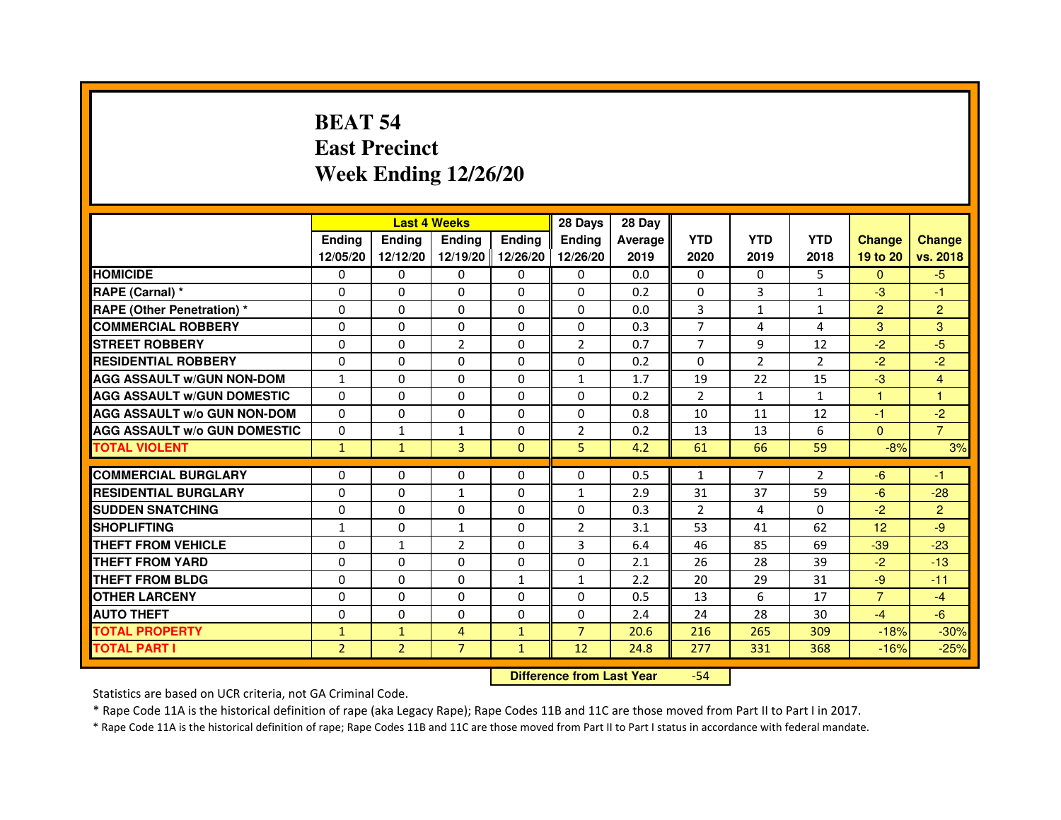# **BEAT 54 East PrecinctWeek Ending 12/26/20**

|                                     |                | <b>Last 4 Weeks</b> |                |                   | 28 Days        | 28 Day  |                |                |                |                |                |
|-------------------------------------|----------------|---------------------|----------------|-------------------|----------------|---------|----------------|----------------|----------------|----------------|----------------|
|                                     | <b>Endina</b>  | <b>Endina</b>       | <b>Endina</b>  | <b>Ending</b>     | <b>Endina</b>  | Average | <b>YTD</b>     | <b>YTD</b>     | <b>YTD</b>     | <b>Change</b>  | <b>Change</b>  |
|                                     | 12/05/20       | 12/12/20            |                | 12/19/20 12/26/20 | 12/26/20       | 2019    | 2020           | 2019           | 2018           | 19 to 20       | vs. 2018       |
| <b>HOMICIDE</b>                     | 0              | 0                   | 0              | 0                 | 0              | 0.0     | $\mathbf{0}$   | $\Omega$       | 5              | $\mathbf{0}$   | $-5$           |
| RAPE (Carnal) *                     | $\Omega$       | $\Omega$            | $\Omega$       | $\Omega$          | $\Omega$       | 0.2     | $\Omega$       | 3              | $\mathbf{1}$   | $-3$           | $-1$           |
| <b>RAPE (Other Penetration) *</b>   | 0              | 0                   | $\Omega$       | $\Omega$          | $\Omega$       | 0.0     | 3              | $\mathbf{1}$   | $\mathbf{1}$   | $\overline{2}$ | $\overline{2}$ |
| <b>COMMERCIAL ROBBERY</b>           | 0              | 0                   | 0              | $\Omega$          | $\Omega$       | 0.3     | 7              | 4              | 4              | 3              | 3              |
| <b>STREET ROBBERY</b>               | 0              | $\Omega$            | $\overline{2}$ | $\Omega$          | $\overline{2}$ | 0.7     | 7              | 9              | 12             | $-2$           | -5             |
| <b>RESIDENTIAL ROBBERY</b>          | 0              | $\Omega$            | 0              | $\Omega$          | 0              | 0.2     | 0              | 2              | $\overline{2}$ | $-2$           | $-2$           |
| <b>AGG ASSAULT W/GUN NON-DOM</b>    | $\mathbf{1}$   | $\mathbf 0$         | $\Omega$       | $\Omega$          | $\mathbf{1}$   | 1.7     | 19             | 22             | 15             | $-3$           | $\overline{4}$ |
| <b>AGG ASSAULT W/GUN DOMESTIC</b>   | $\Omega$       | 0                   | 0              | 0                 | $\Omega$       | 0.2     | $\overline{2}$ | $\mathbf{1}$   | $\mathbf{1}$   | $\mathbf{1}$   | 1              |
| <b>AGG ASSAULT W/o GUN NON-DOM</b>  | $\Omega$       | 0                   | $\Omega$       | 0                 | $\Omega$       | 0.8     | 10             | 11             | 12             | $-1$           | $-2$           |
| <b>AGG ASSAULT W/o GUN DOMESTIC</b> | $\Omega$       | $\mathbf{1}$        | 1              | $\mathbf{0}$      | $\overline{2}$ | 0.2     | 13             | 13             | 6              | $\Omega$       | $\overline{7}$ |
| <b>TOTAL VIOLENT</b>                | $\mathbf{1}$   | $\mathbf{1}$        | 3              | $\mathbf{0}$      | 5              | 4.2     | 61             | 66             | 59             | $-8%$          | 3%             |
|                                     |                |                     |                |                   |                |         |                |                |                |                |                |
| <b>COMMERCIAL BURGLARY</b>          | 0              | 0                   | $\Omega$       | $\Omega$          | $\Omega$       | 0.5     | $\mathbf{1}$   | $\overline{7}$ | $\overline{2}$ | $-6$           | $-1$           |
| <b>RESIDENTIAL BURGLARY</b>         | 0              | $\Omega$            | 1              | $\mathbf{0}$      | $\mathbf{1}$   | 2.9     | 31             | 37             | 59             | $-6$           | $-28$          |
| <b>SUDDEN SNATCHING</b>             | 0              | 0                   | $\Omega$       | $\Omega$          | $\Omega$       | 0.3     | $\overline{2}$ | 4              | $\Omega$       | $-2$           | $\overline{2}$ |
| <b>SHOPLIFTING</b>                  | 1              | 0                   | $\mathbf{1}$   | $\Omega$          | $\overline{2}$ | 3.1     | 53             | 41             | 62             | 12             | -9             |
| <b>THEFT FROM VEHICLE</b>           | 0              | $\mathbf{1}$        | $\overline{2}$ | $\mathbf{0}$      | 3              | 6.4     | 46             | 85             | 69             | $-39$          | $-23$          |
| <b>THEFT FROM YARD</b>              | 0              | 0                   | $\Omega$       | $\Omega$          | $\Omega$       | 2.1     | 26             | 28             | 39             | $-2$           | $-13$          |
| <b>THEFT FROM BLDG</b>              | 0              | 0                   | 0              | 1                 | 1              | 2.2     | 20             | 29             | 31             | $-9$           | $-11$          |
| <b>OTHER LARCENY</b>                | 0              | $\Omega$            | 0              | 0                 | $\Omega$       | 0.5     | 13             | 6              | 17             | $\overline{7}$ | $-4$           |
| <b>AUTO THEFT</b>                   | $\mathbf 0$    | 0                   | $\Omega$       | $\Omega$          | $\Omega$       | 2.4     | 24             | 28             | 30             | $-4$           | $-6$           |
| <b>TOTAL PROPERTY</b>               | $\mathbf{1}$   | $\mathbf{1}$        | 4              | $\mathbf{1}$      | $\overline{7}$ | 20.6    | 216            | 265            | 309            | $-18%$         | $-30%$         |
| <b>TOTAL PART I</b>                 | $\overline{2}$ | $\overline{2}$      | $\overline{7}$ | $\mathbf{1}$      | 12             | 24.8    | 277            | 331            | 368            | $-16%$         | $-25%$         |

 **Difference from Last Year**-54

Statistics are based on UCR criteria, not GA Criminal Code.

\* Rape Code 11A is the historical definition of rape (aka Legacy Rape); Rape Codes 11B and 11C are those moved from Part II to Part I in 2017.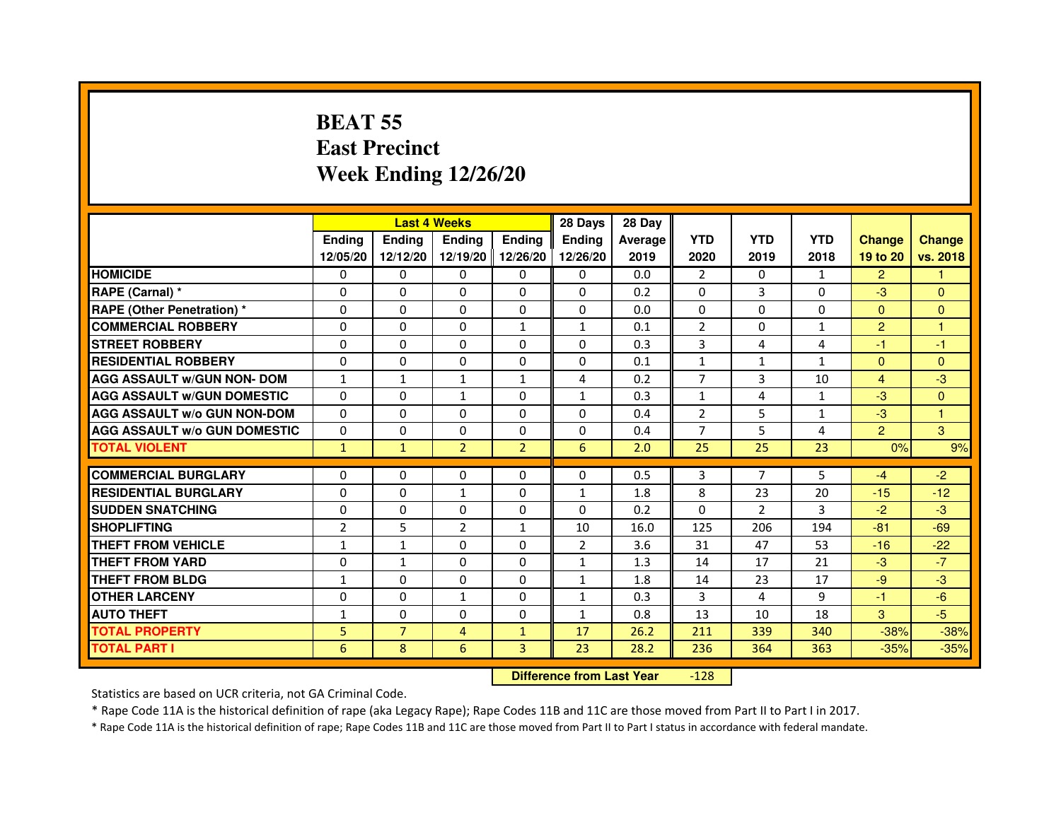# **BEAT 55 East PrecinctWeek Ending 12/26/20**

|                                     |                |                | <b>Last 4 Weeks</b> |                | 28 Days        | 28 Day  |                |                |                |                |                |
|-------------------------------------|----------------|----------------|---------------------|----------------|----------------|---------|----------------|----------------|----------------|----------------|----------------|
|                                     | <b>Endina</b>  | <b>Endina</b>  | Ending              | Ending         | <b>Ending</b>  | Average | <b>YTD</b>     | <b>YTD</b>     | <b>YTD</b>     | <b>Change</b>  | <b>Change</b>  |
|                                     | 12/05/20       | 12/12/20       | 12/19/20            | 12/26/20       | 12/26/20       | 2019    | 2020           | 2019           | 2018           | 19 to 20       | vs. 2018       |
| <b>HOMICIDE</b>                     | $\Omega$       | $\mathbf{0}$   | 0                   | $\mathbf{0}$   | 0              | 0.0     | $\overline{2}$ | 0              | $\mathbf{1}$   | $\overline{2}$ |                |
| RAPE (Carnal) *                     | $\Omega$       | $\Omega$       | $\Omega$            | $\Omega$       | $\Omega$       | 0.2     | $\Omega$       | 3              | $\Omega$       | $-3$           | $\Omega$       |
| <b>RAPE (Other Penetration)</b> *   | $\Omega$       | $\mathbf{0}$   | $\Omega$            | 0              | $\Omega$       | 0.0     | $\Omega$       | 0              | $\Omega$       | $\Omega$       | $\overline{0}$ |
| <b>COMMERCIAL ROBBERY</b>           | $\Omega$       | $\Omega$       | $\Omega$            | $\mathbf{1}$   | $\mathbf{1}$   | 0.1     | 2              | $\Omega$       | $\mathbf{1}$   | $\overline{2}$ | 1              |
| <b>STREET ROBBERY</b>               | $\Omega$       | $\Omega$       | $\Omega$            | $\Omega$       | $\Omega$       | 0.3     | 3              | 4              | $\overline{4}$ | $-1$           | $-1$           |
| <b>RESIDENTIAL ROBBERY</b>          | $\Omega$       | $\Omega$       | $\Omega$            | $\Omega$       | $\Omega$       | 0.1     | $\mathbf{1}$   | $\mathbf{1}$   | $\mathbf{1}$   | $\Omega$       | $\overline{0}$ |
| <b>AGG ASSAULT w/GUN NON- DOM</b>   | $\mathbf{1}$   | $\mathbf{1}$   | $\mathbf{1}$        | $\mathbf{1}$   | 4              | 0.2     | $\overline{7}$ | 3              | 10             | $\overline{4}$ | $-3$           |
| <b>AGG ASSAULT W/GUN DOMESTIC</b>   | $\mathbf{0}$   | $\mathbf{0}$   | 1                   | 0              | $\mathbf{1}$   | 0.3     | 1              | 4              | $\mathbf{1}$   | $-3$           | $\Omega$       |
| <b>AGG ASSAULT w/o GUN NON-DOM</b>  | $\Omega$       | $\Omega$       | $\Omega$            | $\Omega$       | $\Omega$       | 0.4     | 2              | 5              | $\mathbf{1}$   | $-3$           |                |
| <b>AGG ASSAULT W/o GUN DOMESTIC</b> | $\Omega$       | $\Omega$       | $\Omega$            | $\Omega$       | $\Omega$       | 0.4     | $\overline{7}$ | 5              | 4              | $\overline{2}$ | 3              |
| <b>TOTAL VIOLENT</b>                | $\mathbf{1}$   | $\mathbf{1}$   | $\overline{2}$      | $\overline{2}$ | $6\phantom{1}$ | 2.0     | 25             | 25             | 23             | 0%             | 9%             |
|                                     |                |                |                     |                |                |         |                |                |                |                |                |
| <b>COMMERCIAL BURGLARY</b>          | $\mathbf{0}$   | $\mathbf{0}$   | 0                   | 0              | 0              | 0.5     | 3              | 7              | 5              | $-4$           | $-2$           |
| <b>RESIDENTIAL BURGLARY</b>         | $\Omega$       | $\Omega$       | $\mathbf{1}$        | $\Omega$       | $\mathbf{1}$   | 1.8     | 8              | 23             | 20             | $-15$          | $-12$          |
| <b>SUDDEN SNATCHING</b>             | $\Omega$       | $\Omega$       | $\Omega$            | $\Omega$       | $\Omega$       | 0.2     | $\Omega$       | $\overline{2}$ | 3              | $-2$           | $-3$           |
| <b>SHOPLIFTING</b>                  | $\overline{2}$ | 5              | $\overline{2}$      | $\mathbf{1}$   | 10             | 16.0    | 125            | 206            | 194            | $-81$          | $-69$          |
| <b>THEFT FROM VEHICLE</b>           | $\mathbf{1}$   | 1              | 0                   | 0              | $\overline{2}$ | 3.6     | 31             | 47             | 53             | $-16$          | $-22$          |
| <b>THEFT FROM YARD</b>              | $\Omega$       | 1              | $\Omega$            | $\Omega$       | 1              | 1.3     | 14             | 17             | 21             | $-3$           | $-7$           |
| <b>THEFT FROM BLDG</b>              | $\mathbf{1}$   | $\Omega$       | $\Omega$            | $\Omega$       | 1              | 1.8     | 14             | 23             | 17             | $-9$           | $-3$           |
| <b>OTHER LARCENY</b>                | $\Omega$       | $\Omega$       | $\mathbf{1}$        | $\Omega$       | $\mathbf{1}$   | 0.3     | 3              | 4              | 9              | $-1$           | $-6$           |
| <b>AUTO THEFT</b>                   | $\mathbf{1}$   | $\Omega$       | $\Omega$            | $\Omega$       | $\mathbf{1}$   | 0.8     | 13             | 10             | 18             | 3              | $-5$           |
| <b>TOTAL PROPERTY</b>               | 5              | $\overline{7}$ | $\overline{4}$      | $\mathbf{1}$   | 17             | 26.2    | 211            | 339            | 340            | $-38%$         | $-38%$         |
| <b>TOTAL PART I</b>                 | 6              | 8              | 6                   | 3              | 23             | 28.2    | 236            | 364            | 363            | $-35%$         | $-35%$         |

 **Difference from Last Year**-128

Statistics are based on UCR criteria, not GA Criminal Code.

\* Rape Code 11A is the historical definition of rape (aka Legacy Rape); Rape Codes 11B and 11C are those moved from Part II to Part I in 2017.